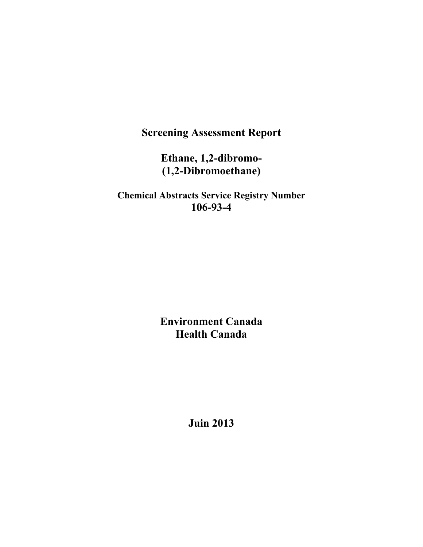**Screening Assessment Report** 

**Ethane, 1,2-dibromo- (1,2-Dibromoethane)** 

**Chemical Abstracts Service Registry Number 106-93-4** 

> **Environment Canada Health Canada**

> > **Juin 2013**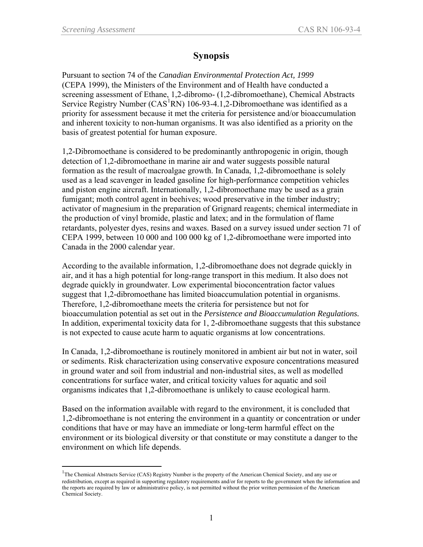$\overline{a}$ 

## **Synopsis**

Pursuant to section 74 of the *Canadian Environmental Protection Act, 1999*  (CEPA 1999), the Ministers of the Environment and of Health have conducted a screening assessment of Ethane, 1,2-dibromo- (1,2-dibromoethane), Chemical Abstracts Service Registry Number ( $CAS<sup>1</sup>RN$  $CAS<sup>1</sup>RN$  $CAS<sup>1</sup>RN$ ) 106-93-4.1,2-Dibromoethane was identified as a priority for assessment because it met the criteria for persistence and/or bioaccumulation and inherent toxicity to non-human organisms. It was also identified as a priority on the basis of greatest potential for human exposure.

1,2-Dibromoethane is considered to be predominantly anthropogenic in origin, though detection of 1,2-dibromoethane in marine air and water suggests possible natural formation as the result of macroalgae growth. In Canada, 1,2-dibromoethane is solely used as a lead scavenger in leaded gasoline for high-performance competition vehicles and piston engine aircraft. Internationally, 1,2-dibromoethane may be used as a grain fumigant; moth control agent in beehives; wood preservative in the timber industry; activator of magnesium in the preparation of Grignard reagents; chemical intermediate in the production of vinyl bromide, plastic and latex; and in the formulation of flame retardants, polyester dyes, resins and waxes. Based on a survey issued under section 71 of CEPA 1999, between 10 000 and 100 000 kg of 1,2-dibromoethane were imported into Canada in the 2000 calendar year.

According to the available information, 1,2-dibromoethane does not degrade quickly in air, and it has a high potential for long-range transport in this medium. It also does not degrade quickly in groundwater. Low experimental bioconcentration factor values suggest that 1,2-dibromoethane has limited bioaccumulation potential in organisms. Therefore, 1,2-dibromoethane meets the criteria for persistence but not for bioaccumulation potential as set out in the *Persistence and Bioaccumulation Regulations.*  In addition, experimental toxicity data for 1, 2-dibromoethane suggests that this substance is not expected to cause acute harm to aquatic organisms at low concentrations.

In Canada, 1,2-dibromoethane is routinely monitored in ambient air but not in water, soil or sediments. Risk characterization using conservative exposure concentrations measured in ground water and soil from industrial and non-industrial sites, as well as modelled concentrations for surface water, and critical toxicity values for aquatic and soil organisms indicates that 1,2-dibromoethane is unlikely to cause ecological harm.

Based on the information available with regard to the environment, it is concluded that 1,2-dibromoethane is not entering the environment in a quantity or concentration or under conditions that have or may have an immediate or long-term harmful effect on the environment or its biological diversity or that constitute or may constitute a danger to the environment on which life depends.

<span id="page-1-0"></span><sup>&</sup>lt;sup>1</sup>The Chemical Abstracts Service (CAS) Registry Number is the property of the American Chemical Society, and any use or redistribution, except as required in supporting regulatory requirements and/or for reports to the government when the information and the reports are required by law or administrative policy, is not permitted without the prior written permission of the American Chemical Society.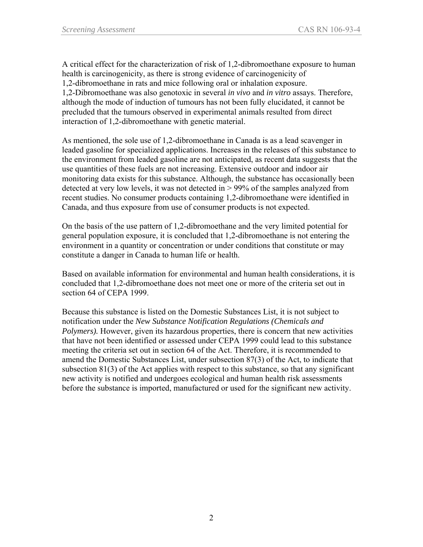A critical effect for the characterization of risk of 1,2-dibromoethane exposure to human health is carcinogenicity, as there is strong evidence of carcinogenicity of 1,2-dibromoethane in rats and mice following oral or inhalation exposure. 1,2-Dibromoethane was also genotoxic in several *in vivo* and *in vitro* assays. Therefore, although the mode of induction of tumours has not been fully elucidated, it cannot be precluded that the tumours observed in experimental animals resulted from direct interaction of 1,2-dibromoethane with genetic material.

As mentioned, the sole use of 1,2-dibromoethane in Canada is as a lead scavenger in leaded gasoline for specialized applications. Increases in the releases of this substance to the environment from leaded gasoline are not anticipated, as recent data suggests that the use quantities of these fuels are not increasing. Extensive outdoor and indoor air monitoring data exists for this substance. Although, the substance has occasionally been detected at very low levels, it was not detected in > 99% of the samples analyzed from recent studies. No consumer products containing 1,2-dibromoethane were identified in Canada, and thus exposure from use of consumer products is not expected.

On the basis of the use pattern of 1,2-dibromoethane and the very limited potential for general population exposure, it is concluded that 1,2-dibromoethane is not entering the environment in a quantity or concentration or under conditions that constitute or may constitute a danger in Canada to human life or health.

Based on available information for environmental and human health considerations, it is concluded that 1,2-dibromoethane does not meet one or more of the criteria set out in section 64 of CEPA 1999.

Because this substance is listed on the Domestic Substances List, it is not subject to notification under the *New Substance Notification Regulations (Chemicals and Polymers).* However, given its hazardous properties, there is concern that new activities that have not been identified or assessed under CEPA 1999 could lead to this substance meeting the criteria set out in section 64 of the Act. Therefore, it is recommended to amend the Domestic Substances List, under subsection 87(3) of the Act, to indicate that subsection 81(3) of the Act applies with respect to this substance, so that any significant new activity is notified and undergoes ecological and human health risk assessments before the substance is imported, manufactured or used for the significant new activity.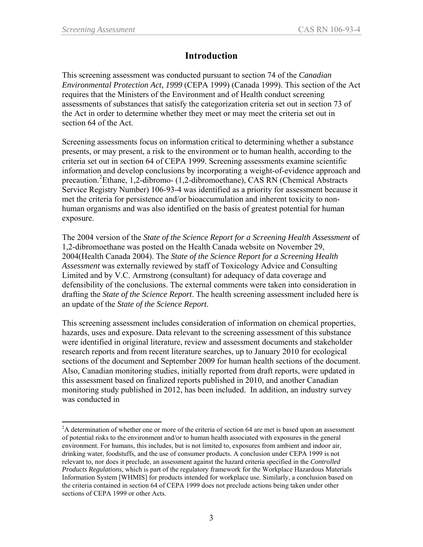$\overline{a}$ 

## **Introduction**

This screening assessment was conducted pursuant to section 74 of the *Canadian Environmental Protection Act, 1999* (CEPA 1999) (Canada 1999). This section of the Act requires that the Ministers of the Environment and of Health conduct screening assessments of substances that satisfy the categorization criteria set out in section 73 of the Act in order to determine whether they meet or may meet the criteria set out in section 64 of the Act.

Screening assessments focus on information critical to determining whether a substance presents, or may present, a risk to the environment or to human health, according to the criteria set out in section 64 of CEPA 1999*.* Screening assessments examine scientific information and develop conclusions by incorporating a weight-of-evidence approach and precaution.<sup>[2](#page-3-0)</sup>Ethane, 1,2-dibromo- (1,2-dibromoethane), CAS RN (Chemical Abstracts Service Registry Number) 106-93-4 was identified as a priority for assessment because it met the criteria for persistence and/or bioaccumulation and inherent toxicity to nonhuman organisms and was also identified on the basis of greatest potential for human exposure.

The 2004 version of the *State of the Science Report for a Screening Health Assessment* of 1,2-dibromoethane was posted on the Health Canada website on November 29, 2004(Health Canada 2004). The *State of the Science Report for a Screening Health Assessment* was externally reviewed by staff of Toxicology Advice and Consulting Limited and by V.C. Armstrong (consultant) for adequacy of data coverage and defensibility of the conclusions. The external comments were taken into consideration in drafting the *State of the Science Report*. The health screening assessment included here is an update of the *State of the Science Report*.

This screening assessment includes consideration of information on chemical properties, hazards, uses and exposure. Data relevant to the screening assessment of this substance were identified in original literature, review and assessment documents and stakeholder research reports and from recent literature searches, up to January 2010 for ecological sections of the document and September 2009 for human health sections of the document. Also, Canadian monitoring studies, initially reported from draft reports, were updated in this assessment based on finalized reports published in 2010, and another Canadian monitoring study published in 2012, has been included. In addition, an industry survey was conducted in

<span id="page-3-0"></span> $2A$  determination of whether one or more of the criteria of section 64 are met is based upon an assessment of potential risks to the environment and/or to human health associated with exposures in the general environment. For humans, this includes, but is not limited to, exposures from ambient and indoor air, drinking water, foodstuffs, and the use of consumer products. A conclusion under CEPA 1999 is not relevant to, nor does it preclude, an assessment against the hazard criteria specified in the *Controlled Products Regulations*, which is part of the regulatory framework for the Workplace Hazardous Materials Information System [WHMIS] for products intended for workplace use. Similarly, a conclusion based on the criteria contained in section 64 of CEPA 1999 does not preclude actions being taken under other sections of CEPA 1999 or other Acts.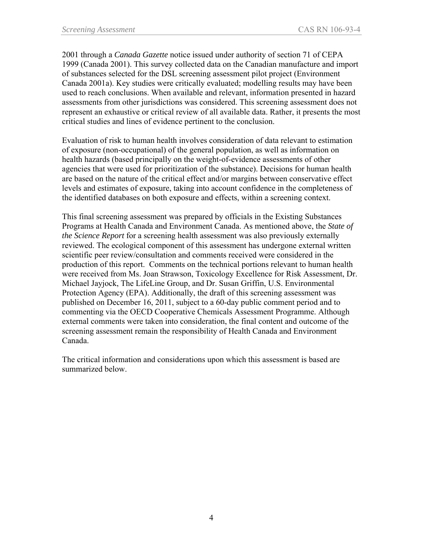2001 through a *Canada Gazette* notice issued under authority of section 71 of CEPA 1999 (Canada 2001). This survey collected data on the Canadian manufacture and import of substances selected for the DSL screening assessment pilot project (Environment Canada 2001a). Key studies were critically evaluated; modelling results may have been used to reach conclusions. When available and relevant, information presented in hazard assessments from other jurisdictions was considered. This screening assessment does not represent an exhaustive or critical review of all available data. Rather, it presents the most critical studies and lines of evidence pertinent to the conclusion.

Evaluation of risk to human health involves consideration of data relevant to estimation of exposure (non-occupational) of the general population, as well as information on health hazards (based principally on the weight-of-evidence assessments of other agencies that were used for prioritization of the substance). Decisions for human health are based on the nature of the critical effect and/or margins between conservative effect levels and estimates of exposure, taking into account confidence in the completeness of the identified databases on both exposure and effects, within a screening context.

This final screening assessment was prepared by officials in the Existing Substances Programs at Health Canada and Environment Canada. As mentioned above, the *State of the Science Report* for a screening health assessment was also previously externally reviewed. The ecological component of this assessment has undergone external written scientific peer review/consultation and comments received were considered in the production of this report. Comments on the technical portions relevant to human health were received from Ms. Joan Strawson, Toxicology Excellence for Risk Assessment, Dr. Michael Jayjock, The LifeLine Group, and Dr. Susan Griffin, U.S. Environmental Protection Agency (EPA). Additionally, the draft of this screening assessment was published on December 16, 2011, subject to a 60-day public comment period and to commenting via the OECD Cooperative Chemicals Assessment Programme. Although external comments were taken into consideration, the final content and outcome of the screening assessment remain the responsibility of Health Canada and Environment Canada.

The critical information and considerations upon which this assessment is based are summarized below.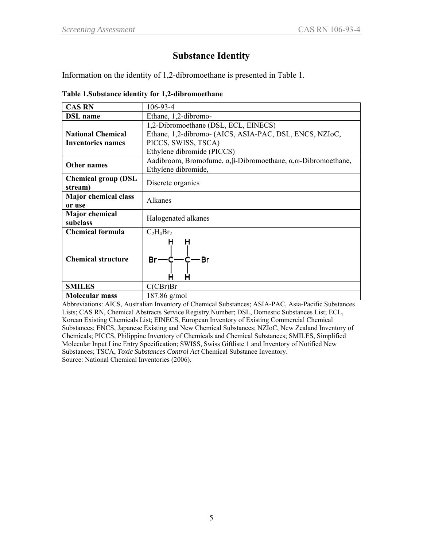# **Substance Identity**

Information on the identity of 1,2-dibromoethane is presented in Table 1.

|                             | Table 1. Substance identity for 1,2-dibromoethane                                      |
|-----------------------------|----------------------------------------------------------------------------------------|
| <b>CAS RN</b>               | $106 - 93 - 4$                                                                         |
| <b>DSL</b> name             | Ethane, 1,2-dibromo-                                                                   |
|                             | 1,2-Dibromoethane (DSL, ECL, EINECS)                                                   |
| <b>National Chemical</b>    | Ethane, 1,2-dibromo- (AICS, ASIA-PAC, DSL, ENCS, NZIoC,                                |
| <b>Inventories names</b>    | PICCS, SWISS, TSCA)                                                                    |
|                             | Ethylene dibromide (PICCS)                                                             |
| <b>Other names</b>          | Aadibroom, Bromofume, $\alpha, \beta$ -Dibromoethane, $\alpha, \omega$ -Dibromoethane, |
|                             | Ethylene dibromide,                                                                    |
| <b>Chemical group (DSL</b>  | Discrete organics                                                                      |
| stream)                     |                                                                                        |
| <b>Major chemical class</b> | Alkanes                                                                                |
| or use                      |                                                                                        |
| <b>Major</b> chemical       | Halogenated alkanes                                                                    |
| subclass                    |                                                                                        |
| <b>Chemical formula</b>     | $C_2H_4Br_2$                                                                           |
| <b>Chemical structure</b>   | Н<br>н<br>$Br-C-C-Br$<br>н                                                             |
| <b>SMILES</b>               | C(CBr)Br                                                                               |
| <b>Molecular mass</b>       | $187.86$ g/mol                                                                         |

Abbreviations: AICS, Australian Inventory of Chemical Substances; ASIA-PAC, Asia-Pacific Substances Lists; CAS RN, Chemical Abstracts Service Registry Number; DSL, Domestic Substances List; ECL, Korean Existing Chemicals List; EINECS, European Inventory of Existing Commercial Chemical Substances; ENCS, Japanese Existing and New Chemical Substances; NZIoC, New Zealand Inventory of Chemicals; PICCS, Philippine Inventory of Chemicals and Chemical Substances; SMILES, Simplified Molecular Input Line Entry Specification; SWISS, Swiss Giftliste 1 and Inventory of Notified New Substances; TSCA, *Toxic Substances Control Act* Chemical Substance Inventory. Source: National Chemical Inventories (2006).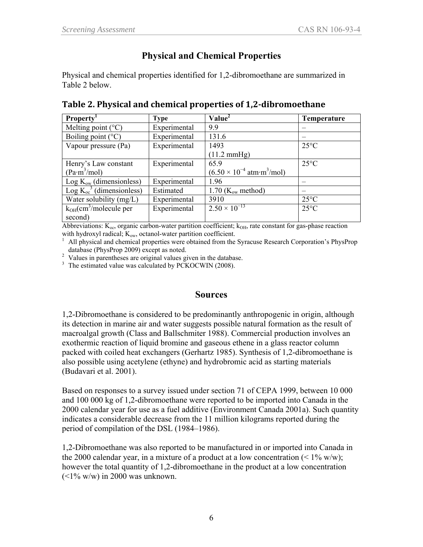# **Physical and Chemical Properties**

Physical and chemical properties identified for 1,2-dibromoethane are summarized in Table 2 below.

| <b>Property</b>                         | <b>Type</b>  | Value <sup>2</sup>                                              | Temperature    |
|-----------------------------------------|--------------|-----------------------------------------------------------------|----------------|
| Melting point $(^{\circ}C)$             | Experimental | 9.9                                                             |                |
| Boiling point $(^{\circ}C)$             | Experimental | 131.6                                                           |                |
| Vapour pressure (Pa)                    | Experimental | 1493                                                            | $25^{\circ}$ C |
|                                         |              | $(11.2 \text{ mmHg})$                                           |                |
| Henry's Law constant                    | Experimental | 65.9                                                            | $25^{\circ}$ C |
| (Pa·m <sup>3</sup> /mol)                |              | $(6.50 \times 10^{-4} \text{ atm} \cdot \text{m}^3/\text{mol})$ |                |
| $Log K_{ow}$ (dimensionless)            | Experimental | 1.96                                                            |                |
| Log $K_{oc}^3$ (dimensionless)          | Estimated    | $1.70$ (K <sub>ow</sub> method)                                 |                |
| Water solubility (mg/L)                 | Experimental | 3910                                                            | $25^{\circ}$ C |
| $k_{OH}$ (cm <sup>3</sup> /molecule per | Experimental | $2.50 \times 10^{-13}$                                          | $25^{\circ}$ C |
| second)                                 |              |                                                                 |                |

|  | Table 2. Physical and chemical properties of 1,2-dibromoethane |
|--|----------------------------------------------------------------|
|--|----------------------------------------------------------------|

Abbreviations:  $K_{\text{oc}}$ , organic carbon-water partition coefficient;  $k_{OH}$ , rate constant for gas-phase reaction with hydroxyl radical;  $K_{ow}$ , octanol-water partition coefficient.

All physical and chemical properties were obtained from the Syracuse Research Corporation's PhysProp

database (PhysProp 2009) except as noted.<br><sup>2</sup> Values in parentheses are original values given in the database.

<sup>3</sup> The estimated value was calculated by PCKOCWIN (2008).

### **Sources**

1,2-Dibromoethane is considered to be predominantly anthropogenic in origin, although its detection in marine air and water suggests possible natural formation as the result of macroalgal growth (Class and Ballschmiter 1988). Commercial production involves an exothermic reaction of liquid bromine and gaseous ethene in a glass reactor column packed with coiled heat exchangers (Gerhartz 1985). Synthesis of 1,2-dibromoethane is also possible using acetylene (ethyne) and hydrobromic acid as starting materials (Budavari et al. 2001).

Based on responses to a survey issued under section 71 of CEPA 1999, between 10 000 and 100 000 kg of 1,2-dibromoethane were reported to be imported into Canada in the 2000 calendar year for use as a fuel additive (Environment Canada 2001a). Such quantity indicates a considerable decrease from the 11 million kilograms reported during the period of compilation of the DSL (1984–1986).

1,2-Dibromoethane was also reported to be manufactured in or imported into Canada in the 2000 calendar year, in a mixture of a product at a low concentration  $(< 1\%$  w/w); however the total quantity of 1,2-dibromoethane in the product at a low concentration  $(<1\%$  w/w) in 2000 was unknown.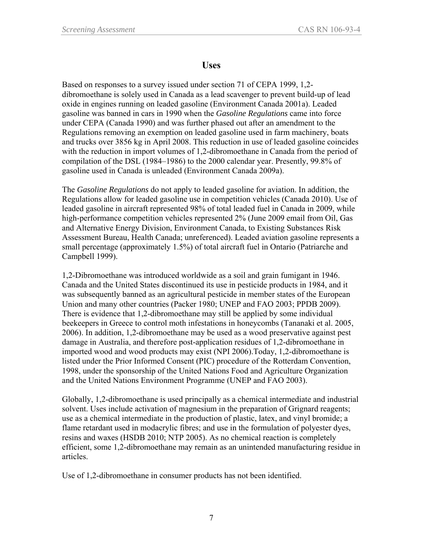## **Uses**

Based on responses to a survey issued under section 71 of CEPA 1999, 1,2 dibromoethane is solely used in Canada as a lead scavenger to prevent build-up of lead oxide in engines running on leaded gasoline (Environment Canada 2001a). Leaded gasoline was banned in cars in 1990 when the *Gasoline Regulations* came into force under CEPA (Canada 1990) and was further phased out after an amendment to the Regulations removing an exemption on leaded gasoline used in farm machinery, boats and trucks over 3856 kg in April 2008. This reduction in use of leaded gasoline coincides with the reduction in import volumes of 1,2-dibromoethane in Canada from the period of compilation of the DSL (1984–1986) to the 2000 calendar year. Presently, 99.8% of gasoline used in Canada is unleaded (Environment Canada 2009a).

The *Gasoline Regulations* do not apply to leaded gasoline for aviation. In addition, the Regulations allow for leaded gasoline use in competition vehicles (Canada 2010). Use of leaded gasoline in aircraft represented 98% of total leaded fuel in Canada in 2009, while high-performance competition vehicles represented 2% (June 2009 email from Oil, Gas and Alternative Energy Division, Environment Canada, to Existing Substances Risk Assessment Bureau, Health Canada; unreferenced). Leaded aviation gasoline represents a small percentage (approximately 1.5%) of total aircraft fuel in Ontario (Patriarche and Campbell 1999).

1,2-Dibromoethane was introduced worldwide as a soil and grain fumigant in 1946. Canada and the United States discontinued its use in pesticide products in 1984, and it was subsequently banned as an agricultural pesticide in member states of the European Union and many other countries (Packer 1980; UNEP and FAO 2003; PPDB 2009). There is evidence that 1,2-dibromoethane may still be applied by some individual beekeepers in Greece to control moth infestations in honeycombs (Tananaki et al. 2005, 2006). In addition, 1,2-dibromoethane may be used as a wood preservative against pest damage in Australia, and therefore post-application residues of 1,2-dibromoethane in imported wood and wood products may exist (NPI 2006).Today, 1,2-dibromoethane is listed under the Prior Informed Consent (PIC) procedure of the Rotterdam Convention, 1998, under the sponsorship of the United Nations Food and Agriculture Organization and the United Nations Environment Programme (UNEP and FAO 2003).

Globally, 1,2-dibromoethane is used principally as a chemical intermediate and industrial solvent. Uses include activation of magnesium in the preparation of Grignard reagents; use as a chemical intermediate in the production of plastic, latex, and vinyl bromide; a flame retardant used in modacrylic fibres; and use in the formulation of polyester dyes, resins and waxes (HSDB 2010; NTP 2005). As no chemical reaction is completely efficient, some 1,2-dibromoethane may remain as an unintended manufacturing residue in articles.

Use of 1,2-dibromoethane in consumer products has not been identified.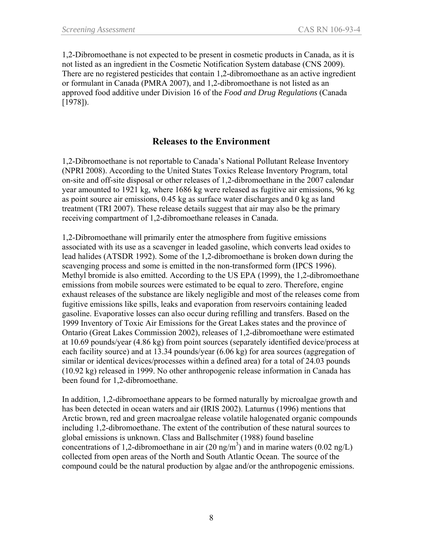1,2-Dibromoethane is not expected to be present in cosmetic products in Canada, as it is not listed as an ingredient in the Cosmetic Notification System database (CNS 2009). There are no registered pesticides that contain 1,2-dibromoethane as an active ingredient or formulant in Canada (PMRA 2007), and 1,2-dibromoethane is not listed as an approved food additive under Division 16 of the *Food and Drug Regulations* (Canada [1978]).

### **Releases to the Environment**

1,2-Dibromoethane is not reportable to Canada's National Pollutant Release Inventory (NPRI 2008). According to the United States Toxics Release Inventory Program, total on-site and off-site disposal or other releases of 1,2-dibromoethane in the 2007 calendar year amounted to 1921 kg, where 1686 kg were released as fugitive air emissions, 96 kg as point source air emissions, 0.45 kg as surface water discharges and 0 kg as land treatment (TRI 2007). These release details suggest that air may also be the primary receiving compartment of 1,2-dibromoethane releases in Canada.

1,2-Dibromoethane will primarily enter the atmosphere from fugitive emissions associated with its use as a scavenger in leaded gasoline, which converts lead oxides to lead halides (ATSDR 1992). Some of the 1,2-dibromoethane is broken down during the scavenging process and some is emitted in the non-transformed form (IPCS 1996). Methyl bromide is also emitted. According to the US EPA (1999), the 1,2-dibromoethane emissions from mobile sources were estimated to be equal to zero. Therefore, engine exhaust releases of the substance are likely negligible and most of the releases come from fugitive emissions like spills, leaks and evaporation from reservoirs containing leaded gasoline. Evaporative losses can also occur during refilling and transfers. Based on the 1999 Inventory of Toxic Air Emissions for the Great Lakes states and the province of Ontario (Great Lakes Commission 2002), releases of 1,2-dibromoethane were estimated at 10.69 pounds/year (4.86 kg) from point sources (separately identified device/process at each facility source) and at 13.34 pounds/year (6.06 kg) for area sources (aggregation of similar or identical devices/processes within a defined area) for a total of 24.03 pounds (10.92 kg) released in 1999. No other anthropogenic release information in Canada has been found for 1,2-dibromoethane.

In addition, 1,2-dibromoethane appears to be formed naturally by microalgae growth and has been detected in ocean waters and air (IRIS 2002). Laturnus (1996) mentions that Arctic brown, red and green macroalgae release volatile halogenated organic compounds including 1,2-dibromoethane. The extent of the contribution of these natural sources to global emissions is unknown. Class and Ballschmiter (1988) found baseline concentrations of 1,2-dibromoethane in air  $(20 \text{ ng/m}^3)$  and in marine waters  $(0.02 \text{ ng/L})$ collected from open areas of the North and South Atlantic Ocean. The source of the compound could be the natural production by algae and/or the anthropogenic emissions.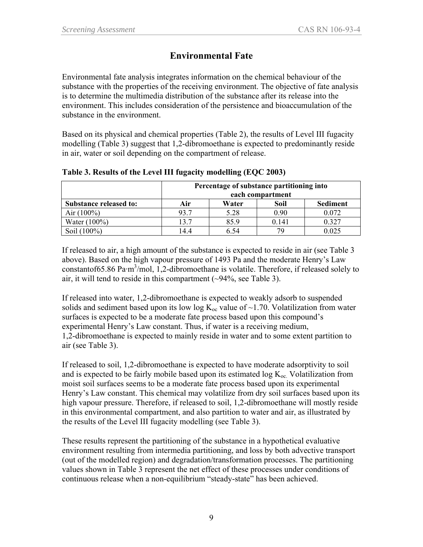# **Environmental Fate**

Environmental fate analysis integrates information on the chemical behaviour of the substance with the properties of the receiving environment. The objective of fate analysis is to determine the multimedia distribution of the substance after its release into the environment. This includes consideration of the persistence and bioaccumulation of the substance in the environment.

Based on its physical and chemical properties (Table 2), the results of Level III fugacity modelling (Table 3) suggest that 1,2-dibromoethane is expected to predominantly reside in air, water or soil depending on the compartment of release.

|                               | Percentage of substance partitioning into<br>each compartment |       |       |                 |  |
|-------------------------------|---------------------------------------------------------------|-------|-------|-----------------|--|
| <b>Substance released to:</b> | Air                                                           | Water | Soil  | <b>Sediment</b> |  |
| Air $(100\%)$                 | 93.7                                                          | 5.28  | 0.90  | 0.072           |  |
| Water $(100\%)$               | 13.7                                                          | 85.9  | 0.141 | 0.327           |  |
| Soil (100%)                   | 14 4                                                          | 6 54  | 70    | 0.025           |  |

**Table 3. Results of the Level III fugacity modelling (EQC 2003)** 

If released to air, a high amount of the substance is expected to reside in air (see Table 3 above). Based on the high vapour pressure of 1493 Pa and the moderate Henry's Law constantof65.86 Pa·m<sup>3</sup>/mol, 1,2-dibromoethane is volatile. Therefore, if released solely to air, it will tend to reside in this compartment  $(\sim]94\%$ , see Table 3).

If released into water, 1,2-dibromoethane is expected to weakly adsorb to suspended solids and sediment based upon its low log  $K_{oc}$  value of  $\sim$ 1.70. Volatilization from water surfaces is expected to be a moderate fate process based upon this compound's experimental Henry's Law constant. Thus, if water is a receiving medium, 1,2-dibromoethane is expected to mainly reside in water and to some extent partition to air (see Table 3).

If released to soil, 1,2-dibromoethane is expected to have moderate adsorptivity to soil and is expected to be fairly mobile based upon its estimated  $log K_{oc}$ . Volatilization from moist soil surfaces seems to be a moderate fate process based upon its experimental Henry's Law constant. This chemical may volatilize from dry soil surfaces based upon its high vapour pressure. Therefore, if released to soil, 1,2-dibromoethane will mostly reside in this environmental compartment, and also partition to water and air, as illustrated by the results of the Level III fugacity modelling (see Table 3).

These results represent the partitioning of the substance in a hypothetical evaluative environment resulting from intermedia partitioning, and loss by both advective transport (out of the modelled region) and degradation/transformation processes. The partitioning values shown in Table 3 represent the net effect of these processes under conditions of continuous release when a non-equilibrium "steady-state" has been achieved.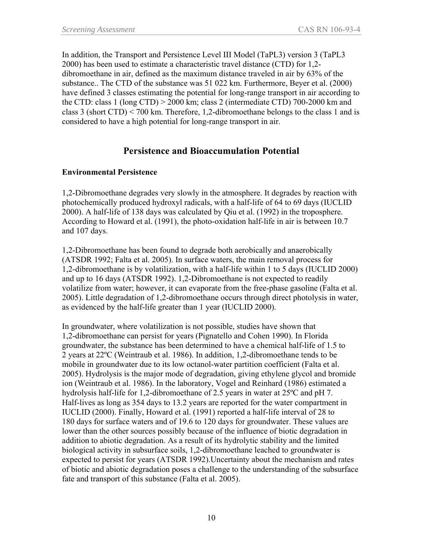In addition, the Transport and Persistence Level III Model (TaPL3) version 3 (TaPL3 2000) has been used to estimate a characteristic travel distance (CTD) for 1,2 dibromoethane in air, defined as the maximum distance traveled in air by 63% of the substance.. The CTD of the substance was 51 022 km. Furthermore, Beyer et al. (2000) have defined 3 classes estimating the potential for long-range transport in air according to the CTD: class 1 (long CTD) > 2000 km; class 2 (intermediate CTD) 700-2000 km and class 3 (short CTD) < 700 km. Therefore, 1,2-dibromoethane belongs to the class 1 and is considered to have a high potential for long-range transport in air.

### **Persistence and Bioaccumulation Potential**

#### **Environmental Persistence**

1,2-Dibromoethane degrades very slowly in the atmosphere. It degrades by reaction with photochemically produced hydroxyl radicals, with a half-life of 64 to 69 days (IUCLID 2000). A half-life of 138 days was calculated by Qiu et al. (1992) in the troposphere. According to Howard et al. (1991), the photo-oxidation half-life in air is between 10.7 and 107 days.

1,2-Dibromoethane has been found to degrade both aerobically and anaerobically (ATSDR 1992; Falta et al. 2005). In surface waters, the main removal process for 1,2-dibromoethane is by volatilization, with a half-life within 1 to 5 days (IUCLID 2000) and up to 16 days (ATSDR 1992). 1,2-Dibromoethane is not expected to readily volatilize from water; however, it can evaporate from the free-phase gasoline (Falta et al. 2005). Little degradation of 1,2-dibromoethane occurs through direct photolysis in water, as evidenced by the half-life greater than 1 year (IUCLID 2000).

In groundwater, where volatilization is not possible, studies have shown that 1,2-dibromoethane can persist for years (Pignatello and Cohen 1990). In Florida groundwater, the substance has been determined to have a chemical half-life of 1.5 to 2 years at 22ºC (Weintraub et al. 1986). In addition, 1,2-dibromoethane tends to be mobile in groundwater due to its low octanol-water partition coefficient (Falta et al. 2005). Hydrolysis is the major mode of degradation, giving ethylene glycol and bromide ion (Weintraub et al. 1986). In the laboratory, Vogel and Reinhard (1986) estimated a hydrolysis half-life for 1,2-dibromoethane of 2.5 years in water at 25ºC and pH 7. Half-lives as long as 354 days to 13.2 years are reported for the water compartment in IUCLID (2000). Finally, Howard et al. (1991) reported a half-life interval of 28 to 180 days for surface waters and of 19.6 to 120 days for groundwater. These values are lower than the other sources possibly because of the influence of biotic degradation in addition to abiotic degradation. As a result of its hydrolytic stability and the limited biological activity in subsurface soils, 1,2-dibromoethane leached to groundwater is expected to persist for years (ATSDR 1992).Uncertainty about the mechanism and rates of biotic and abiotic degradation poses a challenge to the understanding of the subsurface fate and transport of this substance (Falta et al. 2005).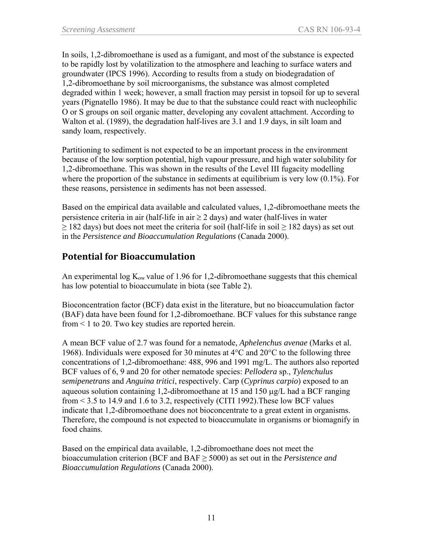In soils, 1,2-dibromoethane is used as a fumigant, and most of the substance is expected to be rapidly lost by volatilization to the atmosphere and leaching to surface waters and groundwater (IPCS 1996). According to results from a study on biodegradation of 1,2-dibromoethane by soil microorganisms, the substance was almost completed degraded within 1 week; however, a small fraction may persist in topsoil for up to several years (Pignatello 1986). It may be due to that the substance could react with nucleophilic O or S groups on soil organic matter, developing any covalent attachment. According to Walton et al. (1989), the degradation half-lives are 3.1 and 1.9 days, in silt loam and sandy loam, respectively.

Partitioning to sediment is not expected to be an important process in the environment because of the low sorption potential, high vapour pressure, and high water solubility for 1,2-dibromoethane. This was shown in the results of the Level III fugacity modelling where the proportion of the substance in sediments at equilibrium is very low  $(0.1\%)$ . For these reasons, persistence in sediments has not been assessed.

Based on the empirical data available and calculated values, 1,2-dibromoethane meets the persistence criteria in air (half-life in air  $\geq 2$  days) and water (half-lives in water  $\geq$  182 days) but does not meet the criteria for soil (half-life in soil  $\geq$  182 days) as set out in the *Persistence and Bioaccumulation Regulations* (Canada 2000).

# **Potential for Bioaccumulation**

An experimental log  $K_{ow}$  value of 1.96 for 1,2-dibromoethane suggests that this chemical has low potential to bioaccumulate in biota (see Table 2).

Bioconcentration factor (BCF) data exist in the literature, but no bioaccumulation factor (BAF) data have been found for 1,2-dibromoethane. BCF values for this substance range from < 1 to 20. Two key studies are reported herein.

A mean BCF value of 2.7 was found for a nematode, *Aphelenchus avenae* (Marks et al. 1968). Individuals were exposed for 30 minutes at  $4^{\circ}$ C and  $20^{\circ}$ C to the following three concentrations of 1,2-dibromoethane: 488, 996 and 1991 mg/L. The authors also reported BCF values of 6, 9 and 20 for other nematode species: *Pellodera* sp., *Tylenchulus semipenetrans* and *Anguina tritici*, respectively. Carp (*Cyprinus carpio*) exposed to an aqueous solution containing 1,2-dibromoethane at 15 and 150 μg/L had a BCF ranging from < 3.5 to 14.9 and 1.6 to 3.2, respectively (CITI 1992).These low BCF values indicate that 1,2-dibromoethane does not bioconcentrate to a great extent in organisms. Therefore, the compound is not expected to bioaccumulate in organisms or biomagnify in food chains.

Based on the empirical data available, 1,2-dibromoethane does not meet the bioaccumulation criterion (BCF and BAF ≥ 5000) as set out in the *Persistence and Bioaccumulation Regulations* (Canada 2000).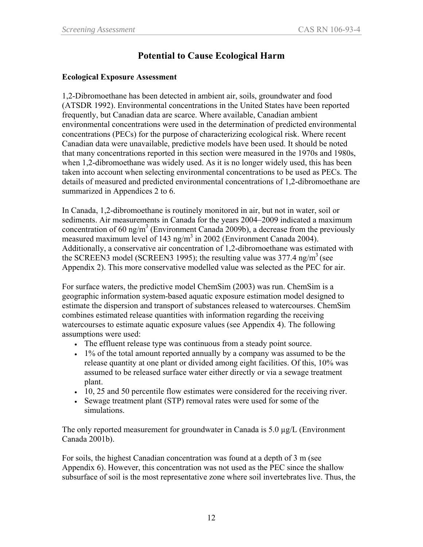# **Potential to Cause Ecological Harm**

#### **Ecological Exposure Assessment**

1,2-Dibromoethane has been detected in ambient air, soils, groundwater and food (ATSDR 1992). Environmental concentrations in the United States have been reported frequently, but Canadian data are scarce. Where available, Canadian ambient environmental concentrations were used in the determination of predicted environmental concentrations (PECs) for the purpose of characterizing ecological risk. Where recent Canadian data were unavailable, predictive models have been used. It should be noted that many concentrations reported in this section were measured in the 1970s and 1980s, when 1,2-dibromoethane was widely used. As it is no longer widely used, this has been taken into account when selecting environmental concentrations to be used as PECs. The details of measured and predicted environmental concentrations of 1,2-dibromoethane are summarized in Appendices 2 to 6.

In Canada, 1,2-dibromoethane is routinely monitored in air, but not in water, soil or sediments. Air measurements in Canada for the years 2004–2009 indicated a maximum concentration of 60 ng/m<sup>3</sup> (Environment Canada 2009b), a decrease from the previously measured maximum level of 143 ng/m<sup>3</sup> in 2002 (Environment Canada 2004). Additionally, a conservative air concentration of 1,2-dibromoethane was estimated with the SCREEN3 model (SCREEN3 1995); the resulting value was  $377.4$  ng/m<sup>3</sup> (see Appendix 2). This more conservative modelled value was selected as the PEC for air.

For surface waters, the predictive model ChemSim (2003) was run. ChemSim is a geographic information system-based aquatic exposure estimation model designed to estimate the dispersion and transport of substances released to watercourses. ChemSim combines estimated release quantities with information regarding the receiving watercourses to estimate aquatic exposure values (see Appendix 4). The following assumptions were used:

- The effluent release type was continuous from a steady point source.
- 1% of the total amount reported annually by a company was assumed to be the release quantity at one plant or divided among eight facilities. Of this, 10% was assumed to be released surface water either directly or via a sewage treatment plant.
- 10, 25 and 50 percentile flow estimates were considered for the receiving river.
- Sewage treatment plant (STP) removal rates were used for some of the simulations.

The only reported measurement for groundwater in Canada is 5.0  $\mu$ g/L (Environment Canada 2001b).

For soils, the highest Canadian concentration was found at a depth of 3 m (see Appendix 6). However, this concentration was not used as the PEC since the shallow subsurface of soil is the most representative zone where soil invertebrates live. Thus, the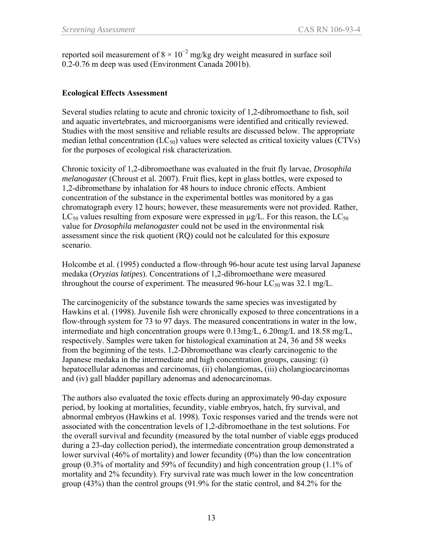reported soil measurement of  $8 \times 10^{-2}$  mg/kg dry weight measured in surface soil 0.2-0.76 m deep was used (Environment Canada 2001b).

#### **Ecological Effects Assessment**

Several studies relating to acute and chronic toxicity of 1,2-dibromoethane to fish, soil and aquatic invertebrates, and microorganisms were identified and critically reviewed. Studies with the most sensitive and reliable results are discussed below. The appropriate median lethal concentration  $(LC_{50})$  values were selected as critical toxicity values  $(CTVs)$ for the purposes of ecological risk characterization.

Chronic toxicity of 1,2-dibromoethane was evaluated in the fruit fly larvae, *Drosophila melanogaster* (Chroust et al. 2007). Fruit flies, kept in glass bottles, were exposed to 1,2-dibromethane by inhalation for 48 hours to induce chronic effects. Ambient concentration of the substance in the experimental bottles was monitored by a gas chromatograph every 12 hours; however, these measurements were not provided. Rather, LC<sub>50</sub> values resulting from exposure were expressed in  $\mu$ g/L. For this reason, the LC<sub>50</sub> value for *Drosophila melanogaster* could not be used in the environmental risk assessment since the risk quotient (RQ) could not be calculated for this exposure scenario.

Holcombe et al. (1995) conducted a flow-through 96-hour acute test using larval Japanese medaka (*Oryzias latipes*). Concentrations of 1,2-dibromoethane were measured throughout the course of experiment. The measured 96-hour  $LC_{50}$  was 32.1 mg/L.

The carcinogenicity of the substance towards the same species was investigated by Hawkins et al. (1998). Juvenile fish were chronically exposed to three concentrations in a flow-through system for 73 to 97 days. The measured concentrations in water in the low, intermediate and high concentration groups were 0.13mg/L, 6.20mg/L and 18.58 mg/L, respectively. Samples were taken for histological examination at 24, 36 and 58 weeks from the beginning of the tests. 1,2-Dibromoethane was clearly carcinogenic to the Japanese medaka in the intermediate and high concentration groups, causing: (i) hepatocellular adenomas and carcinomas, (ii) cholangiomas, (iii) cholangiocarcinomas and (iv) gall bladder papillary adenomas and adenocarcinomas.

The authors also evaluated the toxic effects during an approximately 90-day exposure period, by looking at mortalities, fecundity, viable embryos, hatch, fry survival, and abnormal embryos (Hawkins et al. 1998). Toxic responses varied and the trends were not associated with the concentration levels of 1,2-dibromoethane in the test solutions. For the overall survival and fecundity (measured by the total number of viable eggs produced during a 23-day collection period), the intermediate concentration group demonstrated a lower survival (46% of mortality) and lower fecundity (0%) than the low concentration group (0.3% of mortality and 59% of fecundity) and high concentration group (1.1% of mortality and 2% fecundity). Fry survival rate was much lower in the low concentration group (43%) than the control groups (91.9% for the static control, and 84.2% for the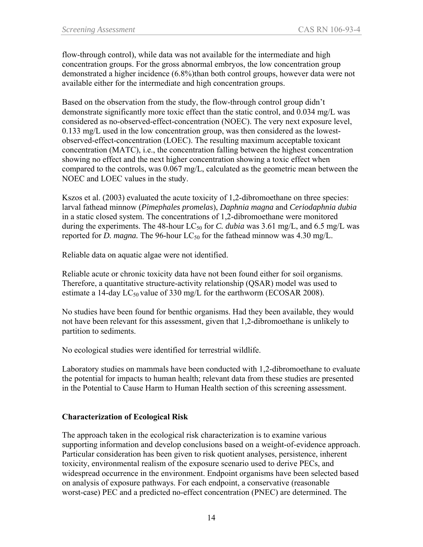flow-through control), while data was not available for the intermediate and high concentration groups. For the gross abnormal embryos, the low concentration group demonstrated a higher incidence (6.8%)than both control groups, however data were not available either for the intermediate and high concentration groups.

Based on the observation from the study, the flow-through control group didn't demonstrate significantly more toxic effect than the static control, and 0.034 mg/L was considered as no-observed-effect-concentration (NOEC). The very next exposure level, 0.133 mg/L used in the low concentration group, was then considered as the lowestobserved-effect-concentration (LOEC). The resulting maximum acceptable toxicant concentration (MATC), i.e., the concentration falling between the highest concentration showing no effect and the next higher concentration showing a toxic effect when compared to the controls, was 0.067 mg/L, calculated as the geometric mean between the NOEC and LOEC values in the study.

Kszos et al. (2003) evaluated the acute toxicity of 1,2-dibromoethane on three species: larval fathead minnow (*Pimephales promelas*), *Daphnia magna* and *Ceriodaphnia dubia*  in a static closed system. The concentrations of 1,2-dibromoethane were monitored during the experiments. The 48-hour LC<sub>50</sub> for *C. dubia* was 3.61 mg/L, and 6.5 mg/L was reported for *D. magna*. The 96-hour  $LC_{50}$  for the fathead minnow was 4.30 mg/L.

Reliable data on aquatic algae were not identified.

Reliable acute or chronic toxicity data have not been found either for soil organisms. Therefore, a quantitative structure-activity relationship (QSAR) model was used to estimate a 14-day  $LC_{50}$  value of 330 mg/L for the earthworm (ECOSAR 2008).

No studies have been found for benthic organisms. Had they been available, they would not have been relevant for this assessment, given that 1,2-dibromoethane is unlikely to partition to sediments.

No ecological studies were identified for terrestrial wildlife.

Laboratory studies on mammals have been conducted with 1,2-dibromoethane to evaluate the potential for impacts to human health; relevant data from these studies are presented in the Potential to Cause Harm to Human Health section of this screening assessment.

### **Characterization of Ecological Risk**

The approach taken in the ecological risk characterization is to examine various supporting information and develop conclusions based on a weight-of-evidence approach. Particular consideration has been given to risk quotient analyses, persistence, inherent toxicity, environmental realism of the exposure scenario used to derive PECs, and widespread occurrence in the environment. Endpoint organisms have been selected based on analysis of exposure pathways. For each endpoint, a conservative (reasonable worst-case) PEC and a predicted no-effect concentration (PNEC) are determined. The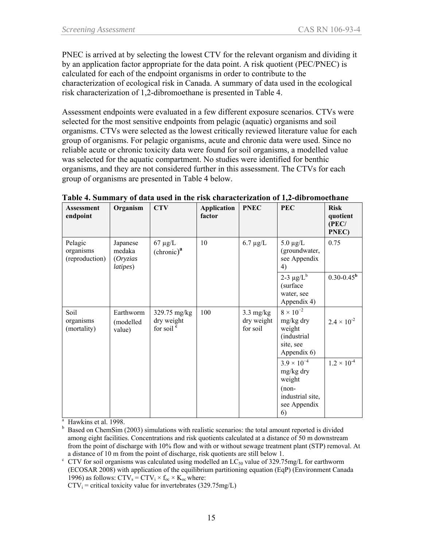PNEC is arrived at by selecting the lowest CTV for the relevant organism and dividing it by an application factor appropriate for the data point. A risk quotient (PEC/PNEC) is calculated for each of the endpoint organisms in order to contribute to the characterization of ecological risk in Canada. A summary of data used in the ecological risk characterization of 1,2-dibromoethane is presented in Table 4.

Assessment endpoints were evaluated in a few different exposure scenarios. CTVs were selected for the most sensitive endpoints from pelagic (aquatic) organisms and soil organisms. CTVs were selected as the lowest critically reviewed literature value for each group of organisms. For pelagic organisms, acute and chronic data were used. Since no reliable acute or chronic toxicity data were found for soil organisms, a modelled value was selected for the aquatic compartment. No studies were identified for benthic organisms, and they are not considered further in this assessment. The CTVs for each group of organisms are presented in Table 4 below.

| <b>Assessment</b><br>endpoint          | Organism                                   | <b>CTV</b>                                          | <b>Application</b><br>factor | <b>PNEC</b>                                   | <b>PEC</b>                                                                                 | <b>Risk</b><br>quotient<br>(PEC/<br>PNEC) |
|----------------------------------------|--------------------------------------------|-----------------------------------------------------|------------------------------|-----------------------------------------------|--------------------------------------------------------------------------------------------|-------------------------------------------|
| Pelagic<br>organisms<br>(reproduction) | Japanese<br>medaka<br>(Oryzias<br>latipes) | $67 \mu g/L$<br>(chronic) <sup>a</sup>              | 10                           | $6.7 \mu g/L$                                 | $5.0 \mu g/L$<br>(groundwater,<br>see Appendix<br>4)                                       | 0.75                                      |
|                                        |                                            |                                                     |                              |                                               | 2-3 $\mu$ g/L <sup>b</sup><br>(surface<br>water, see<br>Appendix 4)                        | $0.30 - 0.45^{\rm b}$                     |
| Soil<br>organisms<br>(mortality)       | Earthworm<br>(modelled<br>value)           | 329.75 mg/kg<br>dry weight<br>for soil <sup>c</sup> | 100                          | $3.3 \text{ mg/kg}$<br>dry weight<br>for soil | $8 \times 10^{-2}$<br>mg/kg dry<br>weight<br>(industrial<br>site, see<br>Appendix 6)       | $2.4 \times 10^{-2}$                      |
|                                        |                                            |                                                     |                              |                                               | $3.9 \times 10^{-4}$<br>mg/kg dry<br>weight<br>$(non-$<br>industrial site,<br>see Appendix | $1.2 \times 10^{-4}$                      |
|                                        |                                            |                                                     |                              |                                               | 6)                                                                                         |                                           |

**Table 4. Summary of data used in the risk characterization of 1,2-dibromoethane** 

<sup>a</sup> Hawkins et al. 1998.

 $CTV_i$  = critical toxicity value for invertebrates (329.75mg/L)

b Based on ChemSim (2003) simulations with realistic scenarios: the total amount reported is divided among eight facilities. Concentrations and risk quotients calculated at a distance of 50 m downstream from the point of discharge with 10% flow and with or without sewage treatment plant (STP) removal. At a distance of 10 m from the point of discharge, risk quotients are still below 1.

 $\text{C}$  CTV for soil organisms was calculated using modelled an LC<sub>50</sub> value of 329.75mg/L for earthworm (ECOSAR 2008) with application of the equilibrium partitioning equation (EqP) (Environment Canada 1996) as follows:  $CTV_s = CTV_i \times f_{oc} \times K_{oc}$  where: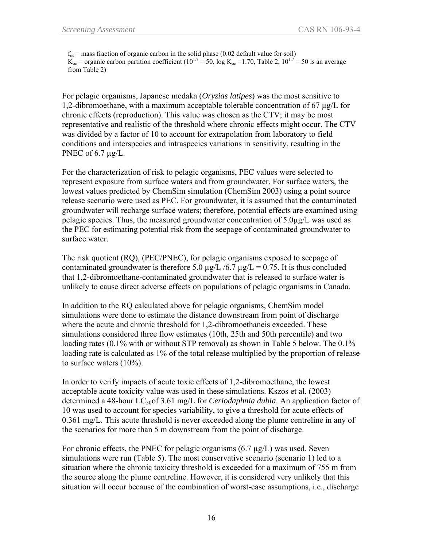$f_{oc}$  = mass fraction of organic carbon in the solid phase (0.02 default value for soil)  $K_{\text{oc}}$  = organic carbon partition coefficient (10<sup>1.7</sup> = 50, log K<sub>oc</sub> = 1.70, Table 2, 10<sup>1.7</sup> = 50 is an average from Table 2)

For pelagic organisms, Japanese medaka (*Oryzias latipes*) was the most sensitive to 1,2-dibromoethane, with a maximum acceptable tolerable concentration of 67  $\mu$ g/L for chronic effects (reproduction). This value was chosen as the CTV; it may be most representative and realistic of the threshold where chronic effects might occur. The CTV was divided by a factor of 10 to account for extrapolation from laboratory to field conditions and interspecies and intraspecies variations in sensitivity, resulting in the PNEC of  $6.7 \mu$ g/L.

For the characterization of risk to pelagic organisms, PEC values were selected to represent exposure from surface waters and from groundwater. For surface waters, the lowest values predicted by ChemSim simulation (ChemSim 2003) using a point source release scenario were used as PEC. For groundwater, it is assumed that the contaminated groundwater will recharge surface waters; therefore, potential effects are examined using pelagic species. Thus, the measured groundwater concentration of 5.0µg/L was used as the PEC for estimating potential risk from the seepage of contaminated groundwater to surface water.

The risk quotient (RQ), (PEC/PNEC), for pelagic organisms exposed to seepage of contaminated groundwater is therefore 5.0  $\mu$ g/L /6.7  $\mu$ g/L = 0.75. It is thus concluded that 1,2-dibromoethane-contaminated groundwater that is released to surface water is unlikely to cause direct adverse effects on populations of pelagic organisms in Canada.

In addition to the RQ calculated above for pelagic organisms, ChemSim model simulations were done to estimate the distance downstream from point of discharge where the acute and chronic threshold for 1,2-dibromoethaneis exceeded. These simulations considered three flow estimates (10th, 25th and 50th percentile) and two loading rates (0.1% with or without STP removal) as shown in Table 5 below. The 0.1% loading rate is calculated as 1% of the total release multiplied by the proportion of release to surface waters (10%).

In order to verify impacts of acute toxic effects of 1,2-dibromoethane, the lowest acceptable acute toxicity value was used in these simulations. Kszos et al. (2003) determined a 48-hour LC<sub>50</sub>of 3.61 mg/L for *Ceriodaphnia dubia*. An application factor of 10 was used to account for species variability, to give a threshold for acute effects of 0.361 mg/L. This acute threshold is never exceeded along the plume centreline in any of the scenarios for more than 5 m downstream from the point of discharge.

For chronic effects, the PNEC for pelagic organisms  $(6.7 \mu g/L)$  was used. Seven simulations were run (Table 5). The most conservative scenario (scenario 1) led to a situation where the chronic toxicity threshold is exceeded for a maximum of 755 m from the source along the plume centreline. However, it is considered very unlikely that this situation will occur because of the combination of worst-case assumptions, i.e., discharge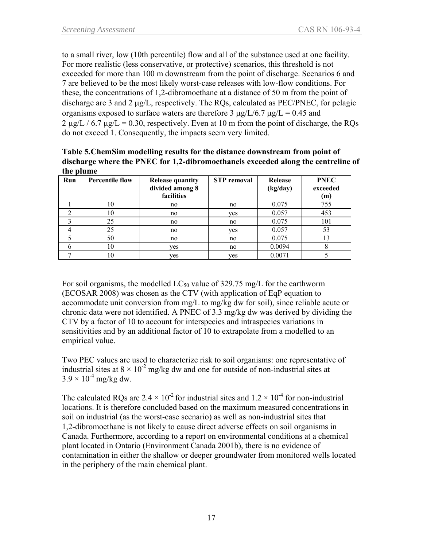to a small river, low (10th percentile) flow and all of the substance used at one facility. For more realistic (less conservative, or protective) scenarios, this threshold is not exceeded for more than 100 m downstream from the point of discharge. Scenarios 6 and 7 are believed to be the most likely worst-case releases with low-flow conditions. For these, the concentrations of 1,2-dibromoethane at a distance of 50 m from the point of discharge are 3 and 2 μg/L, respectively. The RQs, calculated as PEC/PNEC, for pelagic organisms exposed to surface waters are therefore 3  $\mu$ g/L/6.7  $\mu$ g/L = 0.45 and  $2 \mu g/L / 6.7 \mu g/L = 0.30$ , respectively. Even at 10 m from the point of discharge, the RQs do not exceed 1. Consequently, the impacts seem very limited.

| Table 5. ChemSim modelling results for the distance downstream from point of       |  |  |  |
|------------------------------------------------------------------------------------|--|--|--|
| discharge where the PNEC for 1,2-dibromoethane is exceeded along the centreline of |  |  |  |
| the plume                                                                          |  |  |  |

| Run | <b>Percentile flow</b> | <b>Release quantity</b><br>divided among 8<br>facilities | <b>STP</b> removal | Release<br>(kg/day) | <b>PNEC</b><br>exceeded<br>(m) |
|-----|------------------------|----------------------------------------------------------|--------------------|---------------------|--------------------------------|
|     | 10                     | no                                                       | no                 | 0.075               | 755                            |
|     | 10                     | no                                                       | yes                | 0.057               | 453                            |
|     | 25                     | no                                                       | no                 | 0.075               | 101                            |
|     | 25                     | no                                                       | yes                | 0.057               | 53                             |
|     | 50                     | no                                                       | no                 | 0.075               | 13                             |
|     | 10                     | yes                                                      | no                 | 0.0094              |                                |
|     |                        | ves                                                      | ves                | 0.0071              |                                |

For soil organisms, the modelled  $LC_{50}$  value of 329.75 mg/L for the earthworm (ECOSAR 2008) was chosen as the CTV (with application of EqP equation to accommodate unit conversion from mg/L to mg/kg dw for soil), since reliable acute or chronic data were not identified. A PNEC of 3.3 mg/kg dw was derived by dividing the CTV by a factor of 10 to account for interspecies and intraspecies variations in sensitivities and by an additional factor of 10 to extrapolate from a modelled to an empirical value.

Two PEC values are used to characterize risk to soil organisms: one representative of industrial sites at  $8 \times 10^{-2}$  mg/kg dw and one for outside of non-industrial sites at  $3.9 \times 10^{-4}$  mg/kg dw.

The calculated ROs are  $2.4 \times 10^{-2}$  for industrial sites and  $1.2 \times 10^{-4}$  for non-industrial locations. It is therefore concluded based on the maximum measured concentrations in soil on industrial (as the worst-case scenario) as well as non-industrial sites that 1,2-dibromoethane is not likely to cause direct adverse effects on soil organisms in Canada. Furthermore, according to a report on environmental conditions at a chemical plant located in Ontario (Environment Canada 2001b), there is no evidence of contamination in either the shallow or deeper groundwater from monitored wells located in the periphery of the main chemical plant.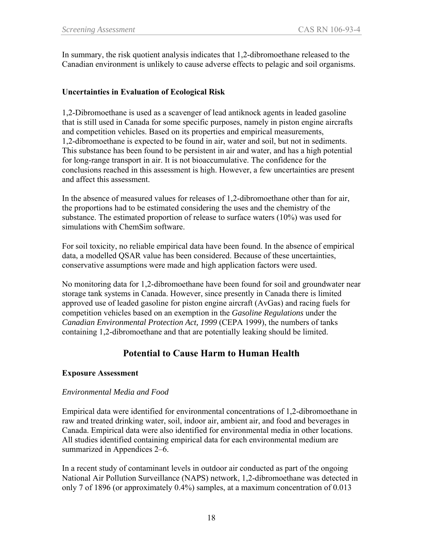In summary, the risk quotient analysis indicates that 1,2-dibromoethane released to the Canadian environment is unlikely to cause adverse effects to pelagic and soil organisms.

#### **Uncertainties in Evaluation of Ecological Risk**

1,2-Dibromoethane is used as a scavenger of lead antiknock agents in leaded gasoline that is still used in Canada for some specific purposes, namely in piston engine aircrafts and competition vehicles. Based on its properties and empirical measurements, 1,2-dibromoethane is expected to be found in air, water and soil, but not in sediments. This substance has been found to be persistent in air and water, and has a high potential for long-range transport in air. It is not bioaccumulative. The confidence for the conclusions reached in this assessment is high. However, a few uncertainties are present and affect this assessment.

In the absence of measured values for releases of 1,2-dibromoethane other than for air, the proportions had to be estimated considering the uses and the chemistry of the substance. The estimated proportion of release to surface waters (10%) was used for simulations with ChemSim software.

For soil toxicity, no reliable empirical data have been found. In the absence of empirical data, a modelled QSAR value has been considered. Because of these uncertainties, conservative assumptions were made and high application factors were used.

No monitoring data for 1,2-dibromoethane have been found for soil and groundwater near storage tank systems in Canada. However, since presently in Canada there is limited approved use of leaded gasoline for piston engine aircraft (AvGas) and racing fuels for competition vehicles based on an exemption in the *Gasoline Regulations* under the *Canadian Environmental Protection Act, 1999* (CEPA 1999), the numbers of tanks containing 1,2-dibromoethane and that are potentially leaking should be limited.

# **Potential to Cause Harm to Human Health**

#### **Exposure Assessment**

#### *Environmental Media and Food*

Empirical data were identified for environmental concentrations of 1,2-dibromoethane in raw and treated drinking water, soil, indoor air, ambient air, and food and beverages in Canada. Empirical data were also identified for environmental media in other locations. All studies identified containing empirical data for each environmental medium are summarized in Appendices 2–6.

In a recent study of contaminant levels in outdoor air conducted as part of the ongoing National Air Pollution Surveillance (NAPS) network, 1,2-dibromoethane was detected in only 7 of 1896 (or approximately 0.4%) samples, at a maximum concentration of 0.013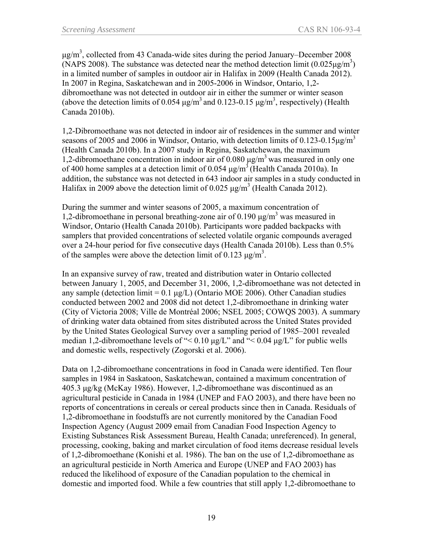$\mu$ g/m<sup>3</sup>, collected from 43 Canada-wide sites during the period January–December 2008 (NAPS 2008). The substance was detected near the method detection limit  $(0.025 \mu\text{g/m}^3)$ in a limited number of samples in outdoor air in Halifax in 2009 (Health Canada 2012). In 2007 in Regina, Saskatchewan and in 2005-2006 in Windsor, Ontario, 1,2 dibromoethane was not detected in outdoor air in either the summer or winter season (above the detection limits of 0.054  $\mu$ g/m<sup>3</sup> and 0.123-0.15  $\mu$ g/m<sup>3</sup>, respectively) (Health Canada 2010b).

1,2-Dibromoethane was not detected in indoor air of residences in the summer and winter seasons of 2005 and 2006 in Windsor, Ontario, with detection limits of 0.123-0.15 $\mu$ g/m<sup>3</sup> (Health Canada 2010b). In a 2007 study in Regina, Saskatchewan, the maximum 1,2-dibromoethane concentration in indoor air of 0.080 μg/m<sup>3</sup> was measured in only one of 400 home samples at a detection limit of 0.054  $\mu$ g/m<sup>3</sup> (Health Canada 2010a). In addition, the substance was not detected in 643 indoor air samples in a study conducted in Halifax in 2009 above the detection limit of 0.025  $\mu$ g/m<sup>3</sup> (Health Canada 2012).

During the summer and winter seasons of 2005, a maximum concentration of 1,2-dibromoethane in personal breathing-zone air of 0.190 μg/m<sup>3</sup> was measured in Windsor, Ontario (Health Canada 2010b). Participants wore padded backpacks with samplers that provided concentrations of selected volatile organic compounds averaged over a 24-hour period for five consecutive days (Health Canada 2010b). Less than 0.5% of the samples were above the detection limit of 0.123  $\mu$ g/m<sup>3</sup>.

In an expansive survey of raw, treated and distribution water in Ontario collected between January 1, 2005, and December 31, 2006, 1,2-dibromoethane was not detected in any sample (detection limit = 0.1 μg/L) (Ontario MOE 2006). Other Canadian studies conducted between 2002 and 2008 did not detect 1,2-dibromoethane in drinking water (City of Victoria 2008; Ville de Montréal 2006; NSEL 2005; COWQS 2003). A summary of drinking water data obtained from sites distributed across the United States provided by the United States Geological Survey over a sampling period of 1985–2001 revealed median 1,2-dibromoethane levels of " $< 0.10 \mu g/L$ " and " $< 0.04 \mu g/L$ " for public wells and domestic wells, respectively (Zogorski et al. 2006).

Data on 1,2-dibromoethane concentrations in food in Canada were identified. Ten flour samples in 1984 in Saskatoon, Saskatchewan, contained a maximum concentration of 405.3 μg/kg (McKay 1986). However, 1,2-dibromoethane was discontinued as an agricultural pesticide in Canada in 1984 (UNEP and FAO 2003), and there have been no reports of concentrations in cereals or cereal products since then in Canada. Residuals of 1,2-dibromoethane in foodstuffs are not currently monitored by the Canadian Food Inspection Agency (August 2009 email from Canadian Food Inspection Agency to Existing Substances Risk Assessment Bureau, Health Canada; unreferenced). In general, processing, cooking, baking and market circulation of food items decrease residual levels of 1,2-dibromoethane (Konishi et al. 1986). The ban on the use of 1,2-dibromoethane as an agricultural pesticide in North America and Europe (UNEP and FAO 2003) has reduced the likelihood of exposure of the Canadian population to the chemical in domestic and imported food. While a few countries that still apply 1,2-dibromoethane to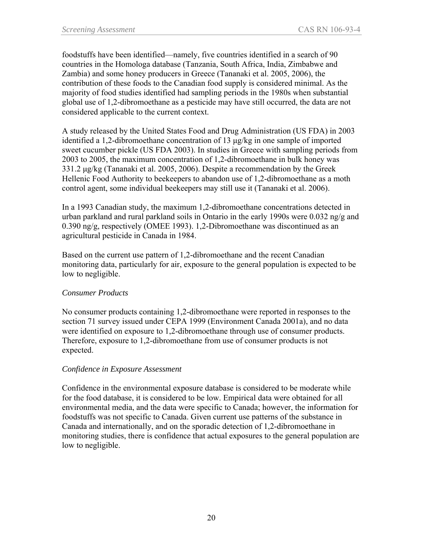foodstuffs have been identified—namely, five countries identified in a search of 90 countries in the Homologa database (Tanzania, South Africa, India, Zimbabwe and Zambia) and some honey producers in Greece (Tananaki et al. 2005, 2006), the contribution of these foods to the Canadian food supply is considered minimal. As the majority of food studies identified had sampling periods in the 1980s when substantial global use of 1,2-dibromoethane as a pesticide may have still occurred, the data are not considered applicable to the current context.

A study released by the United States Food and Drug Administration (US FDA) in 2003 identified a 1,2-dibromoethane concentration of 13 μg/kg in one sample of imported sweet cucumber pickle (US FDA 2003). In studies in Greece with sampling periods from 2003 to 2005, the maximum concentration of 1,2-dibromoethane in bulk honey was 331.2 μg/kg (Tananaki et al. 2005, 2006). Despite a recommendation by the Greek Hellenic Food Authority to beekeepers to abandon use of 1,2-dibromoethane as a moth control agent, some individual beekeepers may still use it (Tananaki et al. 2006).

In a 1993 Canadian study, the maximum 1,2-dibromoethane concentrations detected in urban parkland and rural parkland soils in Ontario in the early 1990s were 0.032 ng/g and 0.390 ng/g, respectively (OMEE 1993). 1,2-Dibromoethane was discontinued as an agricultural pesticide in Canada in 1984.

Based on the current use pattern of 1,2-dibromoethane and the recent Canadian monitoring data, particularly for air, exposure to the general population is expected to be low to negligible.

### *Consumer Products*

No consumer products containing 1,2-dibromoethane were reported in responses to the section 71 survey issued under CEPA 1999 (Environment Canada 2001a), and no data were identified on exposure to 1,2-dibromoethane through use of consumer products. Therefore, exposure to 1,2-dibromoethane from use of consumer products is not expected.

### *Confidence in Exposure Assessment*

Confidence in the environmental exposure database is considered to be moderate while for the food database, it is considered to be low. Empirical data were obtained for all environmental media, and the data were specific to Canada; however, the information for foodstuffs was not specific to Canada. Given current use patterns of the substance in Canada and internationally, and on the sporadic detection of 1,2-dibromoethane in monitoring studies, there is confidence that actual exposures to the general population are low to negligible.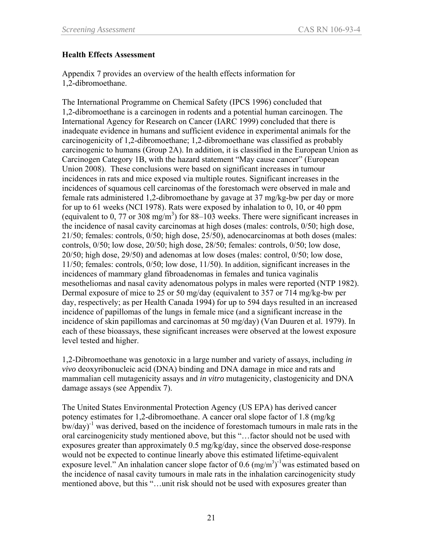#### **Health Effects Assessment**

Appendix 7 provides an overview of the health effects information for 1,2-dibromoethane.

The International Programme on Chemical Safety (IPCS 1996) concluded that 1,2-dibromoethane is a carcinogen in rodents and a potential human carcinogen. The International Agency for Research on Cancer (IARC 1999) concluded that there is inadequate evidence in humans and sufficient evidence in experimental animals for the carcinogenicity of 1,2-dibromoethane; 1,2-dibromoethane was classified as probably carcinogenic to humans (Group 2A). In addition, it is classified in the European Union as Carcinogen Category 1B, with the hazard statement "May cause cancer" (European Union 2008). These conclusions were based on significant increases in tumour incidences in rats and mice exposed via multiple routes. Significant increases in the incidences of squamous cell carcinomas of the forestomach were observed in male and female rats administered 1,2-dibromoethane by gavage at 37 mg/kg-bw per day or more for up to 61 weeks (NCI 1978). Rats were exposed by inhalation to 0, 10, or 40 ppm (equivalent to 0, 77 or 308 mg/m<sup>3</sup>) for 88–103 weeks. There were significant increases in the incidence of nasal cavity carcinomas at high doses (males: controls, 0/50; high dose, 21/50; females: controls, 0/50; high dose, 25/50), adenocarcinomas at both doses (males: controls, 0/50; low dose, 20/50; high dose, 28/50; females: controls, 0/50; low dose, 20/50; high dose, 29/50) and adenomas at low doses (males: control, 0/50; low dose, 11/50; females: controls, 0/50; low dose, 11/50). In addition, significant increases in the incidences of mammary gland fibroadenomas in females and tunica vaginalis mesotheliomas and nasal cavity adenomatous polyps in males were reported (NTP 1982). Dermal exposure of mice to 25 or 50 mg/day (equivalent to 357 or 714 mg/kg-bw per day, respectively; as per Health Canada 1994) for up to 594 days resulted in an increased incidence of papillomas of the lungs in female mice (and a significant increase in the incidence of skin papillomas and carcinomas at 50 mg/day) (Van Duuren et al. 1979). In each of these bioassays, these significant increases were observed at the lowest exposure level tested and higher.

1,2-Dibromoethane was genotoxic in a large number and variety of assays, including *in vivo* deoxyribonucleic acid (DNA) binding and DNA damage in mice and rats and mammalian cell mutagenicity assays and *in vitro* mutagenicity, clastogenicity and DNA damage assays (see Appendix 7).

The United States Environmental Protection Agency (US EPA) has derived cancer potency estimates for 1,2-dibromoethane. A cancer oral slope factor of 1.8 (mg/kg  $b$ w/day)<sup>-1</sup> was derived, based on the incidence of forestomach tumours in male rats in the oral carcinogenicity study mentioned above, but this "…factor should not be used with exposures greater than approximately 0.5 mg/kg/day, since the observed dose-response would not be expected to continue linearly above this estimated lifetime-equivalent exposure level." An inhalation cancer slope factor of 0.6  $(\text{mg/m}^3)$ <sup>-1</sup>was estimated based on the incidence of nasal cavity tumours in male rats in the inhalation carcinogenicity study mentioned above, but this "…unit risk should not be used with exposures greater than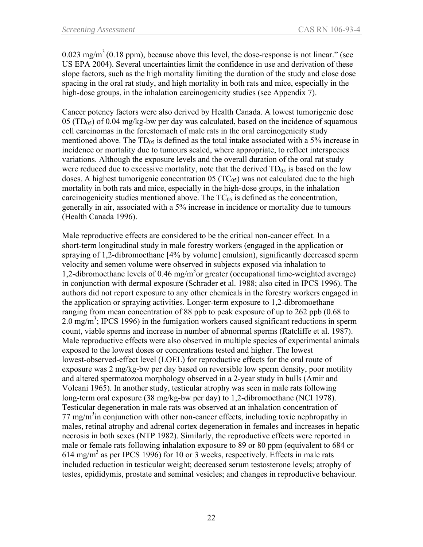$0.023$  mg/m<sup>3</sup> (0.18 ppm), because above this level, the dose-response is not linear." (see US EPA 2004). Several uncertainties limit the confidence in use and derivation of these slope factors, such as the high mortality limiting the duration of the study and close dose spacing in the oral rat study, and high mortality in both rats and mice, especially in the high-dose groups, in the inhalation carcinogenicity studies (see Appendix 7).

Cancer potency factors were also derived by Health Canada. A lowest tumorigenic dose  $05 (TD_{05})$  of 0.04 mg/kg-bw per day was calculated, based on the incidence of squamous cell carcinomas in the forestomach of male rats in the oral carcinogenicity study mentioned above. The  $TD_{05}$  is defined as the total intake associated with a 5% increase in incidence or mortality due to tumours scaled, where appropriate, to reflect interspecies variations. Although the exposure levels and the overall duration of the oral rat study were reduced due to excessive mortality, note that the derived  $TD_{05}$  is based on the low doses. A highest tumorigenic concentration  $05 (TC_{05})$  was not calculated due to the high mortality in both rats and mice, especially in the high-dose groups, in the inhalation carcinogenicity studies mentioned above. The  $TC_{05}$  is defined as the concentration, generally in air, associated with a 5% increase in incidence or mortality due to tumours (Health Canada 1996).

Male reproductive effects are considered to be the critical non-cancer effect. In a short-term longitudinal study in male forestry workers (engaged in the application or spraying of 1,2-dibromoethane [4% by volume] emulsion), significantly decreased sperm velocity and semen volume were observed in subjects exposed via inhalation to 1,2-dibromoethane levels of 0.46 mg/m<sup>3</sup>or greater (occupational time-weighted average) in conjunction with dermal exposure (Schrader et al. 1988; also cited in IPCS 1996). The authors did not report exposure to any other chemicals in the forestry workers engaged in the application or spraying activities. Longer-term exposure to 1,2-dibromoethane ranging from mean concentration of 88 ppb to peak exposure of up to 262 ppb (0.68 to 2.0 mg/m<sup>3</sup>; IPCS 1996) in the fumigation workers caused significant reductions in sperm count, viable sperms and increase in number of abnormal sperms (Ratcliffe et al. 1987). Male reproductive effects were also observed in multiple species of experimental animals exposed to the lowest doses or concentrations tested and higher. The lowest lowest-observed-effect level (LOEL) for reproductive effects for the oral route of exposure was 2 mg/kg-bw per day based on reversible low sperm density, poor motility and altered spermatozoa morphology observed in a 2-year study in bulls (Amir and Volcani 1965). In another study, testicular atrophy was seen in male rats following long-term oral exposure (38 mg/kg-bw per day) to 1,2-dibromoethane (NCI 1978). Testicular degeneration in male rats was observed at an inhalation concentration of  $77 \text{ mg/m}^3$  in conjunction with other non-cancer effects, including toxic nephropathy in males, retinal atrophy and adrenal cortex degeneration in females and increases in hepatic necrosis in both sexes (NTP 1982). Similarly, the reproductive effects were reported in male or female rats following inhalation exposure to 89 or 80 ppm (equivalent to 684 or  $614 \text{ mg/m}^3$  as per IPCS 1996) for 10 or 3 weeks, respectively. Effects in male rats included reduction in testicular weight; decreased serum testosterone levels; atrophy of testes, epididymis, prostate and seminal vesicles; and changes in reproductive behaviour.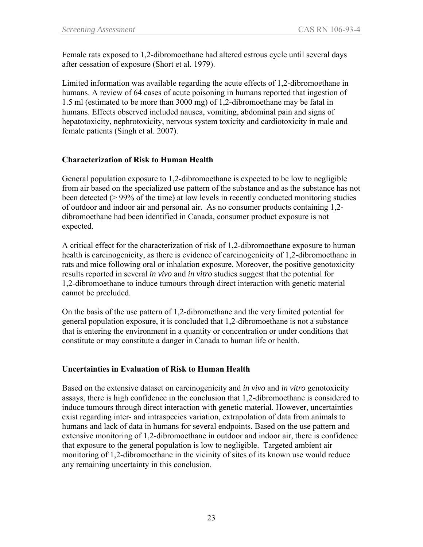Female rats exposed to 1,2-dibromoethane had altered estrous cycle until several days after cessation of exposure (Short et al. 1979).

Limited information was available regarding the acute effects of 1,2-dibromoethane in humans. A review of 64 cases of acute poisoning in humans reported that ingestion of 1.5 ml (estimated to be more than 3000 mg) of 1,2-dibromoethane may be fatal in humans. Effects observed included nausea, vomiting, abdominal pain and signs of hepatotoxicity, nephrotoxicity, nervous system toxicity and cardiotoxicity in male and female patients (Singh et al. 2007).

### **Characterization of Risk to Human Health**

General population exposure to 1,2-dibromoethane is expected to be low to negligible from air based on the specialized use pattern of the substance and as the substance has not been detected (> 99% of the time) at low levels in recently conducted monitoring studies of outdoor and indoor air and personal air. As no consumer products containing 1,2 dibromoethane had been identified in Canada, consumer product exposure is not expected.

A critical effect for the characterization of risk of 1,2-dibromoethane exposure to human health is carcinogenicity, as there is evidence of carcinogenicity of 1,2-dibromoethane in rats and mice following oral or inhalation exposure. Moreover, the positive genotoxicity results reported in several *in vivo* and *in vitro* studies suggest that the potential for 1,2-dibromoethane to induce tumours through direct interaction with genetic material cannot be precluded.

On the basis of the use pattern of 1,2-dibromethane and the very limited potential for general population exposure, it is concluded that 1,2-dibromoethane is not a substance that is entering the environment in a quantity or concentration or under conditions that constitute or may constitute a danger in Canada to human life or health.

### **Uncertainties in Evaluation of Risk to Human Health**

Based on the extensive dataset on carcinogenicity and *in vivo* and *in vitro* genotoxicity assays, there is high confidence in the conclusion that 1,2-dibromoethane is considered to induce tumours through direct interaction with genetic material. However, uncertainties exist regarding inter- and intraspecies variation, extrapolation of data from animals to humans and lack of data in humans for several endpoints. Based on the use pattern and extensive monitoring of 1,2-dibromoethane in outdoor and indoor air, there is confidence that exposure to the general population is low to negligible. Targeted ambient air monitoring of 1,2-dibromoethane in the vicinity of sites of its known use would reduce any remaining uncertainty in this conclusion.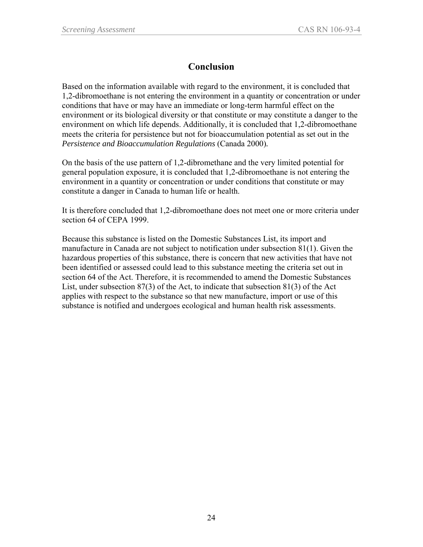# **Conclusion**

Based on the information available with regard to the environment, it is concluded that 1,2-dibromoethane is not entering the environment in a quantity or concentration or under conditions that have or may have an immediate or long-term harmful effect on the environment or its biological diversity or that constitute or may constitute a danger to the environment on which life depends. Additionally, it is concluded that 1,2-dibromoethane meets the criteria for persistence but not for bioaccumulation potential as set out in the *Persistence and Bioaccumulation Regulations* (Canada 2000)*.*

On the basis of the use pattern of 1,2-dibromethane and the very limited potential for general population exposure, it is concluded that 1,2-dibromoethane is not entering the environment in a quantity or concentration or under conditions that constitute or may constitute a danger in Canada to human life or health.

It is therefore concluded that 1,2-dibromoethane does not meet one or more criteria under section 64 of CEPA 1999.

Because this substance is listed on the Domestic Substances List, its import and manufacture in Canada are not subject to notification under subsection 81(1). Given the hazardous properties of this substance, there is concern that new activities that have not been identified or assessed could lead to this substance meeting the criteria set out in section 64 of the Act. Therefore, it is recommended to amend the Domestic Substances List, under subsection 87(3) of the Act, to indicate that subsection 81(3) of the Act applies with respect to the substance so that new manufacture, import or use of this substance is notified and undergoes ecological and human health risk assessments.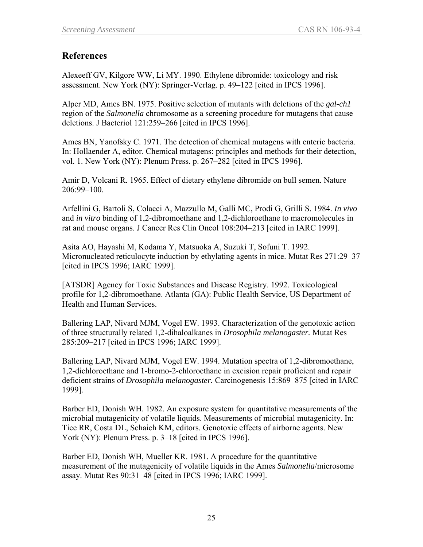## **References**

Alexeeff GV, Kilgore WW, Li MY. 1990. Ethylene dibromide: toxicology and risk assessment. New York (NY): Springer-Verlag. p. 49–122 [cited in IPCS 1996].

Alper MD, Ames BN. 1975. Positive selection of mutants with deletions of the *gal-ch1* region of the *Salmonella* chromosome as a screening procedure for mutagens that cause deletions. J Bacteriol 121:259–266 [cited in IPCS 1996].

Ames BN, Yanofsky C. 1971. The detection of chemical mutagens with enteric bacteria. In: Hollaender A, editor. Chemical mutagens: principles and methods for their detection, vol. 1. New York (NY): Plenum Press. p. 267–282 [cited in IPCS 1996].

Amir D, Volcani R. 1965. Effect of dietary ethylene dibromide on bull semen. Nature 206:99–100.

Arfellini G, Bartoli S, Colacci A, Mazzullo M, Galli MC, Prodi G, Grilli S. 1984. *In vivo* and *in vitro* binding of 1,2-dibromoethane and 1,2-dichloroethane to macromolecules in rat and mouse organs. J Cancer Res Clin Oncol 108:204–213 [cited in IARC 1999].

Asita AO, Hayashi M, Kodama Y, Matsuoka A, Suzuki T, Sofuni T. 1992. Micronucleated reticulocyte induction by ethylating agents in mice. Mutat Res 271:29–37 [cited in IPCS 1996; IARC 1999].

[ATSDR] Agency for Toxic Substances and Disease Registry. 1992. Toxicological profile for 1,2-dibromoethane. Atlanta (GA): Public Health Service, US Department of Health and Human Services.

Ballering LAP, Nivard MJM, Vogel EW. 1993. Characterization of the genotoxic action of three structurally related 1,2-dihaloalkanes in *Drosophila melanogaster.* Mutat Res 285:209–217 [cited in IPCS 1996; IARC 1999].

Ballering LAP, Nivard MJM, Vogel EW. 1994. Mutation spectra of 1,2-dibromoethane, 1,2-dichloroethane and 1-bromo-2-chloroethane in excision repair proficient and repair deficient strains of *Drosophila melanogaster.* Carcinogenesis 15:869–875 [cited in IARC 1999].

Barber ED, Donish WH. 1982. An exposure system for quantitative measurements of the microbial mutagenicity of volatile liquids. Measurements of microbial mutagenicity. In: Tice RR, Costa DL, Schaich KM, editors. Genotoxic effects of airborne agents. New York (NY): Plenum Press. p. 3–18 [cited in IPCS 1996].

Barber ED, Donish WH, Mueller KR. 1981. A procedure for the quantitative measurement of the mutagenicity of volatile liquids in the Ames *Salmonella*/microsome assay. Mutat Res 90:31–48 [cited in IPCS 1996; IARC 1999].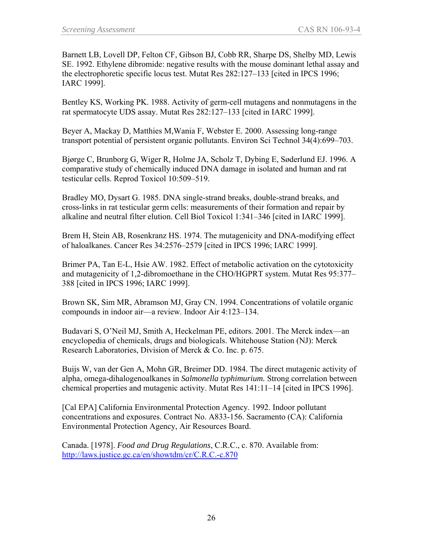Barnett LB, Lovell DP, Felton CF, Gibson BJ, Cobb RR, Sharpe DS, Shelby MD, Lewis SE. 1992. Ethylene dibromide: negative results with the mouse dominant lethal assay and the electrophoretic specific locus test. Mutat Res 282:127–133 [cited in IPCS 1996; IARC 1999].

Bentley KS, Working PK. 1988. Activity of germ-cell mutagens and nonmutagens in the rat spermatocyte UDS assay. Mutat Res 282:127–133 [cited in IARC 1999].

Beyer A, Mackay D, Matthies M,Wania F, Webster E. 2000. Assessing long-range transport potential of persistent organic pollutants. Environ Sci Technol 34(4):699–703.

Bjørge C, Brunborg G, Wiger R, Holme JA, Scholz T, Dybing E, Søderlund EJ. 1996. A comparative study of chemically induced DNA damage in isolated and human and rat testicular cells. Reprod Toxicol 10:509–519.

Bradley MO, Dysart G. 1985. DNA single-strand breaks, double-strand breaks, and cross-links in rat testicular germ cells: measurements of their formation and repair by alkaline and neutral filter elution. Cell Biol Toxicol 1:341–346 [cited in IARC 1999].

Brem H, Stein AB, Rosenkranz HS. 1974. The mutagenicity and DNA-modifying effect of haloalkanes. Cancer Res 34:2576–2579 [cited in IPCS 1996; IARC 1999].

Brimer PA, Tan E-L, Hsie AW. 1982. Effect of metabolic activation on the cytotoxicity and mutagenicity of 1,2-dibromoethane in the CHO/HGPRT system. Mutat Res 95:377– 388 [cited in IPCS 1996; IARC 1999].

Brown SK, Sim MR, Abramson MJ, Gray CN. 1994. Concentrations of volatile organic compounds in indoor air—a review. Indoor Air 4:123–134.

Budavari S, O'Neil MJ, Smith A, Heckelman PE, editors. 2001. The Merck index—an encyclopedia of chemicals, drugs and biologicals. Whitehouse Station (NJ): Merck Research Laboratories, Division of Merck & Co. Inc. p. 675.

Buijs W, van der Gen A, Mohn GR, Breimer DD. 1984. The direct mutagenic activity of alpha, omega-dihalogenoalkanes in *Salmonella typhimurium.* Strong correlation between chemical properties and mutagenic activity. Mutat Res 141:11–14 [cited in IPCS 1996].

[Cal EPA] California Environmental Protection Agency. 1992. Indoor pollutant concentrations and exposures. Contract No. A833-156. Sacramento (CA): California Environmental Protection Agency, Air Resources Board.

Canada. [1978]. *Food and Drug Regulations*, C.R.C., c. 870. Available from: <http://laws.justice.gc.ca/en/showtdm/cr/C.R.C.-c.870>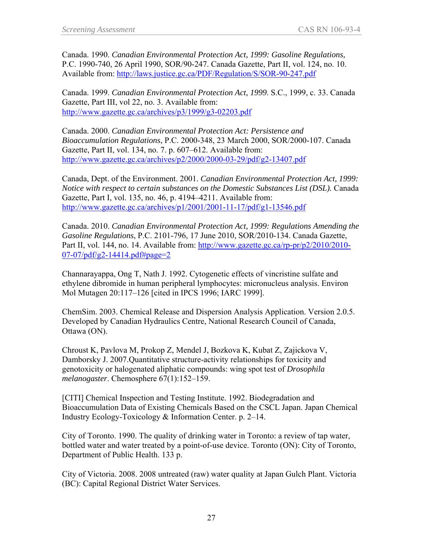Canada. 1990. *Canadian Environmental Protection Act, 1999: Gasoline Regulations,*  P.C. 1990-740, 26 April 1990, SOR/90-247. Canada Gazette, Part II, vol. 124, no. 10. Available from:<http://laws.justice.gc.ca/PDF/Regulation/S/SOR-90-247.pdf>

Canada. 1999. *Canadian Environmental Protection Act, 1999*. S.C., 1999, c. 33. Canada Gazette, Part III, vol 22, no. 3. Available from: <http://www.gazette.gc.ca/archives/p3/1999/g3-02203.pdf>

Canada. 2000. *Canadian Environmental Protection Act: Persistence and Bioaccumulation Regulations*, P.C. 2000-348, 23 March 2000, SOR/2000-107. Canada Gazette, Part II, vol. 134, no. 7. p. 607–612. Available from: <http://www.gazette.gc.ca/archives/p2/2000/2000-03-29/pdf/g2-13407.pdf>

Canada, Dept. of the Environment. 2001. *Canadian Environmental Protection Act, 1999: Notice with respect to certain substances on the Domestic Substances List (DSL).* Canada Gazette, Part I, vol. 135, no. 46, p. 4194–4211. Available from: <http://www.gazette.gc.ca/archives/p1/2001/2001-11-17/pdf/g1-13546.pdf>

Canada. 2010. *Canadian Environmental Protection Act, 1999: Regulations Amending the Gasoline Regulations*, P.C. 2101-796, 17 June 2010, SOR/2010-134. Canada Gazette, Part II, vol. 144, no. 14. Available from: [http://www.gazette.gc.ca/rp-pr/p2/2010/2010-](http://www.gazette.gc.ca/rp-pr/p2/2010/2010-07-07/pdf/g2-14414.pdf#page=2) [07-07/pdf/g2-14414.pdf#page=2](http://www.gazette.gc.ca/rp-pr/p2/2010/2010-07-07/pdf/g2-14414.pdf#page=2)

Channarayappa, Ong T, Nath J. 1992. Cytogenetic effects of vincristine sulfate and ethylene dibromide in human peripheral lymphocytes: micronucleus analysis. Environ Mol Mutagen 20:117–126 [cited in IPCS 1996; IARC 1999].

ChemSim. 2003. Chemical Release and Dispersion Analysis Application. Version 2.0.5. Developed by Canadian Hydraulics Centre, National Research Council of Canada, Ottawa (ON).

Chroust K, Pavlova M, Prokop Z, Mendel J, Bozkova K, Kubat Z, Zajickova V, Damborsky J. 2007.Quantitative structure-activity relationships for toxicity and genotoxicity or halogenated aliphatic compounds: wing spot test of *Drosophila melanogaster*. Chemosphere 67(1):152–159.

[CITI] Chemical Inspection and Testing Institute. 1992. Biodegradation and Bioaccumulation Data of Existing Chemicals Based on the CSCL Japan. Japan Chemical Industry Ecology-Toxicology & Information Center. p. 2–14.

City of Toronto. 1990. The quality of drinking water in Toronto: a review of tap water, bottled water and water treated by a point-of-use device. Toronto (ON): City of Toronto, Department of Public Health. 133 p.

City of Victoria. 2008. 2008 untreated (raw) water quality at Japan Gulch Plant. Victoria (BC): Capital Regional District Water Services.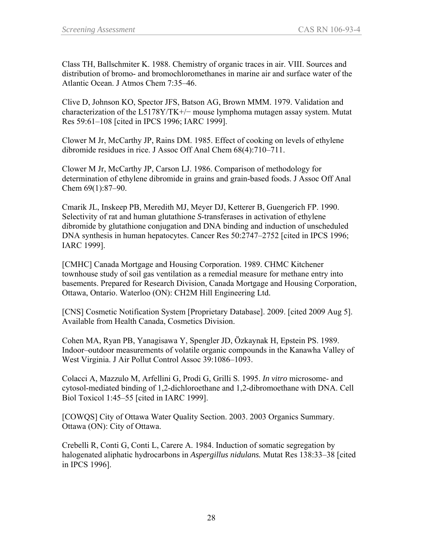Class TH, Ballschmiter K. 1988. Chemistry of organic traces in air. VIII. Sources and distribution of bromo- and bromochloromethanes in marine air and surface water of the Atlantic Ocean. J Atmos Chem 7:35–46.

Clive D, Johnson KO, Spector JFS, Batson AG, Brown MMM. 1979. Validation and characterization of the L5178Y/TK+/ $-$  mouse lymphoma mutagen assay system. Mutat Res 59:61–108 [cited in IPCS 1996; IARC 1999].

Clower M Jr, McCarthy JP, Rains DM. 1985. Effect of cooking on levels of ethylene dibromide residues in rice. J Assoc Off Anal Chem 68(4):710–711.

Clower M Jr, McCarthy JP, Carson LJ. 1986. Comparison of methodology for determination of ethylene dibromide in grains and grain-based foods. J Assoc Off Anal Chem 69(1):87–90.

Cmarik JL, Inskeep PB, Meredith MJ, Meyer DJ, Ketterer B, Guengerich FP. 1990. Selectivity of rat and human glutathione *S*-transferases in activation of ethylene dibromide by glutathione conjugation and DNA binding and induction of unscheduled DNA synthesis in human hepatocytes. Cancer Res 50:2747–2752 [cited in IPCS 1996; IARC 1999].

[CMHC] Canada Mortgage and Housing Corporation. 1989. CHMC Kitchener townhouse study of soil gas ventilation as a remedial measure for methane entry into basements. Prepared for Research Division, Canada Mortgage and Housing Corporation, Ottawa, Ontario. Waterloo (ON): CH2M Hill Engineering Ltd.

[CNS] Cosmetic Notification System [Proprietary Database]. 2009. [cited 2009 Aug 5]. Available from Health Canada, Cosmetics Division.

Cohen MA, Ryan PB, Yanagisawa Y, Spengler JD, Özkaynak H, Epstein PS. 1989. Indoor–outdoor measurements of volatile organic compounds in the Kanawha Valley of West Virginia. J Air Pollut Control Assoc 39:1086–1093.

Colacci A, Mazzulo M, Arfellini G, Prodi G, Grilli S. 1995. *In vitro* microsome- and cytosol-mediated binding of 1,2-dichloroethane and 1,2-dibromoethane with DNA. Cell Biol Toxicol 1:45–55 [cited in IARC 1999].

[COWQS] City of Ottawa Water Quality Section. 2003. 2003 Organics Summary. Ottawa (ON): City of Ottawa.

Crebelli R, Conti G, Conti L, Carere A. 1984. Induction of somatic segregation by halogenated aliphatic hydrocarbons in *Aspergillus nidulans.* Mutat Res 138:33–38 [cited in IPCS 1996].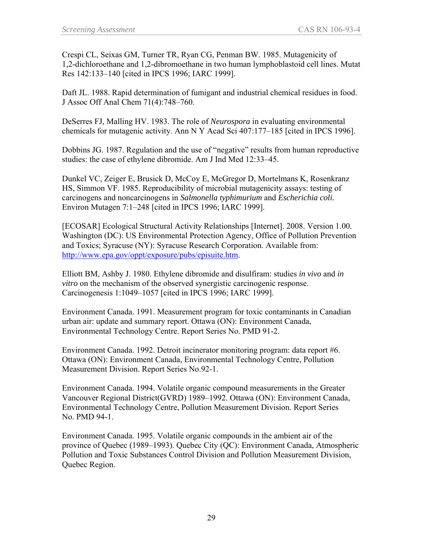Crespi CL, Seixas GM, Turner TR, Ryan CG, Penman BW. 1985. Mutagenicity of 1,2-dichloroethane and 1,2-dibromoethane in two human lymphoblastoid cell lines. Mutat Res 142:133–140 [cited in IPCS 1996; IARC 1999].

Daft JL. 1988. Rapid determination of fumigant and industrial chemical residues in food. J Assoc Off Anal Chem 71(4):748–760.

DeSerres FJ, Malling HV. 1983. The role of *Neurospora* in evaluating environmental chemicals for mutagenic activity. Ann N Y Acad Sci 407:177–185 [cited in IPCS 1996].

Dobbins JG. 1987. Regulation and the use of "negative" results from human reproductive studies: the case of ethylene dibromide. Am J Ind Med 12:33–45.

Dunkel VC, Zeiger E, Brusick D, McCoy E, McGregor D, Mortelmans K, Rosenkranz HS, Simmon VF. 1985. Reproducibility of microbial mutagenicity assays: testing of carcinogens and noncarcinogens in *Salmonella typhimurium* and *Escherichia coli.*  Environ Mutagen 7:1–248 [cited in IPCS 1996; IARC 1999].

[ECOSAR] Ecological Structural Activity Relationships [Internet]. 2008. Version 1.00. Washington (DC): US Environmental Protection Agency, Office of Pollution Prevention and Toxics; Syracuse (NY): Syracuse Research Corporation. Available from: [http://www.epa.gov/oppt/exposure/pubs/episuite.htm.](http://www.epa.gov/oppt/exposure/pubs/episuite.htm)

Elliott BM, Ashby J. 1980. Ethylene dibromide and disulfiram: studies *in vivo* and *in vitro* on the mechanism of the observed synergistic carcinogenic response. Carcinogenesis 1:1049–1057 [cited in IPCS 1996; IARC 1999].

Environment Canada. 1991. Measurement program for toxic contaminants in Canadian urban air: update and summary report. Ottawa (ON): Environment Canada, Environmental Technology Centre. Report Series No. PMD 91-2.

Environment Canada. 1992. Detroit incinerator monitoring program: data report #6. Ottawa (ON): Environment Canada, Environmental Technology Centre, Pollution Measurement Division. Report Series No.92-1.

Environment Canada. 1994. Volatile organic compound measurements in the Greater Vancouver Regional District(GVRD) 1989–1992. Ottawa (ON): Environment Canada, Environmental Technology Centre, Pollution Measurement Division. Report Series No. PMD 94-1.

Environment Canada. 1995. Volatile organic compounds in the ambient air of the province of Quebec (1989–1993). Quebec City (QC): Environment Canada, Atmospheric Pollution and Toxic Substances Control Division and Pollution Measurement Division, Quebec Region.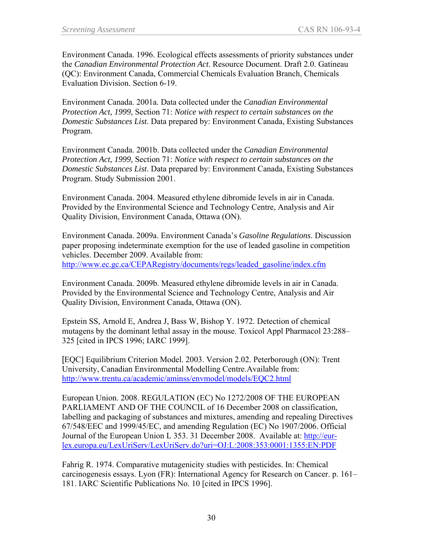Environment Canada. 1996. Ecological effects assessments of priority substances under the *Canadian Environmental Protection Act*. Resource Document. Draft 2.0. Gatineau (QC): Environment Canada, Commercial Chemicals Evaluation Branch, Chemicals Evaluation Division. Section 6-19.

Environment Canada. 2001a. Data collected under the *Canadian Environmental Protection Act, 1999,* Section 71: *Notice with respect to certain substances on the Domestic Substances List*. Data prepared by: Environment Canada, Existing Substances Program.

Environment Canada. 2001b. Data collected under the *Canadian Environmental Protection Act, 1999,* Section 71: *Notice with respect to certain substances on the Domestic Substances List*. Data prepared by: Environment Canada, Existing Substances Program. Study Submission 2001.

Environment Canada. 2004. Measured ethylene dibromide levels in air in Canada. Provided by the Environmental Science and Technology Centre, Analysis and Air Quality Division, Environment Canada, Ottawa (ON).

Environment Canada. 2009a. Environment Canada's *Gasoline Regulations*. Discussion paper proposing indeterminate exemption for the use of leaded gasoline in competition vehicles. December 2009. Available from: [http://www.ec.gc.ca/CEPARegistry/documents/regs/leaded\\_gasoline/index.cfm](http://www.ec.gc.ca/CEPARegistry/documents/regs/leaded_gasoline/index.cfm) 

Environment Canada. 2009b. Measured ethylene dibromide levels in air in Canada. Provided by the Environmental Science and Technology Centre, Analysis and Air Quality Division, Environment Canada, Ottawa (ON).

Epstein SS, Arnold E, Andrea J, Bass W, Bishop Y. 1972. Detection of chemical mutagens by the dominant lethal assay in the mouse. Toxicol Appl Pharmacol 23:288– 325 [cited in IPCS 1996; IARC 1999].

[EQC] Equilibrium Criterion Model. 2003. Version 2.02. Peterborough (ON): Trent University, Canadian Environmental Modelling Centre.Available from: <http://www.trentu.ca/academic/aminss/envmodel/models/EQC2.html>

European Union. 2008. REGULATION (EC) No 1272/2008 OF THE EUROPEAN PARLIAMENT AND OF THE COUNCIL of 16 December 2008 on classification, labelling and packaging of substances and mixtures, amending and repealing Directives 67/548/EEC and 1999/45/EC, and amending Regulation (EC) No 1907/2006. Official Journal of the European Union L 353. 31 December 2008. Available at: [http://eur](http://eur-lex.europa.eu/LexUriServ/LexUriServ.do?uri=OJ:L:2008:353:0001:1355:EN:PDF)[lex.europa.eu/LexUriServ/LexUriServ.do?uri=OJ:L:2008:353:0001:1355:EN:PDF](http://eur-lex.europa.eu/LexUriServ/LexUriServ.do?uri=OJ:L:2008:353:0001:1355:EN:PDF)

Fahrig R. 1974. Comparative mutagenicity studies with pesticides. In: Chemical carcinogenesis essays. Lyon (FR): International Agency for Research on Cancer. p. 161– 181. IARC Scientific Publications No. 10 [cited in IPCS 1996].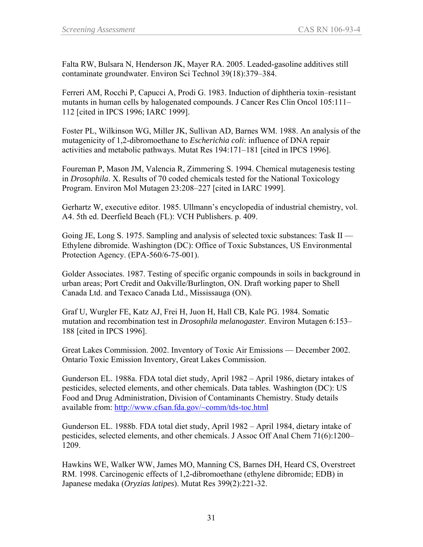Falta RW, Bulsara N, Henderson JK, Mayer RA. 2005. Leaded-gasoline additives still contaminate groundwater. Environ Sci Technol 39(18):379–384.

Ferreri AM, Rocchi P, Capucci A, Prodi G. 1983. Induction of diphtheria toxin–resistant mutants in human cells by halogenated compounds. J Cancer Res Clin Oncol 105:111– 112 [cited in IPCS 1996; IARC 1999].

Foster PL, Wilkinson WG, Miller JK, Sullivan AD, Barnes WM. 1988. An analysis of the mutagenicity of 1,2-dibromoethane to *Escherichia coli*: influence of DNA repair activities and metabolic pathways. Mutat Res 194:171–181 [cited in IPCS 1996].

Foureman P, Mason JM, Valencia R, Zimmering S. 1994. Chemical mutagenesis testing in *Drosophila*. X. Results of 70 coded chemicals tested for the National Toxicology Program. Environ Mol Mutagen 23:208–227 [cited in IARC 1999].

Gerhartz W, executive editor. 1985. Ullmann's encyclopedia of industrial chemistry, vol. A4. 5th ed. Deerfield Beach (FL): VCH Publishers. p. 409.

Going JE, Long S. 1975. Sampling and analysis of selected toxic substances: Task II — Ethylene dibromide. Washington (DC): Office of Toxic Substances, US Environmental Protection Agency. (EPA-560/6-75-001).

Golder Associates. 1987. Testing of specific organic compounds in soils in background in urban areas; Port Credit and Oakville/Burlington, ON. Draft working paper to Shell Canada Ltd. and Texaco Canada Ltd., Mississauga (ON).

Graf U, Wurgler FE, Katz AJ, Frei H, Juon H, Hall CB, Kale PG. 1984. Somatic mutation and recombination test in *Drosophila melanogaster.* Environ Mutagen 6:153– 188 [cited in IPCS 1996].

Great Lakes Commission. 2002. Inventory of Toxic Air Emissions — December 2002. Ontario Toxic Emission Inventory, Great Lakes Commission.

Gunderson EL. 1988a. FDA total diet study, April 1982 – April 1986, dietary intakes of pesticides, selected elements, and other chemicals. Data tables. Washington (DC): US Food and Drug Administration, Division of Contaminants Chemistry. Study details available from: <http://www.cfsan.fda.gov/~comm/tds-toc.html>

Gunderson EL. 1988b. FDA total diet study, April 1982 – April 1984, dietary intake of pesticides, selected elements, and other chemicals. J Assoc Off Anal Chem 71(6):1200– 1209.

Hawkins WE, Walker WW, James MO, Manning CS, Barnes DH, Heard CS, Overstreet RM. 1998. Carcinogenic effects of 1,2-dibromoethane (ethylene dibromide; EDB) in Japanese medaka (*Oryzias latipes*). Mutat Res 399(2):221-32.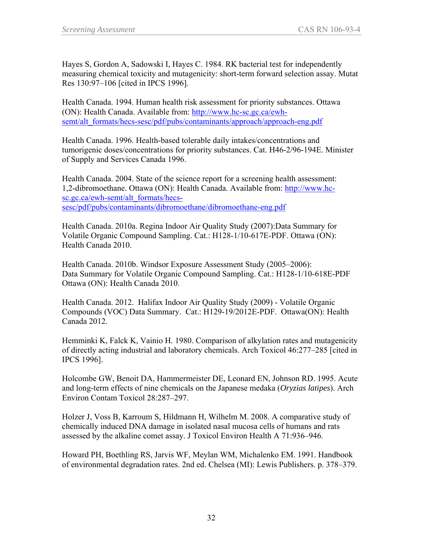Hayes S, Gordon A, Sadowski I, Hayes C. 1984. RK bacterial test for independently measuring chemical toxicity and mutagenicity: short-term forward selection assay. Mutat Res 130:97–106 [cited in IPCS 1996].

Health Canada. 1994. Human health risk assessment for priority substances. Ottawa (ON): Health Canada. Available from: [http://www.hc-sc.gc.ca/ewh](http://www.hc-sc.gc.ca/ewh-semt/alt_formats/hecs-sesc/pdf/pubs/contaminants/approach/approach-eng.pdf)[semt/alt\\_formats/hecs-sesc/pdf/pubs/contaminants/approach/approach-eng.pdf](http://www.hc-sc.gc.ca/ewh-semt/alt_formats/hecs-sesc/pdf/pubs/contaminants/approach/approach-eng.pdf)

Health Canada. 1996. Health-based tolerable daily intakes/concentrations and tumorigenic doses/concentrations for priority substances. Cat. H46-2/96-194E. Minister of Supply and Services Canada 1996.

Health Canada. 2004. State of the science report for a screening health assessment: 1,2-dibromoethane. Ottawa (ON): Health Canada. Available from: [http://www.hc](http://www.hc-sc.gc.ca/ewh-semt/alt_formats/hecs-sesc/pdf/pubs/contaminants/dibromoethane/dibromoethane-eng.pdf)[sc.gc.ca/ewh-semt/alt\\_formats/hecs](http://www.hc-sc.gc.ca/ewh-semt/alt_formats/hecs-sesc/pdf/pubs/contaminants/dibromoethane/dibromoethane-eng.pdf)[sesc/pdf/pubs/contaminants/dibromoethane/dibromoethane-eng.pdf](http://www.hc-sc.gc.ca/ewh-semt/alt_formats/hecs-sesc/pdf/pubs/contaminants/dibromoethane/dibromoethane-eng.pdf)

Health Canada. 2010a. Regina Indoor Air Quality Study (2007):Data Summary for Volatile Organic Compound Sampling. Cat.: H128-1/10-617E-PDF. Ottawa (ON): Health Canada 2010.

Health Canada. 2010b. Windsor Exposure Assessment Study (2005–2006): Data Summary for Volatile Organic Compound Sampling. Cat.: H128-1/10-618E-PDF Ottawa (ON): Health Canada 2010.

Health Canada. 2012. Halifax Indoor Air Quality Study (2009) - Volatile Organic Compounds (VOC) Data Summary. Cat.: H129-19/2012E-PDF. Ottawa(ON): Health Canada 2012.

Hemminki K, Falck K, Vainio H. 1980. Comparison of alkylation rates and mutagenicity of directly acting industrial and laboratory chemicals. Arch Toxicol 46:277–285 [cited in IPCS 1996].

Holcombe GW, Benoit DA, Hammermeister DE, Leonard EN, Johnson RD. 1995. Acute and long-term effects of nine chemicals on the Japanese medaka (*Oryzias latipes*). Arch Environ Contam Toxicol 28:287–297.

Holzer J, Voss B, Karroum S, Hildmann H, Wilhelm M. 2008. A comparative study of chemically induced DNA damage in isolated nasal mucosa cells of humans and rats assessed by the alkaline comet assay. J Toxicol Environ Health A 71:936–946.

Howard PH, Boethling RS, Jarvis WF, Meylan WM, Michalenko EM. 1991. Handbook of environmental degradation rates. 2nd ed. Chelsea (MI): Lewis Publishers. p. 378–379.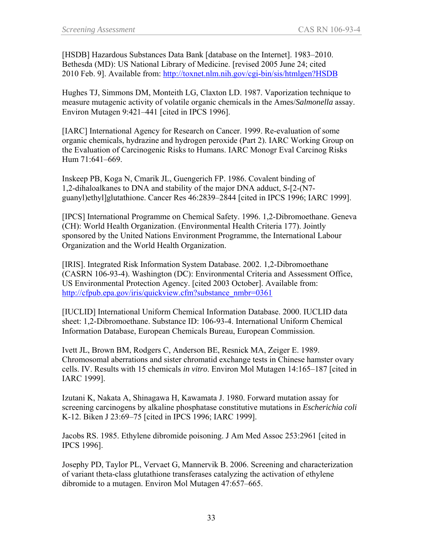[HSDB] Hazardous Substances Data Bank [database on the Internet]. 1983–2010. Bethesda (MD): US National Library of Medicine. [revised 2005 June 24; cited 2010 Feb. 9]. Available from:<http://toxnet.nlm.nih.gov/cgi-bin/sis/htmlgen?HSDB>

Hughes TJ, Simmons DM, Monteith LG, Claxton LD. 1987. Vaporization technique to measure mutagenic activity of volatile organic chemicals in the Ames/*Salmonella* assay. Environ Mutagen 9:421–441 [cited in IPCS 1996].

[IARC] International Agency for Research on Cancer. 1999. Re-evaluation of some organic chemicals, hydrazine and hydrogen peroxide (Part 2). IARC Working Group on the Evaluation of Carcinogenic Risks to Humans. IARC Monogr Eval Carcinog Risks Hum 71:641–669.

Inskeep PB, Koga N, Cmarik JL, Guengerich FP. 1986. Covalent binding of 1,2-dihaloalkanes to DNA and stability of the major DNA adduct, *S*-[2-(N7 guanyl)ethyl]glutathione. Cancer Res 46:2839–2844 [cited in IPCS 1996; IARC 1999].

[IPCS] International Programme on Chemical Safety. 1996. 1,2-Dibromoethane. Geneva (CH): World Health Organization. (Environmental Health Criteria 177). Jointly sponsored by the United Nations Environment Programme, the International Labour Organization and the World Health Organization.

[IRIS]. Integrated Risk Information System Database. 2002. 1,2-Dibromoethane (CASRN 106-93-4). Washington (DC): Environmental Criteria and Assessment Office, US Environmental Protection Agency. [cited 2003 October]. Available from: [http://cfpub.epa.gov/iris/quickview.cfm?substance\\_nmbr=0361](http://cfpub.epa.gov/iris/quickview.cfm?substance_nmbr=0361)

[IUCLID] International Uniform Chemical Information Database. 2000. IUCLID data sheet: 1,2-Dibromoethane. Substance ID: 106-93-4. International Uniform Chemical Information Database, European Chemicals Bureau, European Commission.

Ivett JL, Brown BM, Rodgers C, Anderson BE, Resnick MA, Zeiger E. 1989. Chromosomal aberrations and sister chromatid exchange tests in Chinese hamster ovary cells. IV. Results with 15 chemicals *in vitro*. Environ Mol Mutagen 14:165–187 [cited in IARC 1999].

Izutani K, Nakata A, Shinagawa H, Kawamata J. 1980. Forward mutation assay for screening carcinogens by alkaline phosphatase constitutive mutations in *Escherichia coli*  K-12. Biken J 23:69–75 [cited in IPCS 1996; IARC 1999].

Jacobs RS. 1985. Ethylene dibromide poisoning. J Am Med Assoc 253:2961 [cited in IPCS 1996].

Josephy PD, Taylor PL, Vervaet G, Mannervik B. 2006. Screening and characterization of variant theta-class glutathione transferases catalyzing the activation of ethylene dibromide to a mutagen. Environ Mol Mutagen 47:657–665.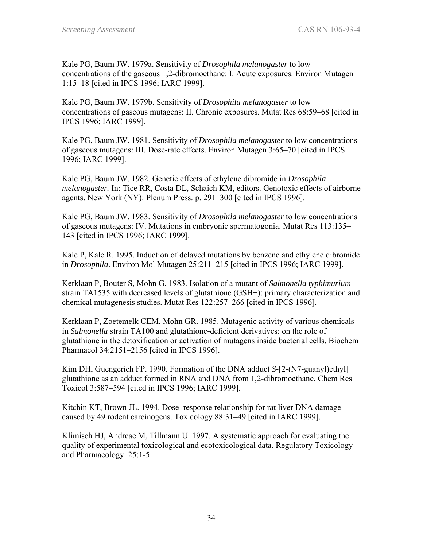Kale PG, Baum JW. 1979a. Sensitivity of *Drosophila melanogaster* to low concentrations of the gaseous 1,2-dibromoethane: I. Acute exposures. Environ Mutagen 1:15–18 [cited in IPCS 1996; IARC 1999].

Kale PG, Baum JW. 1979b. Sensitivity of *Drosophila melanogaster* to low concentrations of gaseous mutagens: II. Chronic exposures. Mutat Res 68:59–68 [cited in IPCS 1996; IARC 1999].

Kale PG, Baum JW. 1981. Sensitivity of *Drosophila melanogaster* to low concentrations of gaseous mutagens: III. Dose-rate effects. Environ Mutagen 3:65–70 [cited in IPCS 1996; IARC 1999].

Kale PG, Baum JW. 1982. Genetic effects of ethylene dibromide in *Drosophila melanogaster.* In: Tice RR, Costa DL, Schaich KM, editors. Genotoxic effects of airborne agents. New York (NY): Plenum Press. p. 291–300 [cited in IPCS 1996].

Kale PG, Baum JW. 1983. Sensitivity of *Drosophila melanogaster* to low concentrations of gaseous mutagens: IV. Mutations in embryonic spermatogonia. Mutat Res 113:135– 143 [cited in IPCS 1996; IARC 1999].

Kale P, Kale R. 1995. Induction of delayed mutations by benzene and ethylene dibromide in *Drosophila*. Environ Mol Mutagen 25:211–215 [cited in IPCS 1996; IARC 1999].

Kerklaan P, Bouter S, Mohn G. 1983. Isolation of a mutant of *Salmonella typhimurium*  strain TA1535 with decreased levels of glutathione (GSH−): primary characterization and chemical mutagenesis studies. Mutat Res 122:257–266 [cited in IPCS 1996].

Kerklaan P, Zoetemelk CEM, Mohn GR. 1985. Mutagenic activity of various chemicals in *Salmonella* strain TA100 and glutathione-deficient derivatives: on the role of glutathione in the detoxification or activation of mutagens inside bacterial cells. Biochem Pharmacol 34:2151–2156 [cited in IPCS 1996].

Kim DH, Guengerich FP. 1990. Formation of the DNA adduct *S*-[2-(N7-guanyl)ethyl] glutathione as an adduct formed in RNA and DNA from 1,2-dibromoethane. Chem Res Toxicol 3:587–594 [cited in IPCS 1996; IARC 1999].

Kitchin KT, Brown JL. 1994. Dose–response relationship for rat liver DNA damage caused by 49 rodent carcinogens. Toxicology 88:31–49 [cited in IARC 1999].

Klimisch HJ, Andreae M, Tillmann U. 1997. A systematic approach for evaluating the quality of experimental toxicological and ecotoxicological data. Regulatory Toxicology and Pharmacology. 25:1-5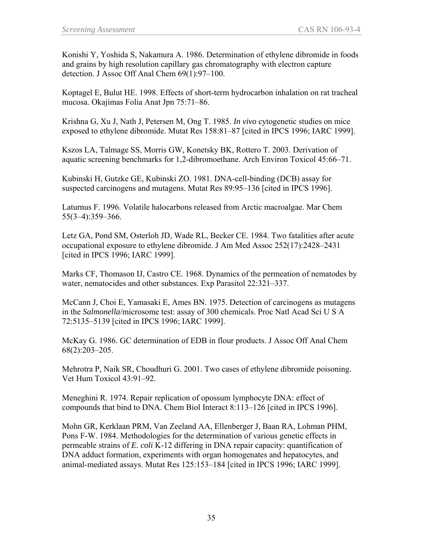Konishi Y, Yoshida S, Nakamura A. 1986. Determination of ethylene dibromide in foods and grains by high resolution capillary gas chromatography with electron capture detection. J Assoc Off Anal Chem 69(1):97–100.

Koptagel E, Bulut HE. 1998. Effects of short-term hydrocarbon inhalation on rat tracheal mucosa. Okajimas Folia Anat Jpn 75:71–86.

Krishna G, Xu J, Nath J, Petersen M, Ong T. 1985. *In vivo* cytogenetic studies on mice exposed to ethylene dibromide. Mutat Res 158:81–87 [cited in IPCS 1996; IARC 1999].

Kszos LA, Talmage SS, Morris GW, Konetsky BK, Rottero T. 2003. Derivation of aquatic screening benchmarks for 1,2-dibromoethane. Arch Environ Toxicol 45:66–71.

Kubinski H, Gutzke GE, Kubinski ZO. 1981. DNA-cell-binding (DCB) assay for suspected carcinogens and mutagens. Mutat Res 89:95–136 [cited in IPCS 1996].

Laturnus F. 1996. Volatile halocarbons released from Arctic macroalgae. Mar Chem 55(3–4):359–366.

Letz GA, Pond SM, Osterloh JD, Wade RL, Becker CE. 1984. Two fatalities after acute occupational exposure to ethylene dibromide. J Am Med Assoc 252(17):2428–2431 [cited in IPCS 1996; IARC 1999].

Marks CF, Thomason IJ, Castro CE. 1968. Dynamics of the permeation of nematodes by water, nematocides and other substances. Exp Parasitol 22:321–337.

McCann J, Choi E, Yamasaki E, Ames BN. 1975. Detection of carcinogens as mutagens in the *Salmonella*/microsome test: assay of 300 chemicals. Proc Natl Acad Sci U S A 72:5135–5139 [cited in IPCS 1996; IARC 1999].

McKay G. 1986. GC determination of EDB in flour products. J Assoc Off Anal Chem 68(2):203–205.

Mehrotra P, Naik SR, Choudhuri G. 2001. Two cases of ethylene dibromide poisoning. Vet Hum Toxicol 43:91–92.

Meneghini R. 1974. Repair replication of opossum lymphocyte DNA: effect of compounds that bind to DNA. Chem Biol Interact 8:113–126 [cited in IPCS 1996].

Mohn GR, Kerklaan PRM, Van Zeeland AA, Ellenberger J, Baan RA, Lohman PHM, Pons F-W. 1984. Methodologies for the determination of various genetic effects in permeable strains of *E. coli* K-12 differing in DNA repair capacity: quantification of DNA adduct formation, experiments with organ homogenates and hepatocytes, and animal-mediated assays. Mutat Res 125:153–184 [cited in IPCS 1996; IARC 1999].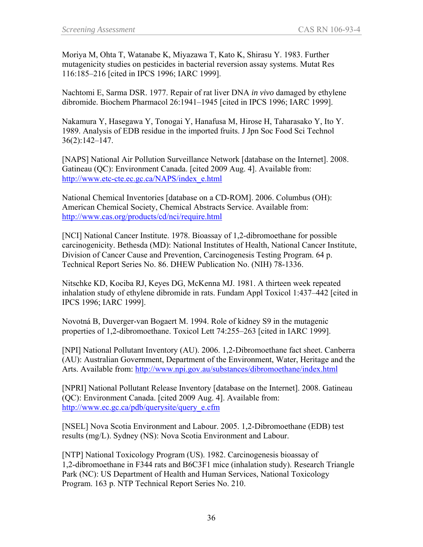Moriya M, Ohta T, Watanabe K, Miyazawa T, Kato K, Shirasu Y. 1983. Further mutagenicity studies on pesticides in bacterial reversion assay systems. Mutat Res 116:185–216 [cited in IPCS 1996; IARC 1999].

Nachtomi E, Sarma DSR. 1977. Repair of rat liver DNA *in vivo* damaged by ethylene dibromide. Biochem Pharmacol 26:1941–1945 [cited in IPCS 1996; IARC 1999].

Nakamura Y, Hasegawa Y, Tonogai Y, Hanafusa M, Hirose H, Taharasako Y, Ito Y. 1989. Analysis of EDB residue in the imported fruits. J Jpn Soc Food Sci Technol 36(2):142–147.

[NAPS] National Air Pollution Surveillance Network [database on the Internet]. 2008. Gatineau (QC): Environment Canada. [cited 2009 Aug. 4]. Available from: [http://www.etc-cte.ec.gc.ca/NAPS/index\\_e.html](http://www.etc-cte.ec.gc.ca/NAPS/index_e.html)

National Chemical Inventories [database on a CD-ROM]. 2006. Columbus (OH): American Chemical Society, Chemical Abstracts Service. Available from: <http://www.cas.org/products/cd/nci/require.html>

[NCI] National Cancer Institute. 1978. Bioassay of 1,2-dibromoethane for possible carcinogenicity. Bethesda (MD): National Institutes of Health, National Cancer Institute, Division of Cancer Cause and Prevention, Carcinogenesis Testing Program. 64 p. Technical Report Series No. 86. DHEW Publication No. (NIH) 78-1336.

Nitschke KD, Kociba RJ, Keyes DG, McKenna MJ. 1981. A thirteen week repeated inhalation study of ethylene dibromide in rats. Fundam Appl Toxicol 1:437–442 [cited in IPCS 1996; IARC 1999].

Novotná B, Duverger-van Bogaert M. 1994. Role of kidney S9 in the mutagenic properties of 1,2-dibromoethane. Toxicol Lett 74:255–263 [cited in IARC 1999].

[NPI] National Pollutant Inventory (AU). 2006. 1,2-Dibromoethane fact sheet. Canberra (AU): Australian Government, Department of the Environment, Water, Heritage and the Arts. Available from: <http://www.npi.gov.au/substances/dibromoethane/index.html>

[NPRI] National Pollutant Release Inventory [database on the Internet]. 2008. Gatineau (QC): Environment Canada. [cited 2009 Aug. 4]. Available from: [http://www.ec.gc.ca/pdb/querysite/query\\_e.cfm](http://www.ec.gc.ca/pdb/querysite/query_e.cfm)

[NSEL] Nova Scotia Environment and Labour. 2005. 1,2-Dibromoethane (EDB) test results (mg/L). Sydney (NS): Nova Scotia Environment and Labour.

[NTP] National Toxicology Program (US). 1982. Carcinogenesis bioassay of 1,2-dibromoethane in F344 rats and B6C3F1 mice (inhalation study). Research Triangle Park (NC): US Department of Health and Human Services, National Toxicology Program. 163 p. NTP Technical Report Series No. 210.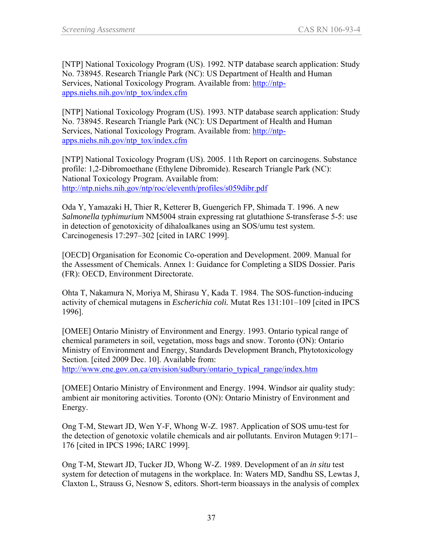[NTP] National Toxicology Program (US). 1992. NTP database search application: Study No. 738945. Research Triangle Park (NC): US Department of Health and Human Services, National Toxicology Program. Available from: [http://ntp](http://ntp-apps.niehs.nih.gov/ntp_tox/index.cfm)[apps.niehs.nih.gov/ntp\\_tox/index.cfm](http://ntp-apps.niehs.nih.gov/ntp_tox/index.cfm)

[NTP] National Toxicology Program (US). 1993. NTP database search application: Study No. 738945. Research Triangle Park (NC): US Department of Health and Human Services, National Toxicology Program. Available from: [http://ntp](http://ntp-apps.niehs.nih.gov/ntp_tox/index.cfm)[apps.niehs.nih.gov/ntp\\_tox/index.cfm](http://ntp-apps.niehs.nih.gov/ntp_tox/index.cfm)

[NTP] National Toxicology Program (US). 2005. 11th Report on carcinogens. Substance profile: 1,2-Dibromoethane (Ethylene Dibromide). Research Triangle Park (NC): National Toxicology Program. Available from: <http://ntp.niehs.nih.gov/ntp/roc/eleventh/profiles/s059dibr.pdf>

Oda Y, Yamazaki H, Thier R, Ketterer B, Guengerich FP, Shimada T. 1996. A new *Salmonella typhimurium* NM5004 strain expressing rat glutathione *S*-transferase 5-5: use in detection of genotoxicity of dihaloalkanes using an SOS/umu test system. Carcinogenesis 17:297–302 [cited in IARC 1999].

[OECD] Organisation for Economic Co-operation and Development. 2009. Manual for the Assessment of Chemicals. Annex 1: Guidance for Completing a SIDS Dossier. Paris (FR): OECD, Environment Directorate.

Ohta T, Nakamura N, Moriya M, Shirasu Y, Kada T. 1984. The SOS-function-inducing activity of chemical mutagens in *Escherichia coli.* Mutat Res 131:101–109 [cited in IPCS 1996].

[OMEE] Ontario Ministry of Environment and Energy. 1993. Ontario typical range of chemical parameters in soil, vegetation, moss bags and snow. Toronto (ON): Ontario Ministry of Environment and Energy, Standards Development Branch, Phytotoxicology Section. [cited 2009 Dec. 10]. Available from:

[http://www.ene.gov.on.ca/envision/sudbury/ontario\\_typical\\_range/index.htm](http://www.ene.gov.on.ca/envision/sudbury/ontario_typical_range/index.htm)

[OMEE] Ontario Ministry of Environment and Energy. 1994. Windsor air quality study: ambient air monitoring activities. Toronto (ON): Ontario Ministry of Environment and Energy.

Ong T-M, Stewart JD, Wen Y-F, Whong W-Z. 1987. Application of SOS umu-test for the detection of genotoxic volatile chemicals and air pollutants. Environ Mutagen 9:171– 176 [cited in IPCS 1996; IARC 1999].

Ong T-M, Stewart JD, Tucker JD, Whong W-Z. 1989. Development of an *in situ* test system for detection of mutagens in the workplace. In: Waters MD, Sandhu SS, Lewtas J, Claxton L, Strauss G, Nesnow S, editors. Short-term bioassays in the analysis of complex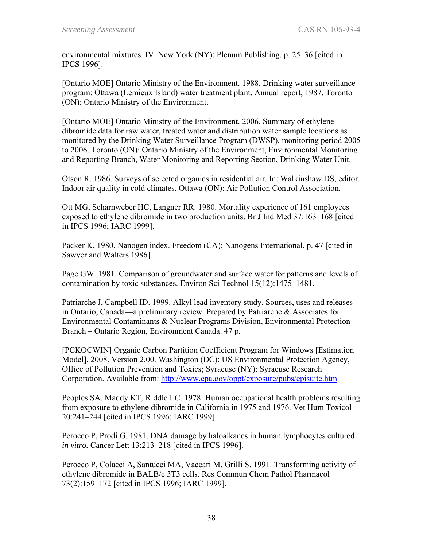environmental mixtures. IV. New York (NY): Plenum Publishing. p. 25–36 [cited in IPCS 1996].

[Ontario MOE] Ontario Ministry of the Environment. 1988. Drinking water surveillance program: Ottawa (Lemieux Island) water treatment plant. Annual report, 1987. Toronto (ON): Ontario Ministry of the Environment.

[Ontario MOE] Ontario Ministry of the Environment. 2006. Summary of ethylene dibromide data for raw water, treated water and distribution water sample locations as monitored by the Drinking Water Surveillance Program (DWSP), monitoring period 2005 to 2006. Toronto (ON): Ontario Ministry of the Environment, Environmental Monitoring and Reporting Branch, Water Monitoring and Reporting Section, Drinking Water Unit.

Otson R. 1986. Surveys of selected organics in residential air. In: Walkinshaw DS, editor. Indoor air quality in cold climates. Ottawa (ON): Air Pollution Control Association.

Ott MG, Scharnweber HC, Langner RR. 1980. Mortality experience of 161 employees exposed to ethylene dibromide in two production units. Br J Ind Med 37:163–168 [cited in IPCS 1996; IARC 1999].

Packer K. 1980. Nanogen index. Freedom (CA): Nanogens International. p. 47 [cited in Sawyer and Walters 1986].

Page GW. 1981. Comparison of groundwater and surface water for patterns and levels of contamination by toxic substances. Environ Sci Technol 15(12):1475–1481.

Patriarche J, Campbell ID. 1999. Alkyl lead inventory study. Sources, uses and releases in Ontario, Canada—a preliminary review. Prepared by Patriarche & Associates for Environmental Contaminants & Nuclear Programs Division, Environmental Protection Branch – Ontario Region, Environment Canada. 47 p.

[PCKOCWIN] Organic Carbon Partition Coefficient Program for Windows [Estimation Model]. 2008. Version 2.00. Washington (DC): US Environmental Protection Agency, Office of Pollution Prevention and Toxics; Syracuse (NY): Syracuse Research Corporation. Available from:<http://www.epa.gov/oppt/exposure/pubs/episuite.htm>

Peoples SA, Maddy KT, Riddle LC. 1978. Human occupational health problems resulting from exposure to ethylene dibromide in California in 1975 and 1976. Vet Hum Toxicol 20:241–244 [cited in IPCS 1996; IARC 1999].

Perocco P, Prodi G. 1981. DNA damage by haloalkanes in human lymphocytes cultured *in vitro.* Cancer Lett 13:213–218 [cited in IPCS 1996].

Perocco P, Colacci A, Santucci MA, Vaccari M, Grilli S. 1991. Transforming activity of ethylene dibromide in BALB/c 3T3 cells. Res Commun Chem Pathol Pharmacol 73(2):159–172 [cited in IPCS 1996; IARC 1999].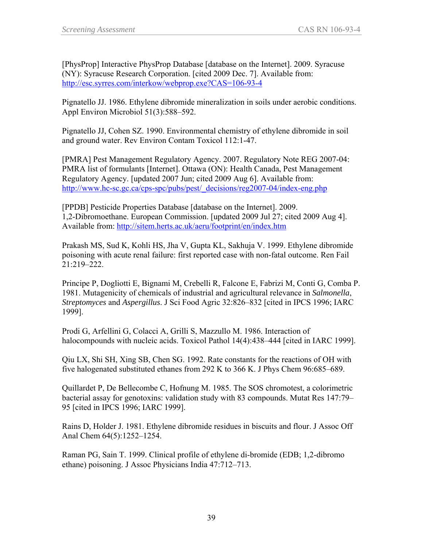[PhysProp] Interactive PhysProp Database [database on the Internet]. 2009. Syracuse (NY): Syracuse Research Corporation. [cited 2009 Dec. 7]. Available from: <http://esc.syrres.com/interkow/webprop.exe?CAS=106-93-4>

Pignatello JJ. 1986. Ethylene dibromide mineralization in soils under aerobic conditions. Appl Environ Microbiol 51(3):588–592.

Pignatello JJ, Cohen SZ. 1990. Environmental chemistry of ethylene dibromide in soil and ground water. Rev Environ Contam Toxicol 112:1-47.

[PMRA] Pest Management Regulatory Agency. 2007. Regulatory Note REG 2007-04: PMRA list of formulants [Internet]. Ottawa (ON): Health Canada, Pest Management Regulatory Agency. [updated 2007 Jun; cited 2009 Aug 6]. Available from: [http://www.hc-sc.gc.ca/cps-spc/pubs/pest/\\_decisions/reg2007-04/index-eng.php](http://www.hc-sc.gc.ca/cps-spc/pubs/pest/_decisions/reg2007-04/index-eng.php)

[PPDB] Pesticide Properties Database [database on the Internet]. 2009. 1,2-Dibromoethane. European Commission. [updated 2009 Jul 27; cited 2009 Aug 4]. Available from:<http://sitem.herts.ac.uk/aeru/footprint/en/index.htm>

Prakash MS, Sud K, Kohli HS, Jha V, Gupta KL, Sakhuja V. 1999. Ethylene dibromide poisoning with acute renal failure: first reported case with non-fatal outcome. Ren Fail 21:219–222.

Principe P, Dogliotti E, Bignami M, Crebelli R, Falcone E, Fabrizi M, Conti G, Comba P. 1981. Mutagenicity of chemicals of industrial and agricultural relevance in *Salmonella*, *Streptomyces* and *Aspergillus*. J Sci Food Agric 32:826–832 [cited in IPCS 1996; IARC 1999].

Prodi G, Arfellini G, Colacci A, Grilli S, Mazzullo M. 1986. Interaction of halocompounds with nucleic acids. Toxicol Pathol 14(4):438–444 [cited in IARC 1999].

Qiu LX, Shi SH, Xing SB, Chen SG. 1992. Rate constants for the reactions of OH with five halogenated substituted ethanes from 292 K to 366 K. J Phys Chem 96:685–689.

Quillardet P, De Bellecombe C, Hofnung M. 1985. The SOS chromotest, a colorimetric bacterial assay for genotoxins: validation study with 83 compounds. Mutat Res 147:79– 95 [cited in IPCS 1996; IARC 1999].

Rains D, Holder J. 1981. Ethylene dibromide residues in biscuits and flour. J Assoc Off Anal Chem 64(5):1252–1254.

Raman PG, Sain T. 1999. Clinical profile of ethylene di-bromide (EDB; 1,2-dibromo ethane) poisoning. J Assoc Physicians India 47:712–713.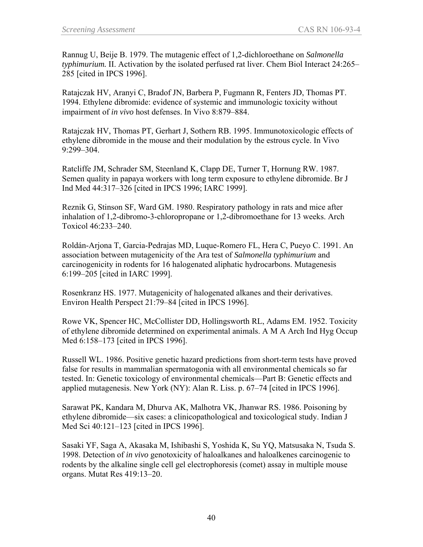Rannug U, Beije B. 1979. The mutagenic effect of 1,2-dichloroethane on *Salmonella typhimurium.* II. Activation by the isolated perfused rat liver. Chem Biol Interact 24:265– 285 [cited in IPCS 1996].

Ratajczak HV, Aranyi C, Bradof JN, Barbera P, Fugmann R, Fenters JD, Thomas PT. 1994. Ethylene dibromide: evidence of systemic and immunologic toxicity without impairment of *in vivo* host defenses. In Vivo 8:879–884.

Ratajczak HV, Thomas PT, Gerhart J, Sothern RB. 1995. Immunotoxicologic effects of ethylene dibromide in the mouse and their modulation by the estrous cycle. In Vivo 9:299–304.

Ratcliffe JM, Schrader SM, Steenland K, Clapp DE, Turner T, Hornung RW. 1987. Semen quality in papaya workers with long term exposure to ethylene dibromide. Br J Ind Med 44:317–326 [cited in IPCS 1996; IARC 1999].

Reznik G, Stinson SF, Ward GM. 1980. Respiratory pathology in rats and mice after inhalation of 1,2-dibromo-3-chloropropane or 1,2-dibromoethane for 13 weeks. Arch Toxicol 46:233–240.

Roldán-Arjona T, Garcia-Pedrajas MD, Luque-Romero FL, Hera C, Pueyo C. 1991. An association between mutagenicity of the Ara test of *Salmonella typhimurium* and carcinogenicity in rodents for 16 halogenated aliphatic hydrocarbons. Mutagenesis 6:199–205 [cited in IARC 1999].

Rosenkranz HS. 1977. Mutagenicity of halogenated alkanes and their derivatives. Environ Health Perspect 21:79–84 [cited in IPCS 1996].

Rowe VK, Spencer HC, McCollister DD, Hollingsworth RL, Adams EM. 1952. Toxicity of ethylene dibromide determined on experimental animals. A M A Arch Ind Hyg Occup Med 6:158–173 [cited in IPCS 1996].

Russell WL. 1986. Positive genetic hazard predictions from short-term tests have proved false for results in mammalian spermatogonia with all environmental chemicals so far tested. In: Genetic toxicology of environmental chemicals—Part B: Genetic effects and applied mutagenesis. New York (NY): Alan R. Liss. p. 67–74 [cited in IPCS 1996].

Sarawat PK, Kandara M, Dhurva AK, Malhotra VK, Jhanwar RS. 1986. Poisoning by ethylene dibromide—six cases: a clinicopathological and toxicological study. Indian J Med Sci 40:121–123 [cited in IPCS 1996].

Sasaki YF, Saga A, Akasaka M, Ishibashi S, Yoshida K, Su YQ, Matsusaka N, Tsuda S. 1998. Detection of *in vivo* genotoxicity of haloalkanes and haloalkenes carcinogenic to rodents by the alkaline single cell gel electrophoresis (comet) assay in multiple mouse organs. Mutat Res 419:13–20.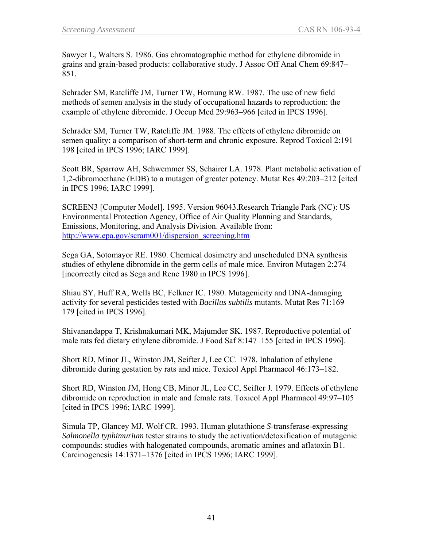Sawyer L, Walters S. 1986. Gas chromatographic method for ethylene dibromide in grains and grain-based products: collaborative study. J Assoc Off Anal Chem 69:847– 851.

Schrader SM, Ratcliffe JM, Turner TW, Hornung RW. 1987. The use of new field methods of semen analysis in the study of occupational hazards to reproduction: the example of ethylene dibromide. J Occup Med 29:963–966 [cited in IPCS 1996].

Schrader SM, Turner TW, Ratcliffe JM. 1988. The effects of ethylene dibromide on semen quality: a comparison of short-term and chronic exposure. Reprod Toxicol 2:191– 198 [cited in IPCS 1996; IARC 1999].

Scott BR, Sparrow AH, Schwemmer SS, Schairer LA. 1978. Plant metabolic activation of 1,2-dibromoethane (EDB) to a mutagen of greater potency. Mutat Res 49:203–212 [cited in IPCS 1996; IARC 1999].

SCREEN3 [Computer Model]. 1995. Version 96043.Research Triangle Park (NC): US Environmental Protection Agency, Office of Air Quality Planning and Standards, Emissions, Monitoring, and Analysis Division. Available from: [http://www.epa.gov/scram001/dispersion\\_screening.htm](http://www.epa.gov/scram001/dispersion_screening.htm)

Sega GA, Sotomayor RE. 1980. Chemical dosimetry and unscheduled DNA synthesis studies of ethylene dibromide in the germ cells of male mice. Environ Mutagen 2:274 [incorrectly cited as Sega and Rene 1980 in IPCS 1996].

Shiau SY, Huff RA, Wells BC, Felkner IC. 1980. Mutagenicity and DNA-damaging activity for several pesticides tested with *Bacillus subtilis* mutants. Mutat Res 71:169– 179 [cited in IPCS 1996].

Shivanandappa T, Krishnakumari MK, Majumder SK. 1987. Reproductive potential of male rats fed dietary ethylene dibromide. J Food Saf 8:147–155 [cited in IPCS 1996].

Short RD, Minor JL, Winston JM, Seifter J, Lee CC. 1978. Inhalation of ethylene dibromide during gestation by rats and mice. Toxicol Appl Pharmacol 46:173–182.

Short RD, Winston JM, Hong CB, Minor JL, Lee CC, Seifter J. 1979. Effects of ethylene dibromide on reproduction in male and female rats. Toxicol Appl Pharmacol 49:97–105 [cited in IPCS 1996; IARC 1999].

Simula TP, Glancey MJ, Wolf CR. 1993. Human glutathione *S*-transferase-expressing *Salmonella typhimurium* tester strains to study the activation/detoxification of mutagenic compounds: studies with halogenated compounds, aromatic amines and aflatoxin B1. Carcinogenesis 14:1371–1376 [cited in IPCS 1996; IARC 1999].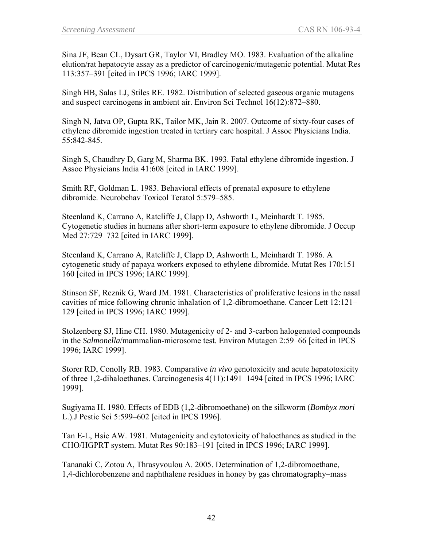Sina JF, Bean CL, Dysart GR, Taylor VI, Bradley MO. 1983. Evaluation of the alkaline elution/rat hepatocyte assay as a predictor of carcinogenic/mutagenic potential. Mutat Res 113:357–391 [cited in IPCS 1996; IARC 1999].

Singh HB, Salas LJ, Stiles RE. 1982. Distribution of selected gaseous organic mutagens and suspect carcinogens in ambient air. Environ Sci Technol 16(12):872–880.

Singh N, Jatva OP, Gupta RK, Tailor MK, Jain R. 2007. Outcome of sixty-four cases of ethylene dibromide ingestion treated in tertiary care hospital. J Assoc Physicians India. 55:842-845.

Singh S, Chaudhry D, Garg M, Sharma BK. 1993. Fatal ethylene dibromide ingestion. J Assoc Physicians India 41:608 [cited in IARC 1999].

Smith RF, Goldman L. 1983. Behavioral effects of prenatal exposure to ethylene dibromide. Neurobehav Toxicol Teratol 5:579–585.

Steenland K, Carrano A, Ratcliffe J, Clapp D, Ashworth L, Meinhardt T. 1985. Cytogenetic studies in humans after short-term exposure to ethylene dibromide. J Occup Med 27:729–732 [cited in IARC 1999].

Steenland K, Carrano A, Ratcliffe J, Clapp D, Ashworth L, Meinhardt T. 1986. A cytogenetic study of papaya workers exposed to ethylene dibromide. Mutat Res 170:151– 160 [cited in IPCS 1996; IARC 1999].

Stinson SF, Reznik G, Ward JM. 1981. Characteristics of proliferative lesions in the nasal cavities of mice following chronic inhalation of 1,2-dibromoethane. Cancer Lett 12:121– 129 [cited in IPCS 1996; IARC 1999].

Stolzenberg SJ, Hine CH. 1980. Mutagenicity of 2- and 3-carbon halogenated compounds in the *Salmonella*/mammalian-microsome test. Environ Mutagen 2:59–66 [cited in IPCS 1996; IARC 1999].

Storer RD, Conolly RB. 1983. Comparative *in vivo* genotoxicity and acute hepatotoxicity of three 1,2-dihaloethanes. Carcinogenesis 4(11):1491–1494 [cited in IPCS 1996; IARC 1999].

Sugiyama H. 1980. Effects of EDB (1,2-dibromoethane) on the silkworm (*Bombyx mori*  L.).J Pestic Sci 5:599–602 [cited in IPCS 1996].

Tan E-L, Hsie AW. 1981. Mutagenicity and cytotoxicity of haloethanes as studied in the CHO/HGPRT system. Mutat Res 90:183–191 [cited in IPCS 1996; IARC 1999].

Tananaki C, Zotou A, Thrasyvoulou A. 2005. Determination of 1,2-dibromoethane, 1,4-dichlorobenzene and naphthalene residues in honey by gas chromatography–mass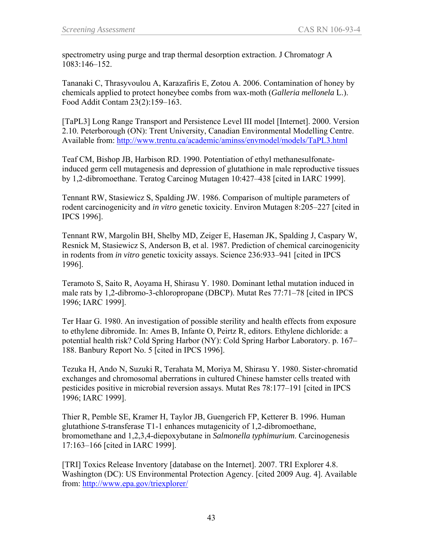spectrometry using purge and trap thermal desorption extraction. J Chromatogr A 1083:146–152.

Tananaki C, Thrasyvoulou A, Karazafiris E, Zotou A. 2006. Contamination of honey by chemicals applied to protect honeybee combs from wax-moth (*Galleria mellonela* L.). Food Addit Contam 23(2):159–163.

[TaPL3] Long Range Transport and Persistence Level III model [Internet]. 2000. Version 2.10. Peterborough (ON): Trent University, Canadian Environmental Modelling Centre. Available from:<http://www.trentu.ca/academic/aminss/envmodel/models/TaPL3.html>

Teaf CM, Bishop JB, Harbison RD. 1990. Potentiation of ethyl methanesulfonateinduced germ cell mutagenesis and depression of glutathione in male reproductive tissues by 1,2-dibromoethane. Teratog Carcinog Mutagen 10:427–438 [cited in IARC 1999].

Tennant RW, Stasiewicz S, Spalding JW. 1986. Comparison of multiple parameters of rodent carcinogenicity and *in vitro* genetic toxicity. Environ Mutagen 8:205–227 [cited in IPCS 1996].

Tennant RW, Margolin BH, Shelby MD, Zeiger E, Haseman JK, Spalding J, Caspary W, Resnick M, Stasiewicz S, Anderson B, et al. 1987. Prediction of chemical carcinogenicity in rodents from *in vitro* genetic toxicity assays. Science 236:933–941 [cited in IPCS 1996].

Teramoto S, Saito R, Aoyama H, Shirasu Y. 1980. Dominant lethal mutation induced in male rats by 1,2-dibromo-3-chloropropane (DBCP). Mutat Res 77:71–78 [cited in IPCS 1996; IARC 1999].

Ter Haar G. 1980. An investigation of possible sterility and health effects from exposure to ethylene dibromide. In: Ames B, Infante O, Peirtz R, editors. Ethylene dichloride: a potential health risk? Cold Spring Harbor (NY): Cold Spring Harbor Laboratory. p. 167– 188. Banbury Report No. 5 [cited in IPCS 1996].

Tezuka H, Ando N, Suzuki R, Terahata M, Moriya M, Shirasu Y. 1980. Sister-chromatid exchanges and chromosomal aberrations in cultured Chinese hamster cells treated with pesticides positive in microbial reversion assays. Mutat Res 78:177–191 [cited in IPCS 1996; IARC 1999].

Thier R, Pemble SE, Kramer H, Taylor JB, Guengerich FP, Ketterer B. 1996. Human glutathione *S*-transferase T1-1 enhances mutagenicity of 1,2-dibromoethane, bromomethane and 1,2,3,4-diepoxybutane in *Salmonella typhimurium*. Carcinogenesis 17:163–166 [cited in IARC 1999].

[TRI] Toxics Release Inventory [database on the Internet]. 2007. TRI Explorer 4.8. Washington (DC): US Environmental Protection Agency. [cited 2009 Aug. 4]. Available from: <http://www.epa.gov/triexplorer/>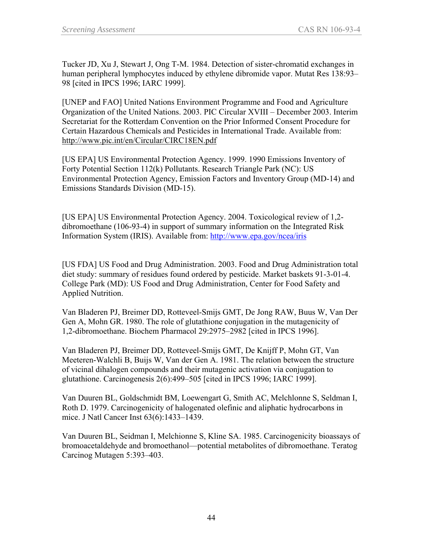Tucker JD, Xu J, Stewart J, Ong T-M. 1984. Detection of sister-chromatid exchanges in human peripheral lymphocytes induced by ethylene dibromide vapor. Mutat Res 138:93– 98 [cited in IPCS 1996; IARC 1999].

[UNEP and FAO] United Nations Environment Programme and Food and Agriculture Organization of the United Nations. 2003. PIC Circular XVIII – December 2003. Interim Secretariat for the Rotterdam Convention on the Prior Informed Consent Procedure for Certain Hazardous Chemicals and Pesticides in International Trade. Available from: <http://www.pic.int/en/Circular/CIRC18EN.pdf>

[US EPA] US Environmental Protection Agency. 1999. 1990 Emissions Inventory of Forty Potential Section 112(k) Pollutants. Research Triangle Park (NC): US Environmental Protection Agency, Emission Factors and Inventory Group (MD-14) and Emissions Standards Division (MD-15).

[US EPA] US Environmental Protection Agency. 2004. Toxicological review of 1,2 dibromoethane (106-93-4) in support of summary information on the Integrated Risk Information System (IRIS). Available from:<http://www.epa.gov/ncea/iris>

[US FDA] US Food and Drug Administration. 2003. Food and Drug Administration total diet study: summary of residues found ordered by pesticide. Market baskets 91-3-01-4. College Park (MD): US Food and Drug Administration, Center for Food Safety and Applied Nutrition.

Van Bladeren PJ, Breimer DD, Rotteveel-Smijs GMT, De Jong RAW, Buus W, Van Der Gen A, Mohn GR. 1980. The role of glutathione conjugation in the mutagenicity of 1,2-dibromoethane. Biochem Pharmacol 29:2975–2982 [cited in IPCS 1996].

Van Bladeren PJ, Breimer DD, Rotteveel-Smijs GMT, De Knijff P, Mohn GT, Van Meeteren-Walchli B, Buijs W, Van der Gen A. 1981. The relation between the structure of vicinal dihalogen compounds and their mutagenic activation via conjugation to glutathione. Carcinogenesis 2(6):499–505 [cited in IPCS 1996; IARC 1999].

Van Duuren BL, Goldschmidt BM, Loewengart G, Smith AC, Melchlonne S, Seldman I, Roth D. 1979. Carcinogenicity of halogenated olefinic and aliphatic hydrocarbons in mice. J Natl Cancer Inst 63(6):1433–1439.

Van Duuren BL, Seidman I, Melchionne S, Kline SA. 1985. Carcinogenicity bioassays of bromoacetaldehyde and bromoethanol—potential metabolites of dibromoethane. Teratog Carcinog Mutagen 5:393–403.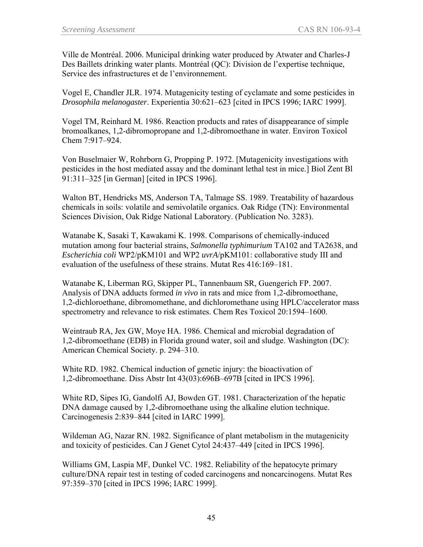Ville de Montréal. 2006. Municipal drinking water produced by Atwater and Charles-J Des Baillets drinking water plants. Montréal (QC): Division de l'expertise technique, Service des infrastructures et de l'environnement.

Vogel E, Chandler JLR. 1974. Mutagenicity testing of cyclamate and some pesticides in *Drosophila melanogaster*. Experientia 30:621–623 [cited in IPCS 1996; IARC 1999].

Vogel TM, Reinhard M. 1986. Reaction products and rates of disappearance of simple bromoalkanes, 1,2-dibromopropane and 1,2-dibromoethane in water. Environ Toxicol Chem 7:917–924.

Von Buselmaier W, Rohrborn G, Propping P. 1972. [Mutagenicity investigations with pesticides in the host mediated assay and the dominant lethal test in mice.] Biol Zent Bl 91:311–325 [in German] [cited in IPCS 1996].

Walton BT, Hendricks MS, Anderson TA, Talmage SS. 1989. Treatability of hazardous chemicals in soils: volatile and semivolatile organics. Oak Ridge (TN): Environmental Sciences Division, Oak Ridge National Laboratory. (Publication No. 3283).

Watanabe K, Sasaki T, Kawakami K. 1998. Comparisons of chemically-induced mutation among four bacterial strains, *Salmonella typhimurium* TA102 and TA2638, and *Escherichia coli* WP2/pKM101 and WP2 *uvrA*/pKM101: collaborative study III and evaluation of the usefulness of these strains. Mutat Res 416:169–181.

Watanabe K, Liberman RG, Skipper PL, Tannenbaum SR, Guengerich FP. 2007. Analysis of DNA adducts formed *in vivo* in rats and mice from 1,2-dibromoethane, 1,2-dichloroethane, dibromomethane, and dichloromethane using HPLC/accelerator mass spectrometry and relevance to risk estimates. Chem Res Toxicol 20:1594–1600.

Weintraub RA, Jex GW, Moye HA. 1986. Chemical and microbial degradation of 1,2-dibromoethane (EDB) in Florida ground water, soil and sludge. Washington (DC): American Chemical Society. p. 294–310.

White RD. 1982. Chemical induction of genetic injury: the bioactivation of 1,2-dibromoethane. Diss Abstr Int 43(03):696B–697B [cited in IPCS 1996].

White RD, Sipes IG, Gandolfi AJ, Bowden GT. 1981. Characterization of the hepatic DNA damage caused by 1,2-dibromoethane using the alkaline elution technique. Carcinogenesis 2:839–844 [cited in IARC 1999].

Wildeman AG, Nazar RN. 1982. Significance of plant metabolism in the mutagenicity and toxicity of pesticides. Can J Genet Cytol 24:437–449 [cited in IPCS 1996].

Williams GM, Laspia MF, Dunkel VC. 1982. Reliability of the hepatocyte primary culture/DNA repair test in testing of coded carcinogens and noncarcinogens. Mutat Res 97:359–370 [cited in IPCS 1996; IARC 1999].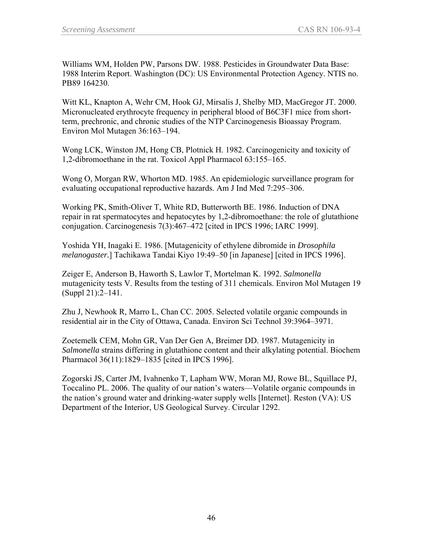Williams WM, Holden PW, Parsons DW. 1988. Pesticides in Groundwater Data Base: 1988 Interim Report. Washington (DC): US Environmental Protection Agency. NTIS no. PB89 164230.

Witt KL, Knapton A, Wehr CM, Hook GJ, Mirsalis J, Shelby MD, MacGregor JT. 2000. Micronucleated erythrocyte frequency in peripheral blood of B6C3F1 mice from shortterm, prechronic, and chronic studies of the NTP Carcinogenesis Bioassay Program. Environ Mol Mutagen 36:163–194.

Wong LCK, Winston JM, Hong CB, Plotnick H. 1982. Carcinogenicity and toxicity of 1,2-dibromoethane in the rat. Toxicol Appl Pharmacol 63:155–165.

Wong O, Morgan RW, Whorton MD. 1985. An epidemiologic surveillance program for evaluating occupational reproductive hazards. Am J Ind Med 7:295–306.

Working PK, Smith-Oliver T, White RD, Butterworth BE. 1986. Induction of DNA repair in rat spermatocytes and hepatocytes by 1,2-dibromoethane: the role of glutathione conjugation. Carcinogenesis 7(3):467–472 [cited in IPCS 1996; IARC 1999].

Yoshida YH, Inagaki E. 1986. [Mutagenicity of ethylene dibromide in *Drosophila melanogaster.*] Tachikawa Tandai Kiyo 19:49–50 [in Japanese] [cited in IPCS 1996].

Zeiger E, Anderson B, Haworth S, Lawlor T, Mortelman K. 1992. *Salmonella* mutagenicity tests V. Results from the testing of 311 chemicals. Environ Mol Mutagen 19 (Suppl 21):2–141.

Zhu J, Newhook R, Marro L, Chan CC. 2005. Selected volatile organic compounds in residential air in the City of Ottawa, Canada. Environ Sci Technol 39:3964–3971.

Zoetemelk CEM, Mohn GR, Van Der Gen A, Breimer DD. 1987. Mutagenicity in *Salmonella* strains differing in glutathione content and their alkylating potential. Biochem Pharmacol 36(11):1829–1835 [cited in IPCS 1996].

Zogorski JS, Carter JM, Ivahnenko T, Lapham WW, Moran MJ, Rowe BL, Squillace PJ, Toccalino PL. 2006. The quality of our nation's waters—Volatile organic compounds in the nation's ground water and drinking-water supply wells [Internet]. Reston (VA): US Department of the Interior, US Geological Survey. Circular 1292.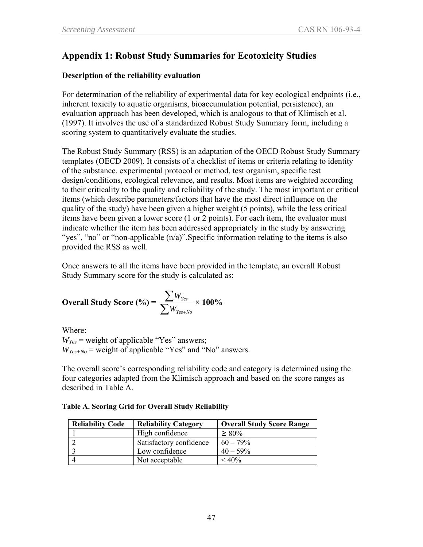### **Appendix 1: Robust Study Summaries for Ecotoxicity Studies**

#### **Description of the reliability evaluation**

For determination of the reliability of experimental data for key ecological endpoints (i.e., inherent toxicity to aquatic organisms, bioaccumulation potential, persistence), an evaluation approach has been developed, which is analogous to that of Klimisch et al. (1997). It involves the use of a standardized Robust Study Summary form, including a scoring system to quantitatively evaluate the studies.

The Robust Study Summary (RSS) is an adaptation of the OECD Robust Study Summary templates (OECD 2009). It consists of a checklist of items or criteria relating to identity of the substance, experimental protocol or method, test organism, specific test design/conditions, ecological relevance, and results. Most items are weighted according to their criticality to the quality and reliability of the study. The most important or critical items (which describe parameters/factors that have the most direct influence on the quality of the study) have been given a higher weight (5 points), while the less critical items have been given a lower score (1 or 2 points). For each item, the evaluator must indicate whether the item has been addressed appropriately in the study by answering "yes", "no" or "non-applicable (n/a)". Specific information relating to the items is also provided the RSS as well.

Once answers to all the items have been provided in the template, an overall Robust Study Summary score for the study is calculated as:

**Overall Study Score** (%) = 
$$
\frac{\sum W_{Yes}}{\sum W_{Yes+No}} \times 100\%
$$

Where:  $W_{Yes}$  = weight of applicable "Yes" answers;  $W_{Yes+No}$  = weight of applicable "Yes" and "No" answers.

The overall score's corresponding reliability code and category is determined using the four categories adapted from the Klimisch approach and based on the score ranges as described in Table A.

| <b>Reliability Code</b> | <b>Reliability Category</b> | <b>Overall Study Score Range</b> |
|-------------------------|-----------------------------|----------------------------------|
|                         | High confidence             | $\geq 80\%$                      |
|                         | Satisfactory confidence     | $60 - 79\%$                      |
|                         | Low confidence              | $40 - 59\%$                      |
|                         | Not acceptable              | $< 40\%$                         |

**Table A. Scoring Grid for Overall Study Reliability**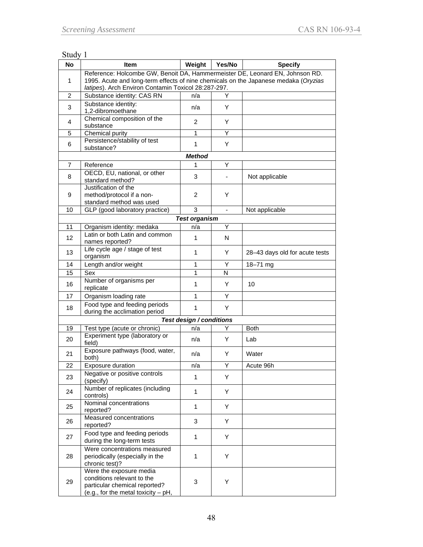### Study 1

| <b>No</b>      | <b>Item</b>                                                                                                                                                         | Weight                   | Yes/No         | <b>Specify</b>                 |  |  |  |  |  |
|----------------|---------------------------------------------------------------------------------------------------------------------------------------------------------------------|--------------------------|----------------|--------------------------------|--|--|--|--|--|
| 1              | Reference: Holcombe GW, Benoit DA, Hammermeister DE, Leonard EN, Johnson RD.<br>1995. Acute and long-term effects of nine chemicals on the Japanese medaka (Oryzias |                          |                |                                |  |  |  |  |  |
| 2              | latipes). Arch Environ Contamin Toxicol 28:287-297.<br>Substance identity: CAS RN                                                                                   | n/a                      | Y              |                                |  |  |  |  |  |
| 3              | Substance identity:<br>1,2-dibromoethane                                                                                                                            | n/a                      | Y              |                                |  |  |  |  |  |
| 4              | Chemical composition of the<br>substance                                                                                                                            | 2                        | Y              |                                |  |  |  |  |  |
| 5              | Chemical purity                                                                                                                                                     | 1                        | Υ              |                                |  |  |  |  |  |
| 6              | Persistence/stability of test<br>substance?                                                                                                                         | $\mathbf{1}$             | Y              |                                |  |  |  |  |  |
| <b>Method</b>  |                                                                                                                                                                     |                          |                |                                |  |  |  |  |  |
| $\overline{7}$ | Reference                                                                                                                                                           | 1                        | Υ              |                                |  |  |  |  |  |
| 8              | OECD, EU, national, or other<br>standard method?                                                                                                                    | 3                        | $\blacksquare$ | Not applicable                 |  |  |  |  |  |
| 9              | Justification of the<br>method/protocol if a non-<br>standard method was used                                                                                       | $\overline{2}$           | Y              |                                |  |  |  |  |  |
| 10             | GLP (good laboratory practice)                                                                                                                                      | 3                        | $\blacksquare$ | Not applicable                 |  |  |  |  |  |
|                |                                                                                                                                                                     | <b>Test organism</b>     |                |                                |  |  |  |  |  |
| 11             | Organism identity: medaka                                                                                                                                           | n/a                      | Υ              |                                |  |  |  |  |  |
| 12             | Latin or both Latin and common<br>names reported?                                                                                                                   | 1                        | N              |                                |  |  |  |  |  |
| 13             | Life cycle age / stage of test<br>organism                                                                                                                          | 1                        | Y              | 28-43 days old for acute tests |  |  |  |  |  |
| 14             | Length and/or weight                                                                                                                                                | 1                        | Y              | 18-71 mg                       |  |  |  |  |  |
| 15             | Sex                                                                                                                                                                 | 1                        | N              |                                |  |  |  |  |  |
| 16             | Number of organisms per<br>replicate                                                                                                                                | 1                        | Y              | 10                             |  |  |  |  |  |
| 17             | Organism loading rate                                                                                                                                               | 1                        | Υ              |                                |  |  |  |  |  |
| 18             | Food type and feeding periods<br>during the acclimation period                                                                                                      | $\mathbf{1}$             | Y              |                                |  |  |  |  |  |
|                |                                                                                                                                                                     | Test design / conditions |                |                                |  |  |  |  |  |
| 19             | Test type (acute or chronic)                                                                                                                                        | n/a                      | Y              | <b>Both</b>                    |  |  |  |  |  |
| 20             | Experiment type (laboratory or<br>field)                                                                                                                            | n/a                      | Y              | Lab                            |  |  |  |  |  |
| 21             | Exposure pathways (food, water,<br>both)                                                                                                                            | n/a                      | Y              | Water                          |  |  |  |  |  |
| 22             | <b>Exposure duration</b>                                                                                                                                            | n/a                      | Y              | Acute 96h                      |  |  |  |  |  |
| 23             | Negative or positive controls<br>(specify)                                                                                                                          | $\mathbf{1}$             | Υ              |                                |  |  |  |  |  |
| 24             | Number of replicates (including<br>controls)                                                                                                                        | $\mathbf{1}$             | Y              |                                |  |  |  |  |  |
| 25             | Nominal concentrations<br>reported?                                                                                                                                 | $\mathbf{1}$             | Y              |                                |  |  |  |  |  |
| 26             | Measured concentrations<br>reported?                                                                                                                                | 3                        | Y              |                                |  |  |  |  |  |
| 27             | Food type and feeding periods<br>during the long-term tests                                                                                                         | 1                        | Y              |                                |  |  |  |  |  |
| 28             | Were concentrations measured<br>periodically (especially in the<br>chronic test)?                                                                                   | 1                        | Y              |                                |  |  |  |  |  |
| 29             | Were the exposure media<br>conditions relevant to the<br>particular chemical reported?<br>(e.g., for the metal toxicity - pH,                                       | 3                        | Y              |                                |  |  |  |  |  |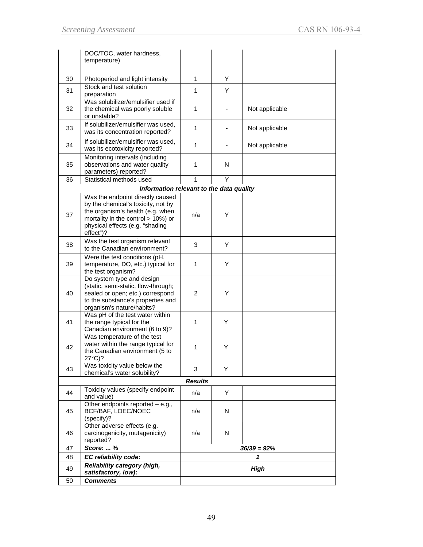|    | DOC/TOC, water hardness,<br>temperature)                                                                                                                                                         |                |   |                |
|----|--------------------------------------------------------------------------------------------------------------------------------------------------------------------------------------------------|----------------|---|----------------|
|    |                                                                                                                                                                                                  |                |   |                |
| 30 | Photoperiod and light intensity                                                                                                                                                                  | $\mathbf{1}$   | Y |                |
| 31 | Stock and test solution<br>preparation                                                                                                                                                           | $\mathbf{1}$   | Y |                |
| 32 | Was solubilizer/emulsifier used if<br>the chemical was poorly soluble<br>or unstable?                                                                                                            | 1              |   | Not applicable |
| 33 | If solubilizer/emulsifier was used,<br>was its concentration reported?                                                                                                                           | $\mathbf{1}$   |   | Not applicable |
| 34 | If solubilizer/emulsifier was used,<br>was its ecotoxicity reported?                                                                                                                             | 1              |   | Not applicable |
| 35 | Monitoring intervals (including<br>observations and water quality<br>parameters) reported?                                                                                                       | $\mathbf{1}$   | N |                |
| 36 | Statistical methods used                                                                                                                                                                         | $\mathbf{1}$   | Y |                |
|    | Information relevant to the data quality                                                                                                                                                         |                |   |                |
| 37 | Was the endpoint directly caused<br>by the chemical's toxicity, not by<br>the organism's health (e.g. when<br>mortality in the control > 10%) or<br>physical effects (e.g. "shading<br>effect")? | n/a            | Y |                |
| 38 | Was the test organism relevant<br>to the Canadian environment?                                                                                                                                   | 3              | Y |                |
| 39 | Were the test conditions (pH,<br>temperature, DO, etc.) typical for<br>the test organism?                                                                                                        | $\mathbf{1}$   | Y |                |
| 40 | Do system type and design<br>(static, semi-static, flow-through;<br>sealed or open; etc.) correspond<br>to the substance's properties and<br>organism's nature/habits?                           | $\overline{2}$ | Y |                |
| 41 | Was pH of the test water within<br>the range typical for the<br>Canadian environment (6 to 9)?                                                                                                   | $\mathbf{1}$   | Y |                |
| 42 | Was temperature of the test<br>water within the range typical for<br>the Canadian environment (5 to<br>27°C)?                                                                                    | 1              | Y |                |
| 43 | Was toxicity value below the<br>chemical's water solubility?                                                                                                                                     | 3              | Y |                |
|    |                                                                                                                                                                                                  | <b>Results</b> |   |                |
| 44 | Toxicity values (specify endpoint<br>and value)                                                                                                                                                  | n/a            | Y |                |
| 45 | Other endpoints reported $-$ e.g.,<br>BCF/BAF, LOEC/NOEC<br>(specify)?                                                                                                                           | n/a            | N |                |
| 46 | Other adverse effects (e.g.<br>carcinogenicity, mutagenicity)<br>reported?                                                                                                                       | n/a            | N |                |
| 47 | Score:  %                                                                                                                                                                                        |                |   | $36/39 = 92\%$ |
| 48 | EC reliability code:                                                                                                                                                                             |                |   | 1              |
| 49 | <b>Reliability category (high,</b><br>satisfactory, low):                                                                                                                                        |                |   | High           |
| 50 | <b>Comments</b>                                                                                                                                                                                  |                |   |                |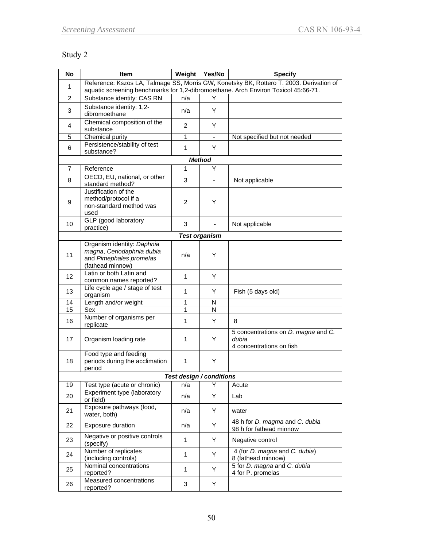### Study 2

| <b>No</b>      | Item                                                                                                   | Weight         | Yes/No                   | <b>Specify</b>                                                                          |
|----------------|--------------------------------------------------------------------------------------------------------|----------------|--------------------------|-----------------------------------------------------------------------------------------|
| 1              |                                                                                                        |                |                          | Reference: Kszos LA, Talmage SS, Morris GW, Konetsky BK, Rottero T. 2003. Derivation of |
| $\overline{c}$ | Substance identity: CAS RN                                                                             | n/a            | Y                        | aquatic screening benchmarks for 1,2-dibromoethane. Arch Environ Toxicol 45:66-71.      |
|                | Substance identity: 1,2-                                                                               |                |                          |                                                                                         |
| 3              | dibromoethane                                                                                          | n/a            | Y                        |                                                                                         |
| 4              | Chemical composition of the<br>substance                                                               | 2              | Y                        |                                                                                         |
| 5              | Chemical purity                                                                                        | $\mathbf{1}$   | $\blacksquare$           | Not specified but not needed                                                            |
| 6              | Persistence/stability of test<br>substance?                                                            | $\mathbf{1}$   | Y                        |                                                                                         |
|                |                                                                                                        |                | <b>Method</b>            |                                                                                         |
| 7              | Reference                                                                                              | 1              | Y                        |                                                                                         |
| 8              | OECD, EU, national, or other<br>standard method?                                                       | 3              |                          | Not applicable                                                                          |
| 9              | Justification of the<br>method/protocol if a<br>non-standard method was<br>used                        | $\overline{c}$ | Y                        |                                                                                         |
| 10             | GLP (good laboratory<br>practice)                                                                      | 3              |                          | Not applicable                                                                          |
|                |                                                                                                        |                | <b>Test organism</b>     |                                                                                         |
| 11             | Organism identity: Daphnia<br>magna, Ceriodaphnia dubia<br>and Pimephales promelas<br>(fathead minnow) | n/a            | Y                        |                                                                                         |
| 12             | Latin or both Latin and<br>common names reported?                                                      | $\mathbf{1}$   | Y                        |                                                                                         |
| 13             | Life cycle age / stage of test<br>organism                                                             | 1              | Y                        | Fish (5 days old)                                                                       |
| 14             | Length and/or weight                                                                                   | 1              | N                        |                                                                                         |
| 15             | Sex                                                                                                    | 1              | N                        |                                                                                         |
| 16             | Number of organisms per<br>replicate                                                                   | 1              | Y                        | 8                                                                                       |
| 17             | Organism loading rate                                                                                  | 1              | Y                        | 5 concentrations on <i>D. magna</i> and <i>C.</i><br>dubia<br>4 concentrations on fish  |
| 18             | Food type and feeding<br>periods during the acclimation<br>period                                      | 1              | Y                        |                                                                                         |
|                |                                                                                                        |                | Test desian / conditions |                                                                                         |
| 19             | Test type (acute or chronic)                                                                           | n/a            | Υ                        | Acute                                                                                   |
| 20             | Experiment type (laboratory<br>or field)                                                               | n/a            | Υ                        | Lab                                                                                     |
| 21             | Exposure pathways (food,<br>water, both)                                                               | n/a            | Υ                        | water                                                                                   |
| 22             | <b>Exposure duration</b>                                                                               | n/a            | Y                        | 48 h for D. magma and C. dubia<br>98 h for fathead minnow                               |
| 23             | Negative or positive controls<br>(specify)                                                             | 1              | Υ                        | Negative control                                                                        |
| 24             | Number of replicates<br>(including controls)                                                           | $\mathbf{1}$   | Y                        | 4 (for <i>D. magna and C. dubia</i> )<br>8 (fathead minnow)                             |
| 25             | Nominal concentrations<br>reported?                                                                    | $\mathbf{1}$   | Υ                        | 5 for D. magna and C. dubia<br>4 for P. promelas                                        |
| 26             | Measured concentrations<br>reported?                                                                   | 3              | Υ                        |                                                                                         |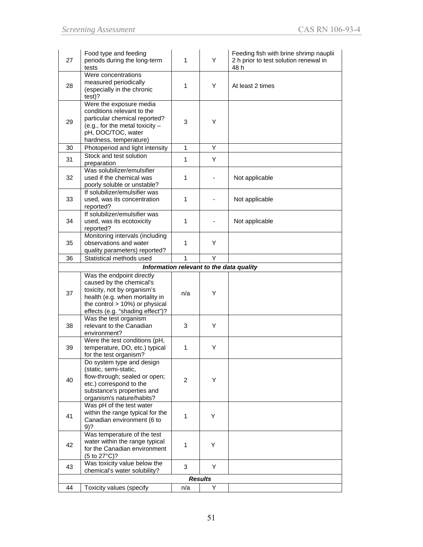| 27 | Food type and feeding<br>periods during the long-term<br>tests                                                                                                                                   | 1            | Y              | Feeding fish with brine shrimp nauplii<br>2 h prior to test solution renewal in<br>48 h |
|----|--------------------------------------------------------------------------------------------------------------------------------------------------------------------------------------------------|--------------|----------------|-----------------------------------------------------------------------------------------|
| 28 | Were concentrations<br>measured periodically<br>(especially in the chronic<br>test)?                                                                                                             | 1            | Y              | At least 2 times                                                                        |
| 29 | Were the exposure media<br>conditions relevant to the<br>particular chemical reported?<br>(e.g., for the metal toxicity $-$<br>pH, DOC/TOC, water<br>hardness, temperature)                      | 3            | Y              |                                                                                         |
| 30 | Photoperiod and light intensity                                                                                                                                                                  | $\mathbf{1}$ | Y              |                                                                                         |
| 31 | Stock and test solution<br>preparation                                                                                                                                                           | 1            | Y              |                                                                                         |
| 32 | Was solubilizer/emulsifier<br>used if the chemical was<br>poorly soluble or unstable?                                                                                                            | 1            |                | Not applicable                                                                          |
| 33 | If solubilizer/emulsifier was<br>used, was its concentration<br>reported?                                                                                                                        | 1            |                | Not applicable                                                                          |
| 34 | If solubilizer/emulsifier was<br>used, was its ecotoxicity<br>reported?                                                                                                                          | 1            |                | Not applicable                                                                          |
| 35 | Monitoring intervals (including<br>observations and water<br>quality parameters) reported?                                                                                                       | 1            | Y              |                                                                                         |
| 36 | Statistical methods used                                                                                                                                                                         | 1            | Y              |                                                                                         |
|    |                                                                                                                                                                                                  |              |                | Information relevant to the data quality                                                |
| 37 | Was the endpoint directly<br>caused by the chemical's<br>toxicity, not by organism's<br>health (e.g. when mortality in<br>the control $> 10\%$ ) or physical<br>effects (e.g. "shading effect")? | n/a          | Υ              |                                                                                         |
| 38 | Was the test organism<br>relevant to the Canadian<br>environment?                                                                                                                                | 3            | Y              |                                                                                         |
| 39 | Were the test conditions (pH,<br>temperature, DO, etc.) typical<br>for the test organism?                                                                                                        | 1            | Y              |                                                                                         |
| 40 | Do system type and design<br>(static, semi-static,<br>flow-through; sealed or open;<br>etc.) correspond to the<br>substance's properties and<br>organism's nature/habits?                        | 2            | Y              |                                                                                         |
| 41 | Was pH of the test water<br>within the range typical for the<br>Canadian environment (6 to<br>$9)$ ?                                                                                             | $\mathbf{1}$ | Υ              |                                                                                         |
| 42 | Was temperature of the test<br>water within the range typical<br>for the Canadian environment<br>(5 to 27°C)?                                                                                    | 1            | Y              |                                                                                         |
| 43 | Was toxicity value below the<br>chemical's water solubility?                                                                                                                                     | 3            | Y              |                                                                                         |
|    |                                                                                                                                                                                                  |              | <b>Results</b> |                                                                                         |
| 44 | Toxicity values (specify                                                                                                                                                                         | n/a          | Y              |                                                                                         |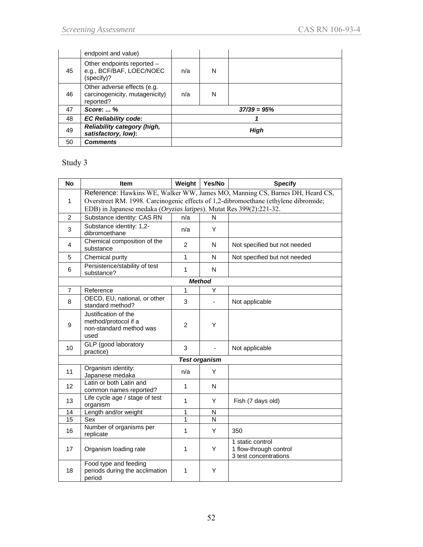|    | endpoint and value)                                                        |      |   |               |
|----|----------------------------------------------------------------------------|------|---|---------------|
| 45 | Other endpoints reported -<br>e.g., BCF/BAF, LOEC/NOEC<br>(specify)?       | n/a  | N |               |
| 46 | Other adverse effects (e.g.<br>carcinogenicity, mutagenicity)<br>reported? | n/a  | N |               |
| 47 | <b>Score:  %</b>                                                           |      |   | $37/39 = 95%$ |
| 48 | <b>EC Reliability code:</b>                                                |      |   |               |
| 49 | Reliability category (high,<br>satisfactory, low):                         | High |   |               |
| 50 | <b>Comments</b>                                                            |      |   |               |

### Study 3

| <b>No</b>         | Item                                                                            | Weight         | Yes/No               | <b>Specify</b>                                                                                                                                                      |
|-------------------|---------------------------------------------------------------------------------|----------------|----------------------|---------------------------------------------------------------------------------------------------------------------------------------------------------------------|
| 1                 | EDB) in Japanese medaka (Oryzias latipes). Mutat Res 399(2):221-32.             |                |                      | Reference: Hawkins WE, Walker WW, James MO, Manning CS, Barnes DH, Heard CS,<br>Overstreet RM. 1998. Carcinogenic effects of 1,2-dibromoethane (ethylene dibromide; |
| $\overline{2}$    | Substance identity: CAS RN                                                      | n/a            | N                    |                                                                                                                                                                     |
| 3                 | Substance identity: 1,2-<br>dibromoethane                                       | n/a            | Y                    |                                                                                                                                                                     |
| $\overline{4}$    | Chemical composition of the<br>substance                                        | $\overline{2}$ | N                    | Not specified but not needed                                                                                                                                        |
| 5                 | Chemical purity                                                                 | 1              | N                    | Not specified but not needed                                                                                                                                        |
| 6                 | Persistence/stability of test<br>substance?                                     | $\mathbf{1}$   | N                    |                                                                                                                                                                     |
|                   |                                                                                 |                | <b>Method</b>        |                                                                                                                                                                     |
| $\overline{7}$    | Reference                                                                       | 1              | Y                    |                                                                                                                                                                     |
| 8                 | OECD, EU, national, or other<br>standard method?                                | 3              | $\blacksquare$       | Not applicable                                                                                                                                                      |
| 9                 | Justification of the<br>method/protocol if a<br>non-standard method was<br>used | $\overline{2}$ | Υ                    |                                                                                                                                                                     |
| 10                | GLP (good laboratory<br>practice)                                               | 3              |                      | Not applicable                                                                                                                                                      |
|                   |                                                                                 |                | <b>Test organism</b> |                                                                                                                                                                     |
| 11                | Organism identity:<br>Japanese medaka                                           | n/a            | Y                    |                                                                                                                                                                     |
| $12 \overline{ }$ | Latin or both Latin and<br>common names reported?                               | 1              | N                    |                                                                                                                                                                     |
| 13                | Life cycle age / stage of test<br>organism                                      | 1              | Y                    | Fish (7 days old)                                                                                                                                                   |
| 14                | Length and/or weight                                                            | 1              | N                    |                                                                                                                                                                     |
| 15                | Sex                                                                             | 1              | N                    |                                                                                                                                                                     |
| 16                | Number of organisms per<br>replicate                                            | 1              | Y                    | 350                                                                                                                                                                 |
| 17                | Organism loading rate                                                           | 1              | Υ                    | 1 static control<br>1 flow-through control<br>3 test concentrations                                                                                                 |
| 18                | Food type and feeding<br>periods during the acclimation<br>period               | 1              | Υ                    |                                                                                                                                                                     |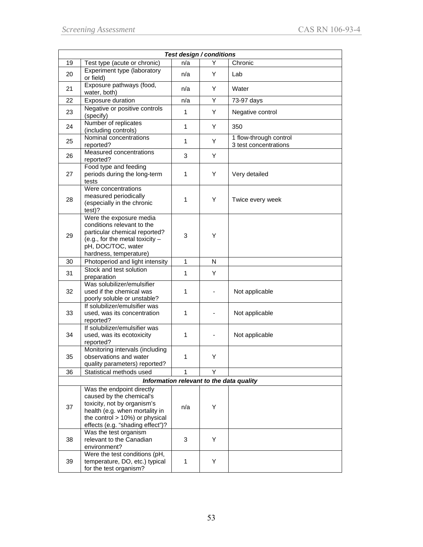| Test design / conditions |                                                                                                                                                                                                  |              |   |                                                 |  |
|--------------------------|--------------------------------------------------------------------------------------------------------------------------------------------------------------------------------------------------|--------------|---|-------------------------------------------------|--|
| 19                       | Test type (acute or chronic)                                                                                                                                                                     | n/a          | Y | Chronic                                         |  |
| 20                       | Experiment type (laboratory<br>or field)                                                                                                                                                         | n/a          | Y | Lab                                             |  |
| 21                       | Exposure pathways (food,<br>water, both)                                                                                                                                                         | n/a          | Y | Water                                           |  |
| 22                       | Exposure duration                                                                                                                                                                                | n/a          | Y | 73-97 days                                      |  |
| 23                       | Negative or positive controls<br>(specify)                                                                                                                                                       | $\mathbf{1}$ | Y | Negative control                                |  |
| 24                       | Number of replicates<br>(including controls)                                                                                                                                                     | $\mathbf{1}$ | Y | 350                                             |  |
| 25                       | Nominal concentrations<br>reported?                                                                                                                                                              | $\mathbf{1}$ | Y | 1 flow-through control<br>3 test concentrations |  |
| 26                       | Measured concentrations<br>reported?                                                                                                                                                             | 3            | Υ |                                                 |  |
| 27                       | Food type and feeding<br>periods during the long-term<br>tests                                                                                                                                   | 1            | Y | Very detailed                                   |  |
| 28                       | Were concentrations<br>measured periodically<br>(especially in the chronic<br>test)?                                                                                                             | 1            | Y | Twice every week                                |  |
| 29                       | Were the exposure media<br>conditions relevant to the<br>particular chemical reported?<br>(e.g., for the metal toxicity $-$<br>pH, DOC/TOC, water<br>hardness, temperature)                      | 3            | Y |                                                 |  |
| 30                       | Photoperiod and light intensity                                                                                                                                                                  | $\mathbf{1}$ | N |                                                 |  |
| 31                       | Stock and test solution<br>preparation                                                                                                                                                           | 1            | Y |                                                 |  |
| 32                       | Was solubilizer/emulsifier<br>used if the chemical was<br>poorly soluble or unstable?                                                                                                            | 1            |   | Not applicable                                  |  |
| 33                       | If solubilizer/emulsifier was<br>used, was its concentration<br>reported?                                                                                                                        | $\mathbf{1}$ |   | Not applicable                                  |  |
| 34                       | If solubilizer/emulsifier was<br>used, was its ecotoxicity<br>reported?                                                                                                                          | $\mathbf{1}$ |   | Not applicable                                  |  |
| 35                       | Monitoring intervals (including<br>observations and water<br>quality parameters) reported?                                                                                                       | 1            | Y |                                                 |  |
| 36                       | Statistical methods used                                                                                                                                                                         | 1            | Y |                                                 |  |
|                          |                                                                                                                                                                                                  |              |   | Information relevant to the data quality        |  |
| 37                       | Was the endpoint directly<br>caused by the chemical's<br>toxicity, not by organism's<br>health (e.g. when mortality in<br>the control $> 10\%$ ) or physical<br>effects (e.g. "shading effect")? | n/a          | Υ |                                                 |  |
| 38                       | Was the test organism<br>relevant to the Canadian<br>environment?                                                                                                                                | 3            | Y |                                                 |  |
| 39                       | Were the test conditions (pH,<br>temperature, DO, etc.) typical<br>for the test organism?                                                                                                        | $\mathbf{1}$ | Υ |                                                 |  |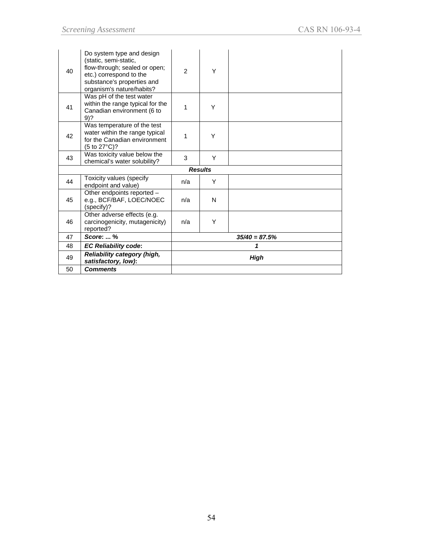| 40 | Do system type and design<br>(static, semi-static,<br>flow-through; sealed or open;<br>etc.) correspond to the<br>substance's properties and<br>organism's nature/habits? | $\mathfrak{p}$ | Υ              |                 |
|----|---------------------------------------------------------------------------------------------------------------------------------------------------------------------------|----------------|----------------|-----------------|
| 41 | Was pH of the test water<br>within the range typical for the<br>Canadian environment (6 to<br>9)?                                                                         | 1              | Y              |                 |
| 42 | Was temperature of the test<br>water within the range typical<br>for the Canadian environment<br>(5 to 27°C)?                                                             | 1              | Υ              |                 |
| 43 | Was toxicity value below the<br>chemical's water solubility?                                                                                                              | 3              | Y              |                 |
|    |                                                                                                                                                                           |                | <b>Results</b> |                 |
| 44 | Toxicity values (specify<br>endpoint and value)                                                                                                                           | n/a            | Y              |                 |
| 45 | Other endpoints reported -<br>e.g., BCF/BAF, LOEC/NOEC<br>(specify)?                                                                                                      | n/a            | N              |                 |
| 46 | Other adverse effects (e.g.<br>carcinogenicity, mutagenicity)<br>reported?                                                                                                | n/a            | Υ              |                 |
| 47 | Score:  %                                                                                                                                                                 |                |                | $35/40 = 87.5%$ |
| 48 | <b>EC Reliability code:</b>                                                                                                                                               |                |                | 1               |
| 49 | Reliability category (high,<br>satisfactory, low):                                                                                                                        | <b>High</b>    |                |                 |
| 50 | <b>Comments</b>                                                                                                                                                           |                |                |                 |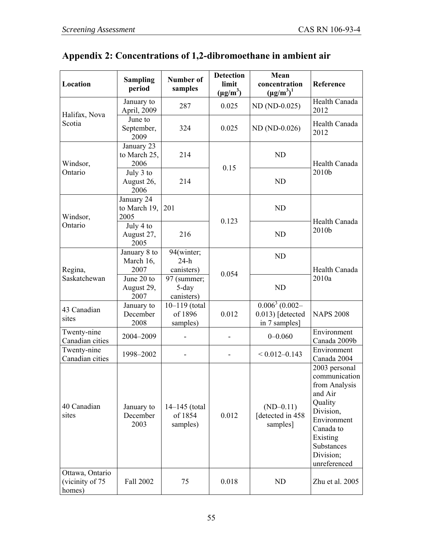# **Appendix 2: Concentrations of 1,2-dibromoethane in ambient air**

| Location                                     | <b>Sampling</b><br>period              | <b>Number of</b><br>samples              | <b>Detection</b><br>limit<br>$(\mu g/m^3)$ | Mean<br>concentration<br>$(\mu g/m^3)^1$                             | Reference                                                                                                                                                             |
|----------------------------------------------|----------------------------------------|------------------------------------------|--------------------------------------------|----------------------------------------------------------------------|-----------------------------------------------------------------------------------------------------------------------------------------------------------------------|
| Halifax, Nova                                | January to<br>April, 2009              | 287                                      | 0.025                                      | ND (ND-0.025)                                                        | Health Canada<br>2012                                                                                                                                                 |
| Scotia                                       | June to<br>September,<br>2009          | 324                                      | 0.025                                      | ND (ND-0.026)                                                        | Health Canada<br>2012                                                                                                                                                 |
| Windsor,                                     | January 23<br>to March 25,<br>2006     | 214                                      |                                            | <b>ND</b>                                                            | Health Canada                                                                                                                                                         |
| Ontario                                      | July 3 to<br>August 26,<br>2006        | 214                                      | 0.15                                       | <b>ND</b>                                                            | 2010b                                                                                                                                                                 |
| Windsor,                                     | January 24<br>to March 19,<br>2005     | 201                                      | 0.123                                      | <b>ND</b>                                                            | Health Canada                                                                                                                                                         |
| Ontario                                      | July 4 to<br>August 27,<br>216<br>2005 |                                          | <b>ND</b>                                  | 2010b                                                                |                                                                                                                                                                       |
| Regina,                                      | January 8 to<br>March 16,<br>2007      | 94(winter;<br>$24-h$<br>canisters)       |                                            | <b>ND</b>                                                            | Health Canada<br>2010a                                                                                                                                                |
| Saskatchewan                                 | June 20 to<br>August 29,<br>2007       | 97 (summer;<br>5-day<br>canisters)       | 0.054                                      | <b>ND</b>                                                            |                                                                                                                                                                       |
| 43 Canadian<br>sites                         | January to<br>December<br>2008         | $10 - 119$ (total<br>of 1896<br>samples) | 0.012                                      | $\overline{0.006^3(0.002-)}$<br>$0.013$ ) [detected<br>in 7 samples] | <b>NAPS 2008</b>                                                                                                                                                      |
| Twenty-nine<br>Canadian cities               | 2004-2009                              |                                          |                                            | $0 - 0.060$                                                          | Environment<br>Canada 2009b                                                                                                                                           |
| Twenty-nine<br>Canadian cities               | 1998-2002                              |                                          |                                            | $< 0.012 - 0.143$                                                    | Environment<br>Canada 2004                                                                                                                                            |
| 40 Canadian<br>sites                         | January to<br>December<br>2003         | 14-145 (total<br>of 1854<br>samples)     | 0.012                                      | $(ND-0.11)$<br>detected in 458<br>samples]                           | 2003 personal<br>communication<br>from Analysis<br>and Air<br>Quality<br>Division,<br>Environment<br>Canada to<br>Existing<br>Substances<br>Division;<br>unreferenced |
| Ottawa, Ontario<br>(vicinity of 75<br>homes) | Fall 2002                              | 75                                       | 0.018                                      | ND                                                                   | Zhu et al. 2005                                                                                                                                                       |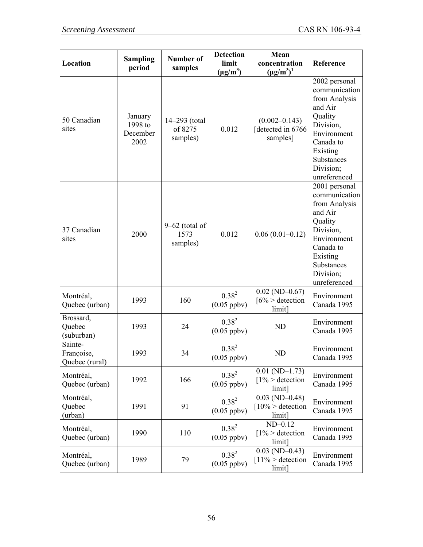| Location                                | <b>Sampling</b><br>period              | Number of<br>samples                 | <b>Detection</b><br>limit<br>$(\mu g/m^3)$ | Mean<br>concentration<br>$(\mu g/m^3)^1$          | Reference                                                                                                                                                             |
|-----------------------------------------|----------------------------------------|--------------------------------------|--------------------------------------------|---------------------------------------------------|-----------------------------------------------------------------------------------------------------------------------------------------------------------------------|
| 50 Canadian<br>sites                    | January<br>1998 to<br>December<br>2002 | 14-293 (total<br>of 8275<br>samples) | 0.012                                      | $(0.002 - 0.143)$<br>detected in 6766<br>samples] | 2002 personal<br>communication<br>from Analysis<br>and Air<br>Quality<br>Division,<br>Environment<br>Canada to<br>Existing<br>Substances<br>Division;<br>unreferenced |
| 37 Canadian<br>sites                    | 2000                                   | $9-62$ (total of<br>1573<br>samples) | 0.012                                      | $0.06(0.01-0.12)$                                 | 2001 personal<br>communication<br>from Analysis<br>and Air<br>Quality<br>Division,<br>Environment<br>Canada to<br>Existing<br>Substances<br>Division;<br>unreferenced |
| Montréal,<br>Quebec (urban)             | 1993                                   | 160                                  | $0.38^{2}$<br>$(0.05$ ppbv $)$             | $0.02$ (ND-0.67)<br>$[6\% >$ detection<br>limit]  | Environment<br>Canada 1995                                                                                                                                            |
| Brossard,<br>Quebec<br>(suburban)       | 1993                                   | 24                                   | $0.38^{2}$<br>$(0.05$ ppbv $)$             | <b>ND</b>                                         | Environment<br>Canada 1995                                                                                                                                            |
| Sainte-<br>Françoise,<br>Quebec (rural) | 1993                                   | 34                                   | $0.38^{2}$<br>$(0.05$ ppbv $)$             | <b>ND</b>                                         | Environment<br>Canada 1995                                                                                                                                            |
| Montréal,<br>Quebec (urban)             | 1992                                   | 166                                  | $0.38^{2}$<br>$(0.05$ ppbv $)$             | $0.01$ (ND-1.73)<br>$1\%$ > detection<br>limit]   | Environment<br>Canada 1995                                                                                                                                            |
| Montréal,<br>Quebec<br>(urban)          | 1991                                   | 91                                   | $0.38^{2}$<br>$(0.05$ ppbv)                | $0.03$ (ND-0.48)<br>$10\%$ > detection<br>limit]  | Environment<br>Canada 1995                                                                                                                                            |
| Montréal,<br>Quebec (urban)             | 1990                                   | 110                                  | $0.38^{2}$<br>$(0.05$ ppbv $)$             | $ND-0.12$<br>$1\%$ > detection<br>limit]          | Environment<br>Canada 1995                                                                                                                                            |
| Montréal,<br>Quebec (urban)             | 1989                                   | 79                                   | $0.38^{2}$<br>$(0.05$ ppbv $)$             | $0.03$ (ND-0.43)<br>$11\%$ > detection<br>limit]  | Environment<br>Canada 1995                                                                                                                                            |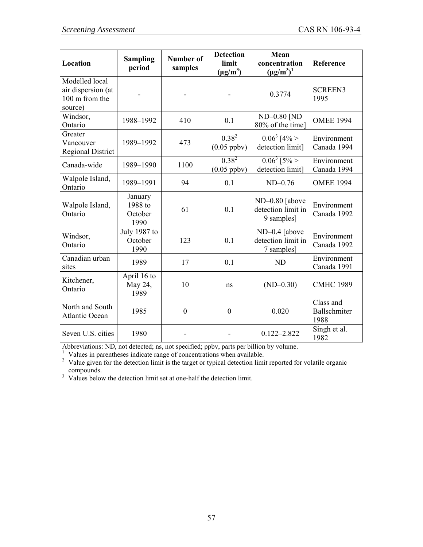| Location                                                          | <b>Sampling</b><br>period             | <b>Number of</b><br>samples | <b>Detection</b><br>limit<br>$(\mu g/m^3)$ | Mean<br>concentration<br>$(\mu g/m^3)^1$           | Reference                         |
|-------------------------------------------------------------------|---------------------------------------|-----------------------------|--------------------------------------------|----------------------------------------------------|-----------------------------------|
| Modelled local<br>air dispersion (at<br>100 m from the<br>source) |                                       |                             |                                            | 0.3774                                             | <b>SCREEN3</b><br>1995            |
| Windsor,<br>Ontario                                               | 1988-1992                             | 410                         | 0.1                                        | ND-0.80 [ND<br>80% of the time]                    | <b>OMEE 1994</b>                  |
| Greater<br>Vancouver<br><b>Regional District</b>                  | 1989-1992                             | 473                         | $0.38^{2}$<br>$(0.05$ ppbv $)$             | $0.06^3$ [4% ><br>detection limit]                 | Environment<br>Canada 1994        |
| Canada-wide                                                       | 1989-1990                             | 1100                        | $0.38^{2}$<br>$(0.05$ ppbv)                | $0.06^3$ [5% ><br>detection limit]                 | Environment<br>Canada 1994        |
| Walpole Island,<br>Ontario                                        | 1989-1991                             | 94                          | 0.1                                        | $ND-0.76$                                          | <b>OMEE 1994</b>                  |
| Walpole Island,<br>Ontario                                        | January<br>1988 to<br>October<br>1990 | 61                          | 0.1                                        | ND-0.80 [above<br>detection limit in<br>9 samples] | Environment<br>Canada 1992        |
| Windsor,<br>Ontario                                               | July 1987 to<br>October<br>1990       | 123                         | 0.1                                        | ND-0.4 [above<br>detection limit in<br>7 samples]  | Environment<br>Canada 1992        |
| Canadian urban<br>sites                                           | 1989                                  | 17                          | 0.1                                        | <b>ND</b>                                          | Environment<br>Canada 1991        |
| Kitchener,<br>Ontario                                             | April 16 to<br>May 24,<br>1989        | 10                          | ns                                         | $(ND-0.30)$                                        | <b>CMHC 1989</b>                  |
| North and South<br><b>Atlantic Ocean</b>                          | 1985                                  | $\boldsymbol{0}$            | $\boldsymbol{0}$                           | 0.020                                              | Class and<br>Ballschmiter<br>1988 |
| Seven U.S. cities                                                 | 1980                                  |                             |                                            | $0.122 - 2.822$                                    | Singh et al.<br>1982              |

Abbreviations: ND, not detected; ns, not specified; ppbv, parts per billion by volume. 1 Values in parentheses indicate range of concentrations when available.

 $2$  Value given for the detection limit is the target or typical detection limit reported for volatile organic

compounds. 3 Values below the detection limit set at one-half the detection limit.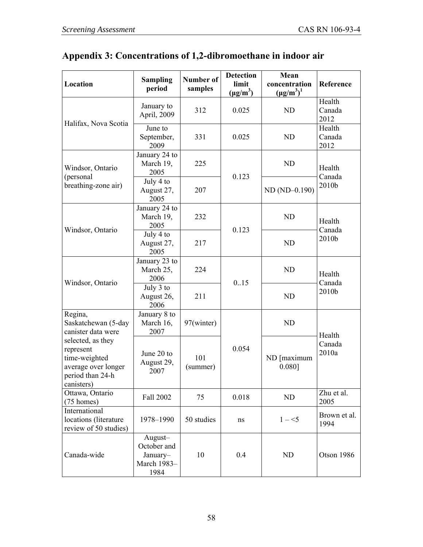## **Appendix 3: Concentrations of 1,2-dibromoethane in indoor air**

| Location                                                                                                                                                         | <b>Sampling</b><br>period                                 | <b>Number of</b><br>samples | <b>Detection</b><br>limit<br>$(\mu g/m^3)$ | Mean<br>concentration<br>$(\mu g/m^3)^1$ | Reference                |
|------------------------------------------------------------------------------------------------------------------------------------------------------------------|-----------------------------------------------------------|-----------------------------|--------------------------------------------|------------------------------------------|--------------------------|
|                                                                                                                                                                  | January to<br>April, 2009                                 | 312                         | 0.025                                      | <b>ND</b>                                | Health<br>Canada<br>2012 |
| Halifax, Nova Scotia                                                                                                                                             | June to<br>September,<br>2009                             | 331                         | 0.025                                      | <b>ND</b>                                | Health<br>Canada<br>2012 |
| Windsor, Ontario<br>(personal                                                                                                                                    | January 24 to<br>March 19,<br>2005                        | 225                         | 0.123                                      | <b>ND</b>                                | Health                   |
| breathing-zone air)                                                                                                                                              | July 4 to<br>August 27,<br>2005                           | 207                         |                                            | ND (ND-0.190)                            | Canada<br>2010b          |
|                                                                                                                                                                  | January 24 to<br>March 19,<br>2005                        | 232                         | 0.123                                      | <b>ND</b>                                | Health<br>Canada         |
| Windsor, Ontario                                                                                                                                                 | July 4 to<br>August 27,<br>2005                           | 217                         |                                            | <b>ND</b>                                | 2010b                    |
| Windsor, Ontario                                                                                                                                                 | January 23 to<br>March 25,<br>2006                        | 224                         | 0.15                                       | ND                                       | Health<br>Canada         |
|                                                                                                                                                                  | July 3 to<br>August 26,<br>2006                           | 211                         |                                            | <b>ND</b>                                | 2010b                    |
| Regina,<br>Saskatchewan (5-day<br>canister data were<br>selected, as they<br>represent<br>time-weighted<br>average over longer<br>period than 24-h<br>canisters) | January 8 to<br>March 16,<br>2007                         | 97(winter)                  |                                            | <b>ND</b>                                | Health                   |
|                                                                                                                                                                  | June 20 to<br>August 29,<br>2007                          | 101<br>(summer)             | 0.054                                      | ND [maximum<br>0.080]                    | Canada<br>2010a          |
| Ottawa, Ontario<br>$(75 \text{ homes})$                                                                                                                          | Fall 2002                                                 | 75                          | 0.018                                      | ND                                       | Zhu et al.<br>2005       |
| International<br>locations (literature<br>review of 50 studies)                                                                                                  | 1978-1990                                                 | 50 studies                  | ns                                         | $1 - 5$                                  | Brown et al.<br>1994     |
| Canada-wide                                                                                                                                                      | August-<br>October and<br>January-<br>March 1983-<br>1984 | 10                          | 0.4                                        | ND                                       | Otson 1986               |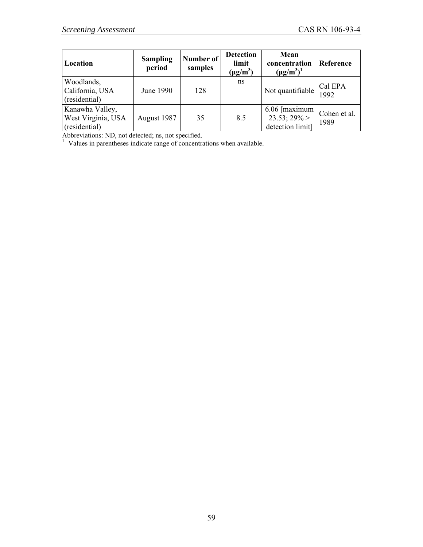| Location                                               | <b>Sampling</b><br>period | Number of<br>samples | <b>Detection</b><br>limit<br>$(\mu g/m^3)$ | Mean<br>concentration<br>$(\mu g/m^3)^1$                   | Reference            |
|--------------------------------------------------------|---------------------------|----------------------|--------------------------------------------|------------------------------------------------------------|----------------------|
| Woodlands,<br>California, USA<br>(residential)         | June 1990                 | 128                  | ns                                         | Not quantifiable                                           | Cal EPA<br>1992      |
| Kanawha Valley,<br>West Virginia, USA<br>(residential) | August 1987               | 35                   | 8.5                                        | $6.06$ [maximum]<br>$23.53$ ; $29\%$ ><br>detection limit] | Cohen et al.<br>1989 |

Abbreviations: ND, not detected; ns, not specified.<br><sup>1</sup> Values in parentheses indicate range of concentrations when available.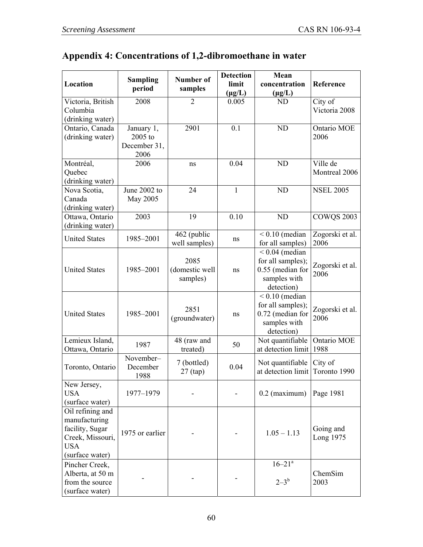## **Appendix 4: Concentrations of 1,2-dibromoethane in water**

| Location                                                                                                  | <b>Sampling</b><br>period                     | <b>Number of</b><br>samples        | <b>Detection</b><br>limit<br>$(\mu g/L)$ | Mean<br>concentration<br>$(\mu g/L)$                                                    | Reference                 |
|-----------------------------------------------------------------------------------------------------------|-----------------------------------------------|------------------------------------|------------------------------------------|-----------------------------------------------------------------------------------------|---------------------------|
| Victoria, British<br>Columbia<br>(drinking water)                                                         | 2008                                          | $\overline{2}$                     | 0.005                                    | <b>ND</b>                                                                               | City of<br>Victoria 2008  |
| Ontario, Canada<br>(drinking water)                                                                       | January 1,<br>2005 to<br>December 31,<br>2006 | 2901                               | 0.1                                      | <b>ND</b>                                                                               | Ontario MOE<br>2006       |
| Montréal,<br>Quebec<br>(drinking water)                                                                   | 2006                                          | ns                                 | 0.04                                     | <b>ND</b>                                                                               | Ville de<br>Montreal 2006 |
| Nova Scotia,<br>Canada<br>(drinking water)                                                                | June 2002 to<br>May 2005                      | 24                                 | $\mathbf{1}$                             | <b>ND</b>                                                                               | <b>NSEL 2005</b>          |
| Ottawa, Ontario<br>(drinking water)                                                                       | 2003                                          | 19                                 | 0.10                                     | <b>ND</b>                                                                               | <b>COWQS 2003</b>         |
| <b>United States</b>                                                                                      | 1985-2001                                     | 462 (public<br>well samples)       | ns                                       | $< 0.10$ (median<br>for all samples)                                                    | Zogorski et al.<br>2006   |
| <b>United States</b>                                                                                      | 1985-2001                                     | 2085<br>(domestic well<br>samples) | ns                                       | $< 0.04$ (median<br>for all samples);<br>0.55 (median for<br>samples with<br>detection) | Zogorski et al.<br>2006   |
| <b>United States</b>                                                                                      | 1985-2001                                     | 2851<br>(groundwater)              | ns                                       | $< 0.10$ (median<br>for all samples);<br>0.72 (median for<br>samples with<br>detection) | Zogorski et al.<br>2006   |
| Lemieux Island,<br>Ottawa, Ontario                                                                        | 1987                                          | 48 (raw and<br>treated)            | 50                                       | Not quantifiable<br>at detection limit 1988                                             | Ontario MOE               |
| Toronto, Ontario                                                                                          | November-<br>December<br>1988                 | 7 (bottled)<br>$27$ (tap)          | 0.04                                     | Not quantifiable<br>at detection limit                                                  | City of<br>Toronto 1990   |
| New Jersey,<br><b>USA</b><br>(surface water)                                                              | 1977-1979                                     |                                    |                                          | $0.2$ (maximum)                                                                         | Page 1981                 |
| Oil refining and<br>manufacturing<br>facility, Sugar<br>Creek, Missouri,<br><b>USA</b><br>(surface water) | 1975 or earlier                               |                                    |                                          | $1.05 - 1.13$                                                                           | Going and<br>Long 1975    |
| Pincher Creek,<br>Alberta, at 50 m<br>from the source<br>(surface water)                                  |                                               |                                    |                                          | $16 - 21$ <sup>a</sup><br>$2 - 3^b$                                                     | ChemSim<br>2003           |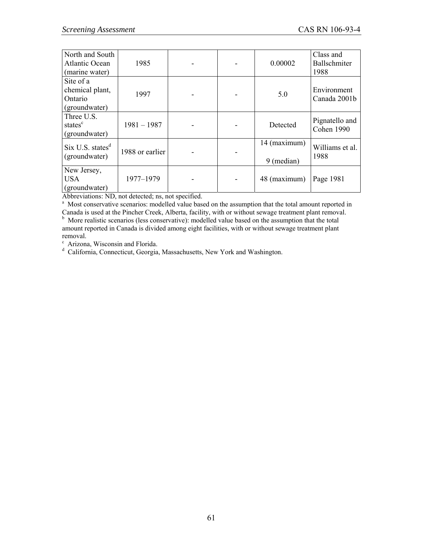| North and South<br><b>Atlantic Ocean</b><br>(marine water) | 1985            |  | 0.00002                    | Class and<br>Ballschmiter<br>1988 |
|------------------------------------------------------------|-----------------|--|----------------------------|-----------------------------------|
| Site of a<br>chemical plant,<br>Ontario<br>(groundwater)   | 1997            |  | 5.0                        | Environment<br>Canada 2001b       |
| Three U.S.<br>states <sup>c</sup><br>(groundwater)         | $1981 - 1987$   |  | Detected                   | Pignatello and<br>Cohen 1990      |
| Six U.S. states <sup>d</sup><br>(groundwater)              | 1988 or earlier |  | 14 (maximum)<br>9 (median) | Williams et al.<br>1988           |
| New Jersey,<br><b>USA</b><br>(groundwater)                 | 1977-1979       |  | 48 (maximum)               | Page 1981                         |

Abbreviations: ND, not detected; ns, not specified.

<sup>a</sup> Most conservative scenarios: modelled value based on the assumption that the total amount reported in Canada is used at the Pincher Creek, Alberta, facility, with or without sewage treatment plant removal.

<sup>b</sup> More realistic scenarios (less conservative): modelled value based on the assumption that the total amount reported in Canada is divided among eight facilities, with or without sewage treatment plant removal.

<sup>c</sup> Arizona, Wisconsin and Florida.<br><sup>d</sup> California, Connecticut, Georgia, Massachusetts, New York and Washington.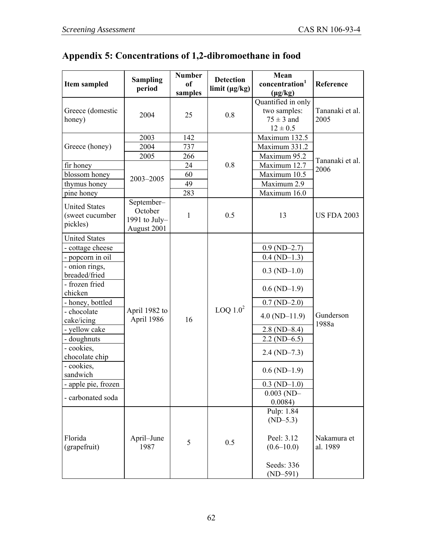# **Appendix 5: Concentrations of 1,2-dibromoethane in food**

| Item sampled                                        | <b>Sampling</b><br>period                             | <b>Number</b><br><sub>of</sub><br>samples | <b>Detection</b><br>limit (µg/kg) | Mean<br>concentration <sup>1</sup><br>$(\mu g/kg)$                   | Reference               |           |
|-----------------------------------------------------|-------------------------------------------------------|-------------------------------------------|-----------------------------------|----------------------------------------------------------------------|-------------------------|-----------|
| Greece (domestic<br>honey)                          | 2004                                                  | 25                                        | 0.8                               | Quantified in only<br>two samples:<br>$75 \pm 3$ and<br>$12 \pm 0.5$ | Tananaki et al.<br>2005 |           |
|                                                     | 2003                                                  | 142                                       |                                   | Maximum 132.5                                                        |                         |           |
| Greece (honey)                                      | 2004                                                  | 737                                       |                                   | Maximum 331.2                                                        |                         |           |
|                                                     | 2005                                                  | 266                                       |                                   | Maximum 95.2                                                         | Tananaki et al.         |           |
| fir honey                                           |                                                       | 24                                        | 0.8                               | Maximum 12.7                                                         | 2006                    |           |
| blossom honey                                       | 2003-2005                                             | 60                                        |                                   | Maximum 10.5                                                         |                         |           |
| thymus honey                                        |                                                       | 49                                        |                                   | Maximum 2.9                                                          |                         |           |
| pine honey                                          |                                                       | 283                                       |                                   | Maximum 16.0                                                         |                         |           |
| <b>United States</b><br>(sweet cucumber<br>pickles) | September-<br>October<br>1991 to July-<br>August 2001 | 1                                         | 0.5                               | 13                                                                   | <b>US FDA 2003</b>      |           |
| <b>United States</b>                                |                                                       |                                           |                                   |                                                                      |                         |           |
| - cottage cheese                                    |                                                       |                                           |                                   | $0.9(ND-2.7)$                                                        |                         |           |
| - popcorn in oil                                    |                                                       |                                           |                                   | $0.4$ (ND-1.3)                                                       |                         |           |
| - onion rings,<br>breaded/fried                     |                                                       |                                           |                                   | $0.3$ (ND-1.0)                                                       |                         |           |
| - frozen fried<br>chicken                           |                                                       |                                           |                                   | $0.6$ (ND-1.9)                                                       |                         |           |
| - honey, bottled                                    |                                                       |                                           |                                   | $0.7(ND-2.0)$                                                        |                         |           |
| - chocolate<br>cake/icing                           | April 1982 to                                         | April 1986<br>16                          |                                   | LOQ $1.02$                                                           | $4.0 \ (ND-11.9)$       | Gunderson |
| - yellow cake                                       |                                                       |                                           |                                   | $2.8 \, (ND-8.4)$                                                    | 1988a                   |           |
| - doughnuts                                         |                                                       |                                           |                                   | $2.2 \text{ (ND-6.5)}$                                               |                         |           |
| - cookies,<br>chocolate chip                        |                                                       |                                           |                                   | $2.4 \, (ND-7.3)$                                                    |                         |           |
| - cookies,<br>sandwich                              |                                                       |                                           |                                   | $0.6$ (ND-1.9)                                                       |                         |           |
| - apple pie, frozen                                 |                                                       |                                           |                                   | $0.3$ (ND-1.0)                                                       |                         |           |
| - carbonated soda                                   |                                                       |                                           |                                   | $0.003$ (ND-                                                         |                         |           |
|                                                     |                                                       |                                           |                                   | 0.0084)                                                              |                         |           |
|                                                     |                                                       |                                           |                                   | Pulp: 1.84<br>$(ND-5.3)$                                             |                         |           |
| Florida<br>(grapefruit)                             | April-June<br>1987                                    | 5                                         | 0.5                               | Peel: 3.12<br>$(0.6 - 10.0)$                                         | Nakamura et<br>al. 1989 |           |
|                                                     |                                                       |                                           |                                   | Seeds: 336<br>$(ND-591)$                                             |                         |           |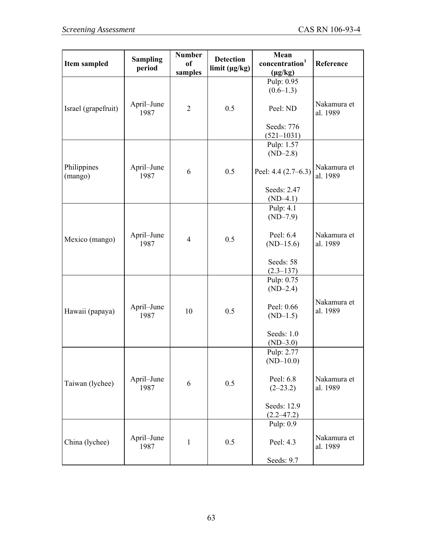| <b>Item sampled</b>    | <b>Sampling</b><br>period | <b>Number</b><br><sub>of</sub><br>samples | <b>Detection</b><br>limit (µg/kg) | Mean<br>concentration <sup>1</sup><br>$(\mu g/kg)$ | Reference               |
|------------------------|---------------------------|-------------------------------------------|-----------------------------------|----------------------------------------------------|-------------------------|
|                        |                           |                                           |                                   | Pulp: 0.95<br>$(0.6-1.3)$                          |                         |
| Israel (grapefruit)    | April–June<br>1987        | $\overline{2}$                            | 0.5                               | Peel: ND                                           | Nakamura et<br>al. 1989 |
|                        |                           |                                           |                                   | Seeds: 776<br>$(521 - 1031)$                       |                         |
|                        |                           |                                           |                                   | Pulp: 1.57<br>$(ND-2.8)$                           |                         |
| Philippines<br>(mango) | April–June<br>1987        | 6                                         | 0.5                               | Peel: 4.4 (2.7–6.3)                                | Nakamura et<br>al. 1989 |
|                        |                           |                                           |                                   | Seeds: 2.47<br>$(ND-4.1)$                          |                         |
|                        |                           |                                           |                                   | Pulp: 4.1<br>$(ND-7.9)$                            |                         |
| Mexico (mango)         | April–June<br>1987        | $\overline{4}$                            | 0.5                               | Peel: 6.4<br>$(ND-15.6)$                           | Nakamura et<br>al. 1989 |
|                        |                           |                                           |                                   | Seeds: 58<br>$(2.3 - 137)$                         |                         |
|                        |                           |                                           |                                   | Pulp: 0.75<br>$(ND-2.4)$                           |                         |
| Hawaii (papaya)        | April–June<br>1987        | 10                                        | 0.5                               | Peel: 0.66<br>$(ND-1.5)$                           | Nakamura et<br>al. 1989 |
|                        |                           |                                           |                                   | Seeds: $1.0$<br>$(ND-3.0)$                         |                         |
|                        |                           |                                           |                                   | Pulp: 2.77<br>$(ND-10.0)$                          |                         |
| Taiwan (lychee)        | April–June<br>1987        | 6                                         | 0.5                               | Peel: 6.8<br>$(2-23.2)$                            | Nakamura et<br>al. 1989 |
|                        |                           |                                           |                                   | Seeds: 12.9<br>$(2.2 - 47.2)$                      |                         |
|                        |                           |                                           |                                   | Pulp: 0.9                                          |                         |
| China (lychee)         | April–June<br>1987        | $\mathbf{1}$                              | 0.5                               | Peel: 4.3                                          | Nakamura et<br>al. 1989 |
|                        |                           |                                           |                                   | Seeds: 9.7                                         |                         |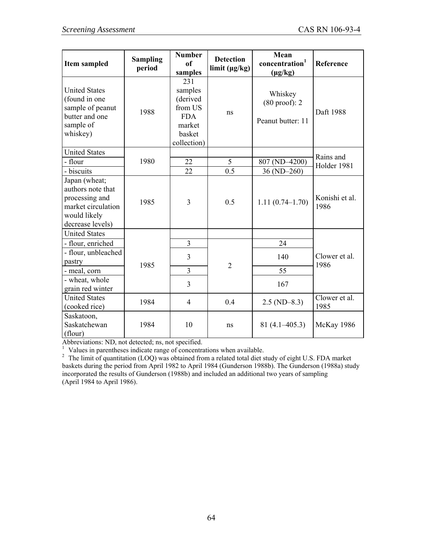| Item sampled                                                                                                   | <b>Sampling</b><br>period | <b>Number</b><br>of<br>samples                                                         | <b>Detection</b><br>limit (µg/kg) | Mean<br>concentration <sup>1</sup><br>$(\mu g/kg)$       | Reference              |
|----------------------------------------------------------------------------------------------------------------|---------------------------|----------------------------------------------------------------------------------------|-----------------------------------|----------------------------------------------------------|------------------------|
| <b>United States</b><br>(found in one<br>sample of peanut<br>butter and one<br>sample of<br>whiskey)           | 1988                      | 231<br>samples<br>(derived<br>from US<br><b>FDA</b><br>market<br>basket<br>collection) | ns                                | Whiskey<br>$(80 \text{ proof})$ : 2<br>Peanut butter: 11 | Daft 1988              |
| <b>United States</b>                                                                                           |                           |                                                                                        |                                   |                                                          | Rains and              |
| - flour                                                                                                        | 1980                      | 22                                                                                     | 5                                 | 807 (ND-4200)                                            | Holder 1981            |
| - biscuits                                                                                                     |                           | 22                                                                                     | 0.5                               | 36 (ND-260)                                              |                        |
| Japan (wheat;<br>authors note that<br>processing and<br>market circulation<br>would likely<br>decrease levels) | 1985                      | 3                                                                                      | 0.5                               | $1.11(0.74 - 1.70)$                                      | Konishi et al.<br>1986 |
| <b>United States</b>                                                                                           |                           |                                                                                        |                                   |                                                          |                        |
| - flour, enriched                                                                                              |                           | $\overline{3}$                                                                         |                                   | 24                                                       |                        |
| - flour, unbleached<br>pastry                                                                                  | 1985                      | 3                                                                                      |                                   | 140                                                      | Clower et al.<br>1986  |
| - meal, corn                                                                                                   |                           | $\overline{3}$                                                                         | $\overline{2}$                    | 55                                                       |                        |
| - wheat, whole<br>grain red winter                                                                             |                           | 3                                                                                      |                                   | 167                                                      |                        |
| <b>United States</b><br>(cooked rice)                                                                          | 1984                      | $\overline{4}$                                                                         | 0.4                               | $2.5$ (ND-8.3)                                           | Clower et al.<br>1985  |
| Saskatoon,<br>Saskatchewan<br>(flour)                                                                          | 1984                      | 10                                                                                     | ns                                | $81(4.1-405.3)$                                          | <b>McKay 1986</b>      |

Abbreviations: ND, not detected; ns, not specified.

<sup>1</sup> Values in parentheses indicate range of concentrations when available.<br><sup>2</sup> The limit of quantitation (LOQ) was obtained from a related total diet study of eight U.S. FDA market baskets during the period from April 1982 to April 1984 (Gunderson 1988b). The Gunderson (1988a) study incorporated the results of Gunderson (1988b) and included an additional two years of sampling (April 1984 to April 1986).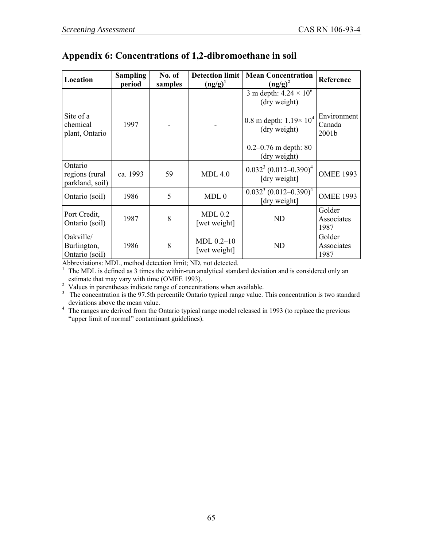### **Appendix 6: Concentrations of 1,2-dibromoethane in soil**

| Location                                     | <b>Sampling</b><br>period | No. of<br>samples | <b>Detection limit</b><br>$\left(\frac{ng}{g}\right)^{1}$ | <b>Mean Concentration</b><br>$\left(\frac{ng}{g}\right)^2$ | Reference                      |
|----------------------------------------------|---------------------------|-------------------|-----------------------------------------------------------|------------------------------------------------------------|--------------------------------|
|                                              |                           |                   |                                                           | 3 m depth: $4.24 \times 10^6$<br>(dry weight)              |                                |
| Site of a<br>chemical<br>plant, Ontario      | 1997                      |                   |                                                           | 0.8 m depth: $1.19 \times 10^4$<br>(dry weight)            | Environment<br>Canada<br>2001b |
|                                              |                           |                   |                                                           | $0.2 - 0.76$ m depth: 80<br>(dry weight)                   |                                |
| Ontario<br>regions (rural<br>parkland, soil) | ca. 1993                  | 59                | $MDL$ 4.0                                                 | $0.0323$ (0.012-0.390) <sup>4</sup><br>[dry weight]        | <b>OMEE 1993</b>               |
| Ontario (soil)                               | 1986                      | 5                 | MDL <sub>0</sub>                                          | $0.032^{3} (0.012 - 0.390)^{4}$<br>[dry weight]            | <b>OMEE 1993</b>               |
| Port Credit,<br>Ontario (soil)               | 1987                      | 8                 | MDL <sub>0.2</sub><br>[wet weight]                        | <b>ND</b>                                                  | Golder<br>Associates<br>1987   |
| Oakville/<br>Burlington,<br>Ontario (soil)   | 1986                      | 8                 | $MDL 0.2 - 10$<br>[wet weight]                            | <b>ND</b>                                                  | Golder<br>Associates<br>1987   |

Abbreviations: MDL, method detection limit; ND, not detected.<br><sup>1</sup> The MDL is defined as 3 times the within-run analytical stand

The MDL is defined as 3 times the within-run analytical standard deviation and is considered only an estimate that may vary with time (OMEE 1993).

<sup>2</sup> Values in parentheses indicate range of concentrations when available.

<sup>3</sup> The concentration is the 97.5th percentile Ontario typical range value. This concentration is two standard

deviations above the mean value.<br><sup>4</sup> The ranges are derived from the Ontario typical range model released in 1993 (to replace the previous "upper limit of normal" contaminant guidelines).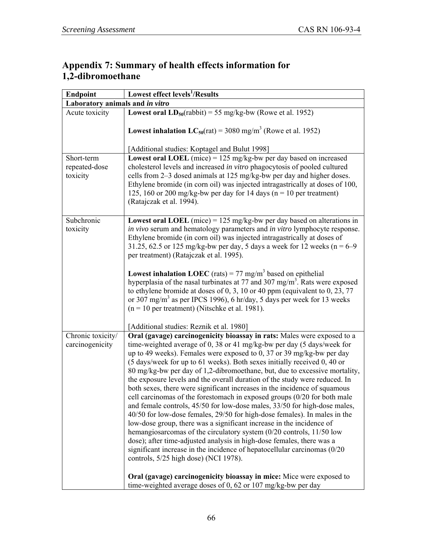### **Appendix 7: Summary of health effects information for 1,2-dibromoethane**

| <b>Endpoint</b>                         | Lowest effect levels <sup>1</sup> /Results                                                                                                                                                                                                                                                                                                                                                                                                                                                                                                                                                                                                                                                                                                                                                                                                                                                                                                                                                                                                                                                                                                                                                                                        |
|-----------------------------------------|-----------------------------------------------------------------------------------------------------------------------------------------------------------------------------------------------------------------------------------------------------------------------------------------------------------------------------------------------------------------------------------------------------------------------------------------------------------------------------------------------------------------------------------------------------------------------------------------------------------------------------------------------------------------------------------------------------------------------------------------------------------------------------------------------------------------------------------------------------------------------------------------------------------------------------------------------------------------------------------------------------------------------------------------------------------------------------------------------------------------------------------------------------------------------------------------------------------------------------------|
| Laboratory animals and in vitro         |                                                                                                                                                                                                                                                                                                                                                                                                                                                                                                                                                                                                                                                                                                                                                                                                                                                                                                                                                                                                                                                                                                                                                                                                                                   |
| Acute toxicity                          | <b>Lowest oral LD</b> <sub>50</sub> (rabbit) = 55 mg/kg-bw (Rowe et al. 1952)                                                                                                                                                                                                                                                                                                                                                                                                                                                                                                                                                                                                                                                                                                                                                                                                                                                                                                                                                                                                                                                                                                                                                     |
|                                         | <b>Lowest inhalation LC</b> <sub>50</sub> (rat) = 3080 mg/m <sup>3</sup> (Rowe et al. 1952)                                                                                                                                                                                                                                                                                                                                                                                                                                                                                                                                                                                                                                                                                                                                                                                                                                                                                                                                                                                                                                                                                                                                       |
|                                         | [Additional studies: Koptagel and Bulut 1998]                                                                                                                                                                                                                                                                                                                                                                                                                                                                                                                                                                                                                                                                                                                                                                                                                                                                                                                                                                                                                                                                                                                                                                                     |
| Short-term<br>repeated-dose<br>toxicity | <b>Lowest oral LOEL</b> (mice) = $125 \text{ mg/kg}$ -bw per day based on increased<br>cholesterol levels and increased in vitro phagocytosis of pooled cultured<br>cells from 2-3 dosed animals at 125 mg/kg-bw per day and higher doses.<br>Ethylene bromide (in corn oil) was injected intragastrically at doses of 100,<br>125, 160 or 200 mg/kg-bw per day for 14 days ( $n = 10$ per treatment)<br>(Ratajczak et al. 1994).                                                                                                                                                                                                                                                                                                                                                                                                                                                                                                                                                                                                                                                                                                                                                                                                 |
| Subchronic<br>toxicity                  | <b>Lowest oral LOEL</b> (mice) = $125$ mg/kg-bw per day based on alterations in<br>in vivo serum and hematology parameters and in vitro lymphocyte response.<br>Ethylene bromide (in corn oil) was injected intragastrically at doses of<br>31.25, 62.5 or 125 mg/kg-bw per day, 5 days a week for 12 weeks ( $n = 6-9$<br>per treatment) (Ratajczak et al. 1995).<br><b>Lowest inhalation LOEC</b> (rats) = 77 mg/m <sup>3</sup> based on epithelial<br>hyperplasia of the nasal turbinates at 77 and 307 mg/m <sup>3</sup> . Rats were exposed<br>to ethylene bromide at doses of $0, 3, 10$ or 40 ppm (equivalent to $0, 23, 77$<br>or 307 mg/m <sup>3</sup> as per IPCS 1996), 6 hr/day, 5 days per week for 13 weeks<br>$(n = 10$ per treatment) (Nitschke et al. 1981).                                                                                                                                                                                                                                                                                                                                                                                                                                                     |
|                                         | [Additional studies: Reznik et al. 1980]                                                                                                                                                                                                                                                                                                                                                                                                                                                                                                                                                                                                                                                                                                                                                                                                                                                                                                                                                                                                                                                                                                                                                                                          |
| Chronic toxicity/<br>carcinogenicity    | Oral (gavage) carcinogenicity bioassay in rats: Males were exposed to a<br>time-weighted average of 0, 38 or 41 mg/kg-bw per day (5 days/week for<br>up to 49 weeks). Females were exposed to 0, 37 or 39 mg/kg-bw per day<br>(5 days/week for up to 61 weeks). Both sexes initially received 0, 40 or<br>80 mg/kg-bw per day of 1,2-dibromoethane, but, due to excessive mortality,<br>the exposure levels and the overall duration of the study were reduced. In<br>both sexes, there were significant increases in the incidence of squamous<br>cell carcinomas of the forestomach in exposed groups $(0/20$ for both male<br>and female controls, 45/50 for low-dose males, 33/50 for high-dose males,<br>40/50 for low-dose females, 29/50 for high-dose females). In males in the<br>low-dose group, there was a significant increase in the incidence of<br>hemangiosarcomas of the circulatory system $(0/20 \text{ controls}, 11/50 \text{ low})$<br>dose); after time-adjusted analysis in high-dose females, there was a<br>significant increase in the incidence of hepatocellular carcinomas (0/20)<br>controls, 5/25 high dose) (NCI 1978).<br>Oral (gavage) carcinogenicity bioassay in mice: Mice were exposed to |
|                                         | time-weighted average doses of 0, 62 or 107 mg/kg-bw per day                                                                                                                                                                                                                                                                                                                                                                                                                                                                                                                                                                                                                                                                                                                                                                                                                                                                                                                                                                                                                                                                                                                                                                      |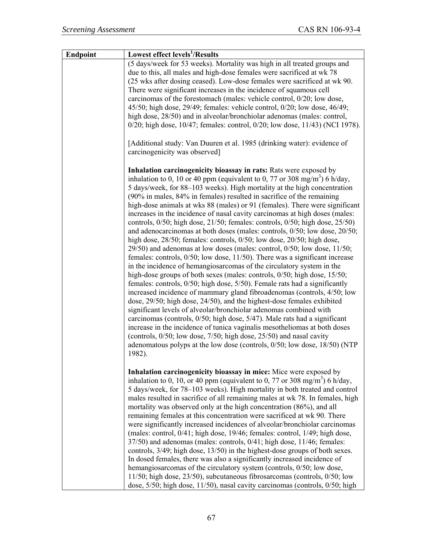| Lowest effect levels <sup>1</sup> /Results                                                                                                                                                                                                                                                                                                                                                                                                                                                                                                                                                                                                                                                                                                                                                                                                                                                                                                                                                                                                                                                                                                                                                                                                                                                                                                                                                                                                                                                                                                                                                                                                                                                                 |
|------------------------------------------------------------------------------------------------------------------------------------------------------------------------------------------------------------------------------------------------------------------------------------------------------------------------------------------------------------------------------------------------------------------------------------------------------------------------------------------------------------------------------------------------------------------------------------------------------------------------------------------------------------------------------------------------------------------------------------------------------------------------------------------------------------------------------------------------------------------------------------------------------------------------------------------------------------------------------------------------------------------------------------------------------------------------------------------------------------------------------------------------------------------------------------------------------------------------------------------------------------------------------------------------------------------------------------------------------------------------------------------------------------------------------------------------------------------------------------------------------------------------------------------------------------------------------------------------------------------------------------------------------------------------------------------------------------|
| (5 days/week for 53 weeks). Mortality was high in all treated groups and<br>due to this, all males and high-dose females were sacrificed at wk 78<br>(25 wks after dosing ceased). Low-dose females were sacrificed at wk 90.<br>There were significant increases in the incidence of squamous cell<br>carcinomas of the forestomach (males: vehicle control, 0/20; low dose,<br>45/50; high dose, 29/49; females: vehicle control, 0/20; low dose, 46/49;<br>high dose, 28/50) and in alveolar/bronchiolar adenomas (males: control,<br>0/20; high dose, 10/47; females: control, 0/20; low dose, 11/43) (NCI 1978).                                                                                                                                                                                                                                                                                                                                                                                                                                                                                                                                                                                                                                                                                                                                                                                                                                                                                                                                                                                                                                                                                      |
| [Additional study: Van Duuren et al. 1985 (drinking water): evidence of<br>carcinogenicity was observed]                                                                                                                                                                                                                                                                                                                                                                                                                                                                                                                                                                                                                                                                                                                                                                                                                                                                                                                                                                                                                                                                                                                                                                                                                                                                                                                                                                                                                                                                                                                                                                                                   |
| Inhalation carcinogenicity bioassay in rats: Rats were exposed by<br>inhalation to 0, 10 or 40 ppm (equivalent to 0, 77 or 308 mg/m <sup>3</sup> ) 6 h/day,<br>5 days/week, for 88–103 weeks). High mortality at the high concentration<br>(90% in males, 84% in females) resulted in sacrifice of the remaining<br>high-dose animals at wks 88 (males) or 91 (females). There were significant<br>increases in the incidence of nasal cavity carcinomas at high doses (males:<br>controls, 0/50; high dose, 21/50; females: controls, 0/50; high dose, 25/50)<br>and adenocarcinomas at both doses (males: controls, 0/50; low dose, 20/50;<br>high dose, 28/50; females: controls, 0/50; low dose, 20/50; high dose,<br>$29/50$ ) and adenomas at low doses (males: control, $0/50$ ; low dose, $11/50$ ;<br>females: controls, $0/50$ ; low dose, $11/50$ ). There was a significant increase<br>in the incidence of hemangiosarcomas of the circulatory system in the<br>high-dose groups of both sexes (males: controls, $0/50$ ; high dose, $15/50$ ;<br>females: controls, 0/50; high dose, 5/50). Female rats had a significantly<br>increased incidence of mammary gland fibroadenomas (controls, 4/50; low<br>dose, 29/50; high dose, 24/50), and the highest-dose females exhibited<br>significant levels of alveolar/bronchiolar adenomas combined with<br>carcinomas (controls, $0/50$ ; high dose, $5/47$ ). Male rats had a significant<br>increase in the incidence of tunica vaginalis mesotheliomas at both doses<br>(controls, $0/50$ ; low dose, $7/50$ ; high dose, $25/50$ ) and nasal cavity<br>adenomatous polyps at the low dose (controls, 0/50; low dose, 18/50) (NTP<br>1982). |
| Inhalation carcinogenicity bioassay in mice: Mice were exposed by<br>inhalation to 0, 10, or 40 ppm (equivalent to 0, 77 or 308 mg/m <sup>3</sup> ) 6 h/day,<br>5 days/week, for 78-103 weeks). High mortality in both treated and control<br>males resulted in sacrifice of all remaining males at wk 78. In females, high<br>mortality was observed only at the high concentration (86%), and all<br>remaining females at this concentration were sacrificed at wk 90. There<br>were significantly increased incidences of alveolar/bronchiolar carcinomas<br>(males: control, 0/41; high dose, 19/46; females: control, 1/49; high dose,<br>37/50) and adenomas (males: controls, 0/41; high dose, 11/46; females:<br>controls, 3/49; high dose, 13/50) in the highest-dose groups of both sexes.<br>In dosed females, there was also a significantly increased incidence of<br>hemangiosarcomas of the circulatory system (controls, 0/50; low dose,<br>11/50; high dose, 23/50), subcutaneous fibrosarcomas (controls, 0/50; low                                                                                                                                                                                                                                                                                                                                                                                                                                                                                                                                                                                                                                                                      |
|                                                                                                                                                                                                                                                                                                                                                                                                                                                                                                                                                                                                                                                                                                                                                                                                                                                                                                                                                                                                                                                                                                                                                                                                                                                                                                                                                                                                                                                                                                                                                                                                                                                                                                            |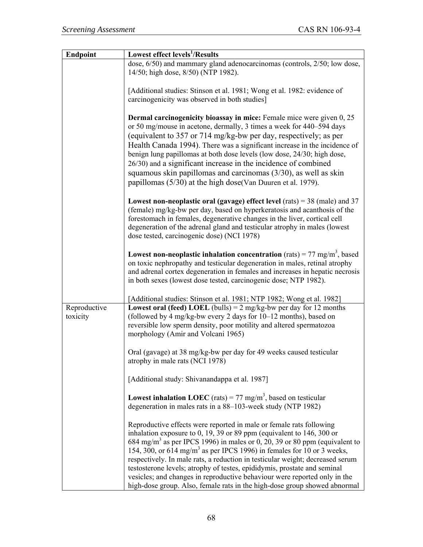| <b>Endpoint</b>          | Lowest effect levels <sup>1</sup> /Results                                                                                                                                                                                                                                                                                                                                                                                                                                                                                                                                                                                                          |
|--------------------------|-----------------------------------------------------------------------------------------------------------------------------------------------------------------------------------------------------------------------------------------------------------------------------------------------------------------------------------------------------------------------------------------------------------------------------------------------------------------------------------------------------------------------------------------------------------------------------------------------------------------------------------------------------|
|                          | dose, 6/50) and mammary gland adenocarcinomas (controls, 2/50; low dose,<br>14/50; high dose, 8/50) (NTP 1982).                                                                                                                                                                                                                                                                                                                                                                                                                                                                                                                                     |
|                          | [Additional studies: Stinson et al. 1981; Wong et al. 1982: evidence of<br>carcinogenicity was observed in both studies]                                                                                                                                                                                                                                                                                                                                                                                                                                                                                                                            |
|                          | <b>Dermal carcinogenicity bioassay in mice:</b> Female mice were given 0, 25<br>or 50 mg/mouse in acetone, dermally, 3 times a week for 440–594 days<br>(equivalent to 357 or 714 mg/kg-bw per day, respectively; as per<br>Health Canada 1994). There was a significant increase in the incidence of<br>benign lung papillomas at both dose levels (low dose, 24/30; high dose,<br>26/30) and a significant increase in the incidence of combined<br>squamous skin papillomas and carcinomas $(3/30)$ , as well as skin<br>papillomas (5/30) at the high dose(Van Duuren et al. 1979).                                                             |
|                          | Lowest non-neoplastic oral (gavage) effect level (rats) = $38$ (male) and $37$<br>(female) mg/kg-bw per day, based on hyperkeratosis and acanthosis of the<br>forestomach in females, degenerative changes in the liver, cortical cell<br>degeneration of the adrenal gland and testicular atrophy in males (lowest<br>dose tested, carcinogenic dose) (NCI 1978)                                                                                                                                                                                                                                                                                   |
|                          | <b>Lowest non-neoplastic inhalation concentration</b> (rats) = 77 mg/m <sup>3</sup> , based<br>on toxic nephropathy and testicular degeneration in males, retinal atrophy<br>and adrenal cortex degeneration in females and increases in hepatic necrosis<br>in both sexes (lowest dose tested, carcinogenic dose; NTP 1982).                                                                                                                                                                                                                                                                                                                       |
|                          | [Additional studies: Stinson et al. 1981; NTP 1982; Wong et al. 1982]                                                                                                                                                                                                                                                                                                                                                                                                                                                                                                                                                                               |
| Reproductive<br>toxicity | <b>Lowest oral (feed) LOEL</b> (bulls) = $2 \text{ mg/kg-bw}$ per day for 12 months<br>(followed by 4 mg/kg-bw every 2 days for 10–12 months), based on<br>reversible low sperm density, poor motility and altered spermatozoa<br>morphology (Amir and Volcani 1965)                                                                                                                                                                                                                                                                                                                                                                                |
|                          | Oral (gavage) at 38 mg/kg-bw per day for 49 weeks caused testicular<br>atrophy in male rats (NCI 1978)                                                                                                                                                                                                                                                                                                                                                                                                                                                                                                                                              |
|                          | [Additional study: Shivanandappa et al. 1987]                                                                                                                                                                                                                                                                                                                                                                                                                                                                                                                                                                                                       |
|                          | <b>Lowest inhalation LOEC</b> (rats) = 77 mg/m <sup>3</sup> , based on testicular<br>degeneration in males rats in a 88–103-week study (NTP 1982)                                                                                                                                                                                                                                                                                                                                                                                                                                                                                                   |
|                          | Reproductive effects were reported in male or female rats following<br>inhalation exposure to 0, 19, 39 or 89 ppm (equivalent to 146, 300 or<br>684 mg/m <sup>3</sup> as per IPCS 1996) in males or 0, 20, 39 or 80 ppm (equivalent to<br>154, 300, or 614 mg/m <sup>3</sup> as per IPCS 1996) in females for 10 or 3 weeks,<br>respectively. In male rats, a reduction in testicular weight; decreased serum<br>testosterone levels; atrophy of testes, epididymis, prostate and seminal<br>vesicles; and changes in reproductive behaviour were reported only in the<br>high-dose group. Also, female rats in the high-dose group showed abnormal |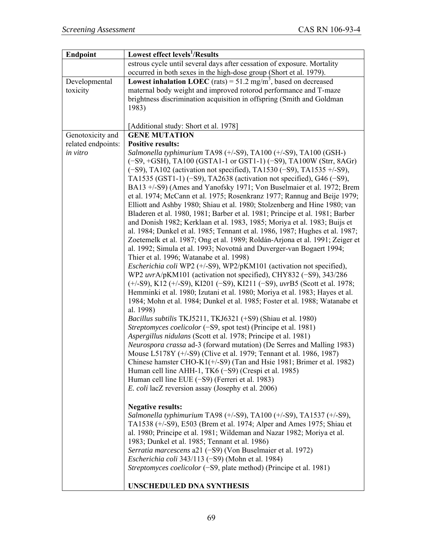| <b>Endpoint</b>    | Lowest effect levels <sup>1</sup> /Results                                                                     |
|--------------------|----------------------------------------------------------------------------------------------------------------|
|                    | estrous cycle until several days after cessation of exposure. Mortality                                        |
|                    | occurred in both sexes in the high-dose group (Short et al. 1979).                                             |
| Developmental      | <b>Lowest inhalation LOEC</b> (rats) = 51.2 mg/m <sup>3</sup> , based on decreased                             |
| toxicity           | maternal body weight and improved rotorod performance and T-maze                                               |
|                    | brightness discrimination acquisition in offspring (Smith and Goldman)                                         |
|                    | 1983)                                                                                                          |
|                    |                                                                                                                |
|                    | [Additional study: Short et al. 1978]                                                                          |
| Genotoxicity and   | <b>GENE MUTATION</b>                                                                                           |
| related endpoints: | <b>Positive results:</b>                                                                                       |
| in vitro           | Salmonella typhimurium TA98 (+/-S9), TA100 (+/-S9), TA100 (GSH-)                                               |
|                    | (-S9, +GSH), TA100 (GSTA1-1 or GST1-1) (-S9), TA100W (Strr, 8AGr)                                              |
|                    | $(-S9)$ , TA102 (activation not specified), TA1530 $(-S9)$ , TA1535 +/-S9),                                    |
|                    | TA1535 (GST1-1) (-S9), TA2638 (activation not specified), G46 (-S9),                                           |
|                    | BA13 +/-S9) (Ames and Yanofsky 1971; Von Buselmaier et al. 1972; Brem                                          |
|                    | et al. 1974; McCann et al. 1975; Rosenkranz 1977; Rannug and Beije 1979;                                       |
|                    | Elliott and Ashby 1980; Shiau et al. 1980; Stolzenberg and Hine 1980; van                                      |
|                    | Bladeren et al. 1980, 1981; Barber et al. 1981; Principe et al. 1981; Barber                                   |
|                    | and Donish 1982; Kerklaan et al. 1983, 1985; Moriya et al. 1983; Buijs et                                      |
|                    | al. 1984; Dunkel et al. 1985; Tennant et al. 1986, 1987; Hughes et al. 1987;                                   |
|                    | Zoetemelk et al. 1987; Ong et al. 1989; Roldán-Arjona et al. 1991; Zeiger et                                   |
|                    | al. 1992; Simula et al. 1993; Novotná and Duverger-van Bogaert 1994;                                           |
|                    | Thier et al. 1996; Watanabe et al. 1998)                                                                       |
|                    | <i>Escherichia coli</i> WP2 (+/-S9), WP2/pKM101 (activation not specified),                                    |
|                    | WP2 uvrA/pKM101 (activation not specified), CHY832 (-S9), 343/286                                              |
|                    | $(+/-S9)$ , K12 $(+/-S9)$ , K1201 $(-S9)$ , K1211 $(-S9)$ , uvrB5 (Scott et al. 1978;                          |
|                    | Hemminki et al. 1980; Izutani et al. 1980; Moriya et al. 1983; Hayes et al.                                    |
|                    | 1984; Mohn et al. 1984; Dunkel et al. 1985; Foster et al. 1988; Watanabe et                                    |
|                    | al. 1998)                                                                                                      |
|                    | Bacillus subtilis TKJ5211, TKJ6321 (+S9) (Shiau et al. 1980)                                                   |
|                    | Streptomyces coelicolor (-S9, spot test) (Principe et al. 1981)                                                |
|                    | Aspergillus nidulans (Scott et al. 1978; Principe et al. 1981)                                                 |
|                    | Neurospora crassa ad-3 (forward mutation) (De Serres and Malling 1983)                                         |
|                    | Mouse L5178Y (+/-S9) (Clive et al. 1979; Tennant et al. 1986, 1987)                                            |
|                    | Chinese hamster CHO-K1(+/-S9) (Tan and Hsie 1981; Brimer et al. 1982)                                          |
|                    | Human cell line AHH-1, TK6 (-S9) (Crespi et al. 1985)                                                          |
|                    | Human cell line EUE $(-S9)$ (Ferreri et al. 1983)<br><i>E. coli lacZ</i> reversion assay (Josephy et al. 2006) |
|                    |                                                                                                                |
|                    | <b>Negative results:</b>                                                                                       |
|                    | Salmonella typhimurium TA98 (+/-S9), TA100 (+/-S9), TA1537 (+/-S9),                                            |
|                    | TA1538 (+/-S9), E503 (Brem et al. 1974; Alper and Ames 1975; Shiau et                                          |
|                    | al. 1980; Principe et al. 1981; Wildeman and Nazar 1982; Moriya et al.                                         |
|                    | 1983; Dunkel et al. 1985; Tennant et al. 1986)                                                                 |
|                    | Serratia marcescens a21 (-S9) (Von Buselmaier et al. 1972)                                                     |
|                    | Escherichia coli 343/113 (-S9) (Mohn et al. 1984)                                                              |
|                    | Streptomyces coelicolor (-S9, plate method) (Principe et al. 1981)                                             |
|                    |                                                                                                                |
|                    | <b>UNSCHEDULED DNA SYNTHESIS</b>                                                                               |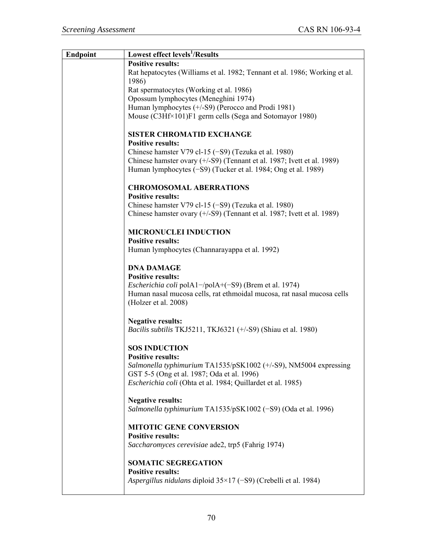| <b>Endpoint</b> | <b>Lowest effect levels<sup>1</sup>/Results</b>                                                                                               |
|-----------------|-----------------------------------------------------------------------------------------------------------------------------------------------|
|                 | <b>Positive results:</b>                                                                                                                      |
|                 | Rat hepatocytes (Williams et al. 1982; Tennant et al. 1986; Working et al.<br>1986)                                                           |
|                 | Rat spermatocytes (Working et al. 1986)                                                                                                       |
|                 | Opossum lymphocytes (Meneghini 1974)                                                                                                          |
|                 | Human lymphocytes (+/-S9) (Perocco and Prodi 1981)                                                                                            |
|                 | Mouse (C3Hf×101)F1 germ cells (Sega and Sotomayor 1980)                                                                                       |
|                 | <b>SISTER CHROMATID EXCHANGE</b><br><b>Positive results:</b>                                                                                  |
|                 | Chinese hamster V79 cl-15 $(-S9)$ (Tezuka et al. 1980)                                                                                        |
|                 | Chinese hamster ovary $(+/-S9)$ (Tennant et al. 1987; Ivett et al. 1989)                                                                      |
|                 | Human lymphocytes (-S9) (Tucker et al. 1984; Ong et al. 1989)                                                                                 |
|                 | <b>CHROMOSOMAL ABERRATIONS</b>                                                                                                                |
|                 | <b>Positive results:</b><br>Chinese hamster V79 cl-15 $(-S9)$ (Tezuka et al. 1980)                                                            |
|                 | Chinese hamster ovary (+/-S9) (Tennant et al. 1987; Ivett et al. 1989)                                                                        |
|                 | <b>MICRONUCLEI INDUCTION</b><br><b>Positive results:</b>                                                                                      |
|                 | Human lymphocytes (Channarayappa et al. 1992)                                                                                                 |
|                 | <b>DNA DAMAGE</b>                                                                                                                             |
|                 | <b>Positive results:</b>                                                                                                                      |
|                 | <i>Escherichia coli</i> pol $A1$ -/pol $A+(-S9)$ (Brem et al. 1974)<br>Human nasal mucosa cells, rat ethmoidal mucosa, rat nasal mucosa cells |
|                 | (Holzer et al. 2008)                                                                                                                          |
|                 | <b>Negative results:</b>                                                                                                                      |
|                 | <i>Bacilis subtilis</i> TKJ5211, TKJ6321 (+/-S9) (Shiau et al. 1980)                                                                          |
|                 | <b>SOS INDUCTION</b><br>Positive results:                                                                                                     |
|                 | Salmonella typhimurium TA1535/pSK1002 (+/-S9), NM5004 expressing                                                                              |
|                 | GST 5-5 (Ong et al. 1987; Oda et al. 1996)                                                                                                    |
|                 | <i>Escherichia coli</i> (Ohta et al. 1984; Quillardet et al. 1985)                                                                            |
|                 | <b>Negative results:</b>                                                                                                                      |
|                 | Salmonella typhimurium TA1535/pSK1002 (-S9) (Oda et al. 1996)                                                                                 |
|                 | <b>MITOTIC GENE CONVERSION</b>                                                                                                                |
|                 | <b>Positive results:</b><br>Saccharomyces cerevisiae ade2, trp5 (Fahrig 1974)                                                                 |
|                 |                                                                                                                                               |
|                 | <b>SOMATIC SEGREGATION</b>                                                                                                                    |
|                 | <b>Positive results:</b>                                                                                                                      |
|                 | Aspergillus nidulans diploid $35\times17$ (-S9) (Crebelli et al. 1984)                                                                        |
|                 |                                                                                                                                               |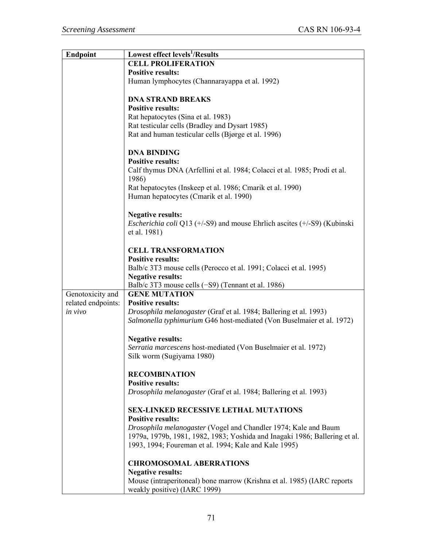| <b>Endpoint</b>    | Lowest effect levels <sup>1</sup> /Results                                              |
|--------------------|-----------------------------------------------------------------------------------------|
|                    | <b>CELL PROLIFERATION</b>                                                               |
|                    | <b>Positive results:</b>                                                                |
|                    | Human lymphocytes (Channarayappa et al. 1992)                                           |
|                    |                                                                                         |
|                    | <b>DNA STRAND BREAKS</b>                                                                |
|                    | <b>Positive results:</b>                                                                |
|                    | Rat hepatocytes (Sina et al. 1983)                                                      |
|                    | Rat testicular cells (Bradley and Dysart 1985)                                          |
|                    | Rat and human testicular cells (Bjørge et al. 1996)                                     |
|                    |                                                                                         |
|                    | <b>DNA BINDING</b>                                                                      |
|                    | <b>Positive results:</b>                                                                |
|                    | Calf thymus DNA (Arfellini et al. 1984; Colacci et al. 1985; Prodi et al.               |
|                    | 1986)                                                                                   |
|                    | Rat hepatocytes (Inskeep et al. 1986; Cmarik et al. 1990)                               |
|                    | Human hepatocytes (Cmarik et al. 1990)                                                  |
|                    |                                                                                         |
|                    |                                                                                         |
|                    | <b>Negative results:</b>                                                                |
|                    | <i>Escherichia coli</i> Q13 ( $+/-S9$ ) and mouse Ehrlich ascites ( $+/-S9$ ) (Kubinski |
|                    | et al. 1981)                                                                            |
|                    |                                                                                         |
|                    | <b>CELL TRANSFORMATION</b>                                                              |
|                    | <b>Positive results:</b>                                                                |
|                    | Balb/c 3T3 mouse cells (Perocco et al. 1991; Colacci et al. 1995)                       |
|                    | <b>Negative results:</b>                                                                |
|                    | Balb/c 3T3 mouse cells (-S9) (Tennant et al. 1986)                                      |
| Genotoxicity and   | <b>GENE MUTATION</b>                                                                    |
| related endpoints: | <b>Positive results:</b>                                                                |
| in vivo            | Drosophila melanogaster (Graf et al. 1984; Ballering et al. 1993)                       |
|                    | Salmonella typhimurium G46 host-mediated (Von Buselmaier et al. 1972)                   |
|                    |                                                                                         |
|                    | <b>Negative results:</b>                                                                |
|                    | Serratia marcescens host-mediated (Von Buselmaier et al. 1972)                          |
|                    | Silk worm (Sugiyama 1980)                                                               |
|                    |                                                                                         |
|                    | <b>RECOMBINATION</b>                                                                    |
|                    | <b>Positive results:</b>                                                                |
|                    | Drosophila melanogaster (Graf et al. 1984; Ballering et al. 1993)                       |
|                    |                                                                                         |
|                    | <b>SEX-LINKED RECESSIVE LETHAL MUTATIONS</b>                                            |
|                    | <b>Positive results:</b>                                                                |
|                    | Drosophila melanogaster (Vogel and Chandler 1974; Kale and Baum                         |
|                    | 1979a, 1979b, 1981, 1982, 1983; Yoshida and Inagaki 1986; Ballering et al.              |
|                    | 1993, 1994; Foureman et al. 1994; Kale and Kale 1995)                                   |
|                    |                                                                                         |
|                    | <b>CHROMOSOMAL ABERRATIONS</b>                                                          |
|                    | <b>Negative results:</b>                                                                |
|                    | Mouse (intraperitoneal) bone marrow (Krishna et al. 1985) (IARC reports                 |
|                    | weakly positive) (IARC 1999)                                                            |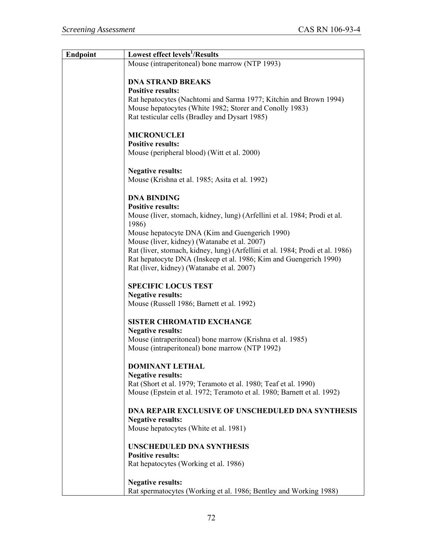| <b>Endpoint</b> | Lowest effect levels <sup>1</sup> /Results                                    |
|-----------------|-------------------------------------------------------------------------------|
|                 | Mouse (intraperitoneal) bone marrow (NTP 1993)                                |
|                 |                                                                               |
|                 | <b>DNA STRAND BREAKS</b>                                                      |
|                 | <b>Positive results:</b>                                                      |
|                 | Rat hepatocytes (Nachtomi and Sarma 1977; Kitchin and Brown 1994)             |
|                 | Mouse hepatocytes (White 1982; Storer and Conolly 1983)                       |
|                 | Rat testicular cells (Bradley and Dysart 1985)                                |
|                 |                                                                               |
|                 | <b>MICRONUCLEI</b>                                                            |
|                 | <b>Positive results:</b>                                                      |
|                 | Mouse (peripheral blood) (Witt et al. 2000)                                   |
|                 |                                                                               |
|                 | <b>Negative results:</b>                                                      |
|                 | Mouse (Krishna et al. 1985; Asita et al. 1992)                                |
|                 | <b>DNA BINDING</b>                                                            |
|                 | <b>Positive results:</b>                                                      |
|                 | Mouse (liver, stomach, kidney, lung) (Arfellini et al. 1984; Prodi et al.     |
|                 | 1986)                                                                         |
|                 | Mouse hepatocyte DNA (Kim and Guengerich 1990)                                |
|                 | Mouse (liver, kidney) (Watanabe et al. 2007)                                  |
|                 | Rat (liver, stomach, kidney, lung) (Arfellini et al. 1984; Prodi et al. 1986) |
|                 | Rat hepatocyte DNA (Inskeep et al. 1986; Kim and Guengerich 1990)             |
|                 | Rat (liver, kidney) (Watanabe et al. 2007)                                    |
|                 |                                                                               |
|                 | <b>SPECIFIC LOCUS TEST</b>                                                    |
|                 | <b>Negative results:</b>                                                      |
|                 | Mouse (Russell 1986; Barnett et al. 1992)                                     |
|                 |                                                                               |
|                 | <b>SISTER CHROMATID EXCHANGE</b>                                              |
|                 | <b>Negative results:</b>                                                      |
|                 | Mouse (intraperitoneal) bone marrow (Krishna et al. 1985)                     |
|                 | Mouse (intraperitoneal) bone marrow (NTP 1992)                                |
|                 |                                                                               |
|                 | <b>DOMINANT LETHAL</b>                                                        |
|                 | <b>Negative results:</b>                                                      |
|                 | Rat (Short et al. 1979; Teramoto et al. 1980; Teaf et al. 1990)               |
|                 | Mouse (Epstein et al. 1972; Teramoto et al. 1980; Barnett et al. 1992)        |
|                 | <b>DNA REPAIR EXCLUSIVE OF UNSCHEDULED DNA SYNTHESIS</b>                      |
|                 | <b>Negative results:</b>                                                      |
|                 | Mouse hepatocytes (White et al. 1981)                                         |
|                 |                                                                               |
|                 | <b>UNSCHEDULED DNA SYNTHESIS</b>                                              |
|                 | <b>Positive results:</b>                                                      |
|                 | Rat hepatocytes (Working et al. 1986)                                         |
|                 |                                                                               |
|                 | <b>Negative results:</b>                                                      |
|                 | Rat spermatocytes (Working et al. 1986; Bentley and Working 1988)             |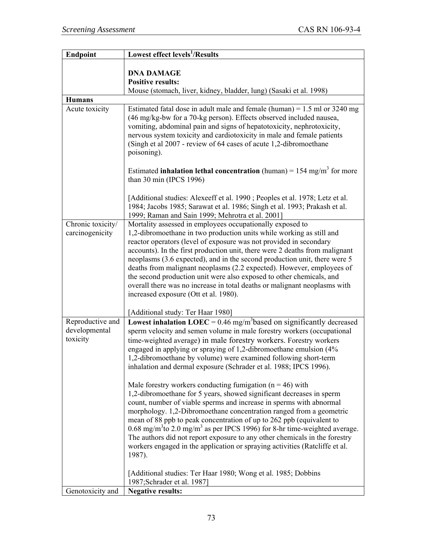| <b>Endpoint</b>                               | <b>Lowest effect levels<sup>1</sup>/Results</b>                                                                                                                                                                                                                                                                                                                                                                                                                                                                                                                                                                                                                                                                                                                                                                                                                                                                                                                                                                                                                                                                                                                                          |
|-----------------------------------------------|------------------------------------------------------------------------------------------------------------------------------------------------------------------------------------------------------------------------------------------------------------------------------------------------------------------------------------------------------------------------------------------------------------------------------------------------------------------------------------------------------------------------------------------------------------------------------------------------------------------------------------------------------------------------------------------------------------------------------------------------------------------------------------------------------------------------------------------------------------------------------------------------------------------------------------------------------------------------------------------------------------------------------------------------------------------------------------------------------------------------------------------------------------------------------------------|
|                                               | <b>DNA DAMAGE</b><br><b>Positive results:</b><br>Mouse (stomach, liver, kidney, bladder, lung) (Sasaki et al. 1998)                                                                                                                                                                                                                                                                                                                                                                                                                                                                                                                                                                                                                                                                                                                                                                                                                                                                                                                                                                                                                                                                      |
| <b>Humans</b>                                 |                                                                                                                                                                                                                                                                                                                                                                                                                                                                                                                                                                                                                                                                                                                                                                                                                                                                                                                                                                                                                                                                                                                                                                                          |
| Acute toxicity                                | Estimated fatal dose in adult male and female (human) = $1.5$ ml or 3240 mg<br>(46 mg/kg-bw for a 70-kg person). Effects observed included nausea,<br>vomiting, abdominal pain and signs of hepatotoxicity, nephrotoxicity,<br>nervous system toxicity and cardiotoxicity in male and female patients<br>(Singh et al 2007 - review of 64 cases of acute 1,2-dibromoethane<br>poisoning).                                                                                                                                                                                                                                                                                                                                                                                                                                                                                                                                                                                                                                                                                                                                                                                                |
|                                               | Estimated <b>inhalation lethal concentration</b> (human) = $154 \text{ mg/m}^3$ for more<br>than 30 min (IPCS 1996)<br>[Additional studies: Alexeeff et al. 1990; Peoples et al. 1978; Letz et al.                                                                                                                                                                                                                                                                                                                                                                                                                                                                                                                                                                                                                                                                                                                                                                                                                                                                                                                                                                                       |
|                                               | 1984; Jacobs 1985; Sarawat et al. 1986; Singh et al. 1993; Prakash et al.<br>1999; Raman and Sain 1999; Mehrotra et al. 2001]                                                                                                                                                                                                                                                                                                                                                                                                                                                                                                                                                                                                                                                                                                                                                                                                                                                                                                                                                                                                                                                            |
| Chronic toxicity/<br>carcinogenicity          | Mortality assessed in employees occupationally exposed to<br>1,2-dibromoethane in two production units while working as still and<br>reactor operators (level of exposure was not provided in secondary<br>accounts). In the first production unit, there were 2 deaths from malignant<br>neoplasms (3.6 expected), and in the second production unit, there were 5<br>deaths from malignant neoplasms (2.2 expected). However, employees of<br>the second production unit were also exposed to other chemicals, and<br>overall there was no increase in total deaths or malignant neoplasms with<br>increased exposure (Ott et al. 1980).<br>[Additional study: Ter Haar 1980]                                                                                                                                                                                                                                                                                                                                                                                                                                                                                                          |
| Reproductive and<br>developmental<br>toxicity | Lowest inhalation LOEC = $0.46$ mg/m <sup>3</sup> based on significantly decreased<br>sperm velocity and semen volume in male forestry workers (occupational<br>time-weighted average) in male forestry workers. Forestry workers<br>engaged in applying or spraying of 1,2-dibromoethane emulsion (4%<br>1,2-dibromoethane by volume) were examined following short-term<br>inhalation and dermal exposure (Schrader et al. 1988; IPCS 1996).<br>Male forestry workers conducting fumigation ( $n = 46$ ) with<br>1,2-dibromoethane for 5 years, showed significant decreases in sperm<br>count, number of viable sperms and increase in sperms with abnormal<br>morphology. 1,2-Dibromoethane concentration ranged from a geometric<br>mean of 88 ppb to peak concentration of up to 262 ppb (equivalent to<br>$0.68 \text{ mg/m}^3$ to 2.0 mg/m <sup>3</sup> as per IPCS 1996) for 8-hr time-weighted average.<br>The authors did not report exposure to any other chemicals in the forestry<br>workers engaged in the application or spraying activities (Ratcliffe et al.<br>1987).<br>[Additional studies: Ter Haar 1980; Wong et al. 1985; Dobbins<br>1987; Schrader et al. 1987] |
| Genotoxicity and                              | <b>Negative results:</b>                                                                                                                                                                                                                                                                                                                                                                                                                                                                                                                                                                                                                                                                                                                                                                                                                                                                                                                                                                                                                                                                                                                                                                 |